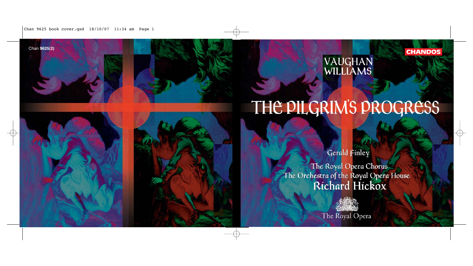Chan 9625 book cover.qxd 18/10/07 11:34 am Page 1

# Chan 9625(2) **Chan 9625(2) CHANDOS**

# THE PILGRIM'S PROGRESS

Gerald Finley

The Royal Opera Chorus The Orchestra of the Royal Opera House Richard Hickox

The Royal Opera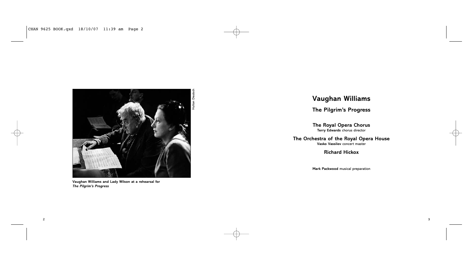

**Vaughan Williams and Lady Wilson at a rehearsal for** *The Pilgrim's Progress*

# **Vaughan Williams**

**The Pilgrim's Progress**

**The Royal Opera Chorus Terry Edwards** chorus director

**The Orchestra of the Royal Opera House Vasko Vassilev** concert master

**Richard Hickox**

**Mark Packwood** musical preparation

2 денови производите поставително в селото на селото на селото на селото на селото на селото на селото на село<br>2 денови при селото на селото на селото на селото на селото на селото на селото на селото на селото на селото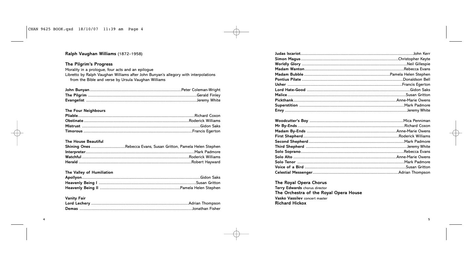# Ralph Vaughan Williams (1872-1958)

# The Pilgrim's Progress

Morality in a prologue, four acts and an epilogue Libretto by Ralph Vaughan Williams after John Bunyan's allegory with interpolations from the Bible and verse by Ursula Vaughan Williams

# The Four Neighbours

# The House Beautiful

# The Valley of Humiliation

# **Vanity Fair**

# The Royal Opera Chorus

Terry Edwards chorus director The Orchestra of the Royal Opera House Vasko Vassilev concert master **Richard Hickox**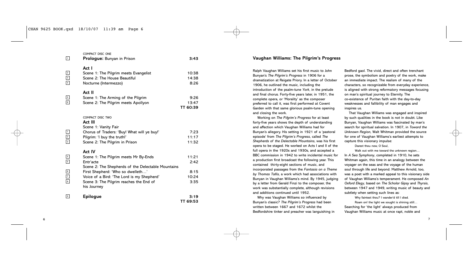# COMPACT DISC ONE

| 1                                                                                           | <b>Prologue:</b> Bunyan in Prison                                                                                                                                                                                                                               | 3:43                                   |
|---------------------------------------------------------------------------------------------|-----------------------------------------------------------------------------------------------------------------------------------------------------------------------------------------------------------------------------------------------------------------|----------------------------------------|
| $\begin{array}{c c}\n2 \\ 3 \\ 4\n\end{array}$                                              | Act I<br>Scene 1: The Pilgrim meets Evangelist<br>Scene 2: The House Beautiful<br>Nocturne (Intermezzo)                                                                                                                                                         | 10:38<br>14:38<br>8:26                 |
| $\begin{array}{c} 5 \\ \hline 6 \end{array}$                                                | Act II<br>Scene 1: The Arming of the Pilgrim<br>Scene 2: The Pilgrim meets Apollyon                                                                                                                                                                             | 9:26<br>13:47<br>TT 60:39              |
| $\begin{array}{c} \boxed{1} \\ \boxed{2} \\ \boxed{3} \end{array}$                          | COMPACT DISC TWO<br>Act III<br>Scene 1: Vanity Fair<br>Chorus of Traders: 'Buy! What will ye buy!'<br>Pilgrim: 'I buy the truth!'<br>Scene 2: The Pilgrim in Prison                                                                                             | 7:23<br>11:17<br>11:32                 |
| $\boxed{4}$<br>$\boxed{5}$<br>$\begin{array}{c c} 6 \\ \hline 7 \\ 8 \\ \hline \end{array}$ | Act IV<br>Scene 1: The Pilgrim meets Mr By-Ends<br>Entr'acte<br>Scene 2: The Shepherds of the Delectable Mountains<br>First Shepherd: 'Who so dwelleth'<br>Voice of a Bird: 'The Lord is my Shepherd'<br>Scene 3: The Pilgrim reaches the End of<br>his Journey | 11:21<br>2:42<br>8:15<br>10:24<br>3:35 |
| $  \circ  $                                                                                 | <b>Epilogue</b>                                                                                                                                                                                                                                                 | 3:19<br>TT 69:53                       |

# **Vaughan Williams: The Pilgrim's Progress**

Ralph Vaughan Williams set his first music to John Bunyan's *The Pilgrim's Progress* in 1906 for a dramatization at Reigate Priory. In a letter of October 1906, he outlined the music, including the introduction of the psalm-tune *York*, in the prelude and final chorus. Forty-five years later, in 1951, the complete opera, or 'Morality' as the composer preferred to call it, was first performed at Covent Garden with that same glorious psalm-tune opening and closing the work.

Working on *The Pilgrim's Progress* for at least forty-five years shows the depth of understanding and affection which Vaughan Williams had for Bunyan's allegory. His setting in 1921 of a 'pastoral episode' from *The Pilgrim's Progress*, called *The Shepherds of the Delectable Mountains*, was his first opera to be staged. He worked on Acts I and II of the full opera in the 1920s and 1930s, and accepted a BBC commission in 1942 to write incidental music for a production first broadcast the following year. This contained thirty-eight sections of music, and incorporated passages from the *Fantasia on a Theme by Thomas Tallis*, a work which had associations with Bunyan in Vaughan Williams's mind. By 1945, judging by a letter from Gerald Finzi to the composer, the work was substantially complete, although revisions and additions continued until 1952.

Why was Vaughan Williams so influenced by Bunyan's classic? *The Pilgrim's Progress* had been written between 1667 and 1672 whilst the Bedfordshire tinker and preacher was languishing in

Bedford gaol. The vivid, direct and often trenchant prose, the symbolism and poetry of the work, make an immediate impact. The realism of many of the characters, so recognizable from everyday experience, is aligned with strong reformatory messages focusing on man's spiritual journey to Eternity. The co-existence of Puritan faith with the day-to-day weaknesses and fallibility of man engages and inspires us.

That Vaughan Williams was engaged and inspired by such qualities in the book is not in doubt. Like Bunyan, Vaughan Williams was fascinated by man's search for spiritual salvation. In 1907, in *Toward the Unknown Region*, Walt Whitman provided the source for one of Vaughan Williams's earliest attempts to capture this visionary impulse:

Darest thou now, O Soul,

Walk out with me toward the unknown region... In *A Sea Symphony*, completed in 1910, he sets Whitman again, this time in an analogy between the voyager on the seas and the voyage of the human soul through life and beyond. Matthew Arnold, too, was a poet with a marked appeal to this visionary side of Vaughan Williams's temperament. He composed *An Oxford Elegy*, based on *The Scholar Gipsy* and *Thyrsis*, between 1947 and 1949, writing music of beauty and subtlety when setting such lines as:

Why faintest thou? I wander'd till I died. Roam on! the light we sought is shining still… Searching for 'the light' always produced from Vaughan Williams music at once rapt, noble and

 $\sim$  7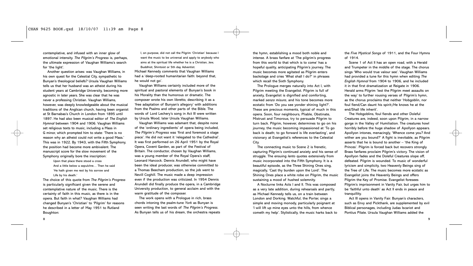contemplative, and infused with an inner glow of emotional intensity. *The Pilgrim's Progress* is, perhaps, the ultimate expression of Vaughan Williams's search for 'the light'.

Another question arises: was Vaughan Williams, in his own quest for the Celestial City, sympathetic to Bunyan's theological beliefs? Ursula Vaughan Williams tells us that her husband was an atheist during his student years at Cambridge University, becoming more agnostic in later years. She was clear that he was never a professing Christian. Vaughan Williams, however, was deeply knowledgeable about the musical traditions of the Anglican church, having been organist at St Barnabas's Church in London from 1895 until 1897. He had also been musical editor of *The English Hymnal* between 1904 and 1906. Vaughan Williams set religious texts to music, including a Mass in G minor, which prompted him to state: 'There is no reason why an atheist could not write a good Mass.' This was in 1922. By 1943, with the Fifth Symphony, the position had become more ambivalent. The manuscript score for the slow movement of the Symphony originally bore the inscription:

Upon that place there stood a cross And a little below a sepulchre… Then he said 'He hath given me rest by his sorrow and Life by his death.'

The choice of this quote from *The Pilgrim's Progress* is particularly significant given the serene and contemplative nature of the music. There is the certainty of faith in this music, as there is in the opera. But faith in what? Vaughan Williams had changed Bunyan's 'Christian' to 'Pilgrim' for reasons he described in a letter of May 1951 to Rutland Boughton:

I, on purpose, did not call the Pilgrim 'Christian' because I want the music to be universal and apply to anybody who aims at the spiritual life whether he is a Christian, Jew, Buddhist, Shintoist or 5th day Adventist.

Michael Kennedy comments that Vaughan Williams had a 'deep-rooted humanitarian faith: beyond that, he would not go'.

Vaughan Williams certainly included more of the spiritual and pastoral elements of Bunyan's book in his Morality than the humorous or dramatic. The composer wrote his own libretto, describing it as a 'free adaptation of Bunyan's allegory' with additions from the Psalms and other parts of the Bible. The words of Lord Lechery's song in Act III were written by Ursula Wood, later Ursula Vaughan Williams.

Vaughan Williams was adamant that, despite none of the 'ordinary ingredients' of opera being included, *The Pilgrim's Progress* was 'first and foremost a stage piece'. He did not want it 'relegated to the Cathedral'. It was first performed on 26 April 1951 by the Royal Opera, Covent Garden, as part of the Festival of Britain. The conductor, chosen by Vaughan Williams, was a young member of the Royal Opera's staff, Leonard Hancock. Dennis Arundell, who might have been the ideal producer, was otherwise committed to a Thomas Beecham production, so the job went to Nevill Coghill. The music made a deep impression even if the production was criticized. In 1954 Dennis Arundell did finally produce the opera, in a Cambridge University production, to general acclaim and with the warm gratitude of the composer.

The work opens with a Prologue in rich, brass chords intoning the psalm-tune *York* as Bunyan is seen writing the last words of *The Pilgrim's Progress*. As Bunyan tells us of his dream, the orchestra repeats

the hymn, establishing a mood both noble and intense. A brass fanfare at 'The pilgrim's progress from this world to that which is to come' has a hopeful quality, anticipating Pilgrim's journey. The music becomes more agitated as Pilgrim enters backstage and cries 'What shall I do?' in phrases which recall the Sixth Symphony.

The Prologue merges naturally into Act I, with Pilgrim meeting the Evangelist. Pilgrim is full of anxiety, Evangelist is dignified and comforting, marked *senza misura*, and his tone becomes more ecstatic from 'Do you see yonder shining light?'. These are precious moments, typical of much in this opera. Soon, four neighbours, Pliable, Obstinate, Mistrust and Timorous, try to persuade Pilgrim to turn back. Pilgrim, however, determines to go on his journey, the music becoming impassioned at 'To go back is death; to go forward is life everlasting', and visionary at Evangelist's references to the Celestial City.

The connecting music to Scene 2 is frenetic, capturing Pilgrim's continued anxiety and his sense of struggle. The ensuing *lento* quotes extensively from music incorporated into the Fifth Symphony. It is a beautiful episode, as the Three Shining Ones sing, magically, 'Cast thy burden upon the Lord'. The Shining Ones place a white robe on Pilgrim, the music sustaining a mood of hushed solemnity.

A Nocturne links Acts I and II. This was composed as a very late addition, during rehearsals and partly, as Michael Kennedy tells us, on a train between London and Dorking. Watchful, the Porter, sings a simple and moving monody, particularly poignant at 'I will lift up mine eyes unto the hills, from whence cometh my help'. Stylistically, the music harks back to the *Five Mystical Songs* of 1911, and the Four Hymns of 1914.

Scene 1 of Act II has an open road, with a Herald and Trumpeter in the middle of the stage. The chorus sings 'Who would true valour see'. Vaughan Williams had provided a tune for this hymn when editing *The English Hymnal* from 1904 to 1906, and he included it in that first dramatization at Reigate in 1906. Herald arms Pilgrim 'lest the Pilgrim meet assaults on the way' to further rousing verses of Pilgrim's hymn, as the chorus proclaims that neither 'Hobgoblin, nor foul fiend/Can daunt his spirit;/He knows he at the end/Shall life inherit'.

The Hobgoblins, foul fiends and other Doleful Creatures are, indeed, soon upon Pilgrim, in a narrow gorge in the Valley of Humiliation. The creatures howl horribly before the huge shadow of Apollyon appears. Apollyon intones, menacingly, 'Whence come you? And wither are you bound?' A fight is inevitable, as Pilgrim asserts that he is bound to another – 'the King of Princes'. Pilgrim is forced back but recovers strongly. Brass fanfares proclaim Pilgrim's victory. The vision of Apollyon fades and the Doleful Creatures slope off, defeated. Pilgrim is wounded. To music of wonderful lyricism and simplicity, two Heavenly Beings sing of the Tree of Life. The music becomes more ecstatic as Evangelist joins the Heavenly Beings and offers Pilgrim the Key of Promise. Evangelist foresees Pilgrim's imprisonment in Vanity Fair, but urges him to be 'faithful unto death' as Act II ends in peace and tranquillity.

Act III opens in Vanity Fair. Bunyan's characters, such as Envy and Pickthank, are supplemented by evil Biblical personages, including Judas Iscariot and Pontius Pilate. Ursula Vaughan Williams added the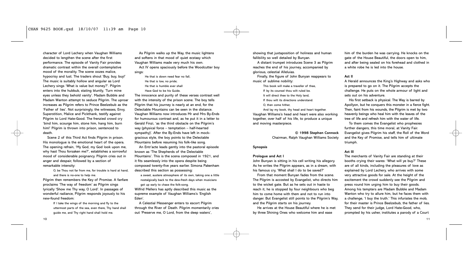character of Lord Lechery when Vaughan Williams decided to lengthen the scene after the first performance. The episode of Vanity Fair provides dramatic contrast within the overall contemplative mood of the morality. The scene oozes malice, hypocrisy and lust. The traders shout 'Buy, buy, buy!' The music is suitably hollow and angular as Lord Lechery sings 'What is value but money?'. Pilgrim enters into the hubbub, stating bluntly, 'Turn mine eyes unless they behold vanity'. Madam Bubble and Madam Wanton attempt to seduce Pilgrim. The uproar increases as Pilgrim refers to Prince Beelzebub as the 'Father of lies'. Not surprisingly, the witnesses, Envy, Superstition, Malice and Pickthank, testify against Pilgrim to Lord Hate-Good. The frenzied crowd cry 'bind him, scourge him, stone him, hang him, burn him!' Pilgrim is thrown into prison, sentenced to death.

Scene 2 of this Third Act finds Pilgrim in prison. His monologue is the emotional heart of the opera. The opening refrain, 'My God, my God look upon me, why hast Thou forsaken me?', establishes a sorrowful mood of considerable poignancy. Pilgrim cries out in anger and despair, followed by a section of remarkable intensity:

O, be Thou not far from me, for trouble is hard at hand,

and there is no-one to help me.

Pilgrim then remembers the Key of Promise. A fanfare proclaims 'The way of freedom' as Pilgrim sings lyrically 'Show me Thy way, O Lord'. In passages of wonderful radiance, Pilgrim responds joyously to his new-found freedom:

> If I take the wings of the morning and fly to the uttermost parts of the sea, even there, Thy hand shall guide me, and Thy right hand shall hold me.

As Pilgrim walks up the Way, the music lightens and softens in that mood of quiet ecstasy which Vaughan Williams made very much his own. Act IV opens spaciously before the Woodcutter boy sings:

He that is down need fear no fall, He that is low, no pride; He that is humble ever shall Have God to be his Guide.

The innocence and purity of these verses contrast well with the intensity of the prison scene. The boy tells Pilgrim that his journey is nearly at an end, for the Delectable Mountains can be seen in the distance. Vaughan Williams now introduces Mr and Mrs By-Ends for humourous contrast and, as he put it in a letter to Gerald Finzi, 'as the third obstacle on the Pilgrim's way (physical force – temptation – half-hearted sympathy)'. After the By-Ends have left in mockgracious style, the boy points to the Delectable Mountains before resuming his folk-like song.

An Entr'acte leads gently into the pastoral episode known as 'The Shepherds of the Delectable Mountains'. This is the scena composed in 1921, and it fits seamlessly into the opera despite being composed twenty-five years earlier. Simona Pakenham described this section as possessing:

a sweet, austere atmosphere of its own, taking one a little nostalgically back to the dew-fresh days when musicians got up early to chase the folk-song.

Wilfrid Mellers has aptly described this music as the supreme example of Vaughan Williams's 'English Eden'.

A Celestial Messenger enters to escort Pilgrim through the River of Death. Pilgrim momentarily cries out 'Preserve me, O Lord, from the deep waters',

showing that juxtaposition of holiness and human fallibility so well detailed by Bunyan.

A distant trumpet introduces Scene 3 as Pilgrim reaches the end of his journey, accompanied by glorious, celestial Alleluias.

Finally, the figure of John Bunyan reappears to music of sublime nobility:

This book will make a traveller of thee,

If by its counsel thou wilt ruled be. It will direct thee to the Holy land,

If thou wilt its directions understand.

O, then come hither,

And lay my book, thy head and heart together. Vaughan Williams's head and heart were also working together, over half of his life, to produce a unique and moving masterpiece.

> **© 1998 Stephen Connock** Chairman, Ralph Vaughan Williams Society

# **Synopsis**

# **Prologue and Act I**

John Bunyan is sitting in his cell writing his allegory. As he writes the Pilgrim appears, as in a dream, with his famous cry, 'What shall I do to be saved?'

From that moment Bunyan fades from the scene. The Pilgrim is accosted by Evangelist, who directs him to the wicket gate. But as he sets out in haste to reach it, he is stopped by four neighbours who beg him to come home with them and not to run into danger. But Evangelist still points to the Pilgrim's Way, and the Pilgrim starts on his journey.

He arrives at the House Beautiful where he is met by three Shining Ones who welcome him and ease

him of the burden he was carrying. He knocks on the gate of the House Beautiful, the doors open to him, and after being sealed on his forehead and clothed in a white robe he is led into the house.

# **Act II**

A Herald announces the King's Highway and asks who is prepared to go on it. The Pilgrim accepts the challenge. He puts on the whole armour of light and sets out on his adventure.

His first setback is physical. The Way is barred by Apollyon, but he conquers this monster in a fierce fight. Then, faint from his wounds, the Pilgrim is met by two heavenly beings who heal him with the leaves of the tree of life and refresh him with the water of life.

To them comes the Evangelist who prophesies further dangers, this time moral, at Vanity Fair. Evangelist gives Pilgrim his staff, the Roll of the Word and the Key of Promise, and tells him of ultimate triumph.

# **Act III**

The merchants of Vanity Fair are standing at their booths crying their wares: 'What will ye buy?' These are of all kinds, including the pleasures of love as explained by Lord Lechery, who arrives with some very attractive goods for sale. At the height of the excitement the crowd suddenly see the Pilgrim and press round him urging him to buy their goods. Among his tempters are Madam Bubble and Madam Wanton who try to allure him, but he faces them with a challenge, 'I buy the truth.' This infuriates the mob, for their master is Prince Beelzebub, the father of lies. They send for their judge, Lord Hate-Good, who, prompted by his usher, institutes a parody of a Court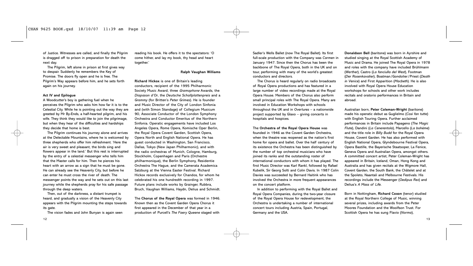of Justice. Witnesses are called, and finally the Pilgrim is dragged off to prison in preparation for death the next day.

The Pilgrim, left alone in prison at first gives way to despair. Suddenly he remembers the Key of Promise. The doors fly open and he is free. The Pilgrim's Way appears before him, and he sets forth again on his journey.

# **Act IV and Epilogue**

A Woodcutter's boy is gathering fuel when he perceives the Pilgrim who asks him how far it is to the Celestial City. While he is pointing out the way they are greeted by Mr By-Ends, a half-hearted pilgrim, and his wife. They think they would like to join the pilgrimage, but when they hear of the difficulties and hardships they decide that home is best.

The Pilgrim continues his journey alone and arrives at the Delectable Mountains, where he is welcomed by three shepherds who offer him refreshment. 'Here the air is very sweet and pleasant, the birds sing and flowers appear in the land.' But this rest is interrupted by the entry of a celestial messenger who tells him that the Master calls for him. Then he pierces his heart with an arrow as a sign that he must be gone. He can already see the Heavenly City, but before he can enter he must cross the river of death. The messenger points the way and he sets out on this last journey while the shepherds pray for his safe passage through the deep waters.

Then, out of the darkness, a distant trumpet is heard, and gradually a vision of the Heavenly City appears with the Pilgrim mounting the steps towards its gate.

The vision fades and John Bunyan is again seen

reading his book. He offers it to the spectators: 'O come hither, and lay my book, thy head and heart together.'

# **Ralph Vaughan Williams**

**Richard Hickox** is one of Britain's leading conductors, recipient of the 1995 Philharmonic Society Music Award, three *Gramophone* Awards, the *Diapason d'Or*, the *Deutsche Schallplattenpreis* and a *Grammy* (for Britten's *Peter Grimes*). He is founder and Music Director of the City of London Sinfonia and (with Simon Standage) of Collegium Musicum 90, Associate Conductor of the London Symphony Orchestra and Conductor Emeritus of the Northern Sinfonia. Operatic engagements have included Los Angeles Opera, Rome Opera, Komische Oper Berlin, the Royal Opera Covent Garden, Scottish Opera, Opera North and English National Opera. He has guest conducted in Washington, San Francisco, Dallas, Tokyo (New Japan Philharmonic), and with the radio orchestras of Munich, Cologne, Hamburg, Stockholm, Copenhagen and Paris (Orchestre philharmonique), the Berlin Symphony, Residentie Orchestra The Hague, and the Camerata Academica Salzburg at the Vienna Easter Festival. Richard Hickox records exclusively for Chandos, for whom he celebrated his one hundredth recording in 1997. Future plans include works by Grainger, Rubbra, Bruch, Vaughan Williams, Haydn, Delius and Schmidt.

The **Chorus of the Royal Opera** was formed in 1946. Known then as the Covent Garden Opera Chorus it first appeared in the December of that year in a production of Purcell's *The Faery Queene* staged with

Sadler's Wells Ballet (now The Royal Ballet). Its first full-scale production with the Company was *Carmen* in January 1947. Since then the Chorus has been the backbone of The Royal Opera, both in the UK and on tour, performing with many of the world's greatest conductors and directors.

The Chorus is heard regularly on radio broadcasts of Royal Opera productions and has featured in a large number of video recordings made at the Royal Opera House. Members of the Chorus also perform small principal roles with The Royal Opera. Many are involved in Education Workshops with schools throughout the UK and in *Overtures* – a nationwide project supported by Glaxo – giving concerts in hospitals and hospices.

The **Orchestra of the Royal Opera House** was founded in 1946 as the Covent Garden Orchestra, when the theatre was reopened as the nation's first home for opera and ballet. Over the half century of its existence the Orchestra has been distinguished by the number of top orchestral musicians who have joined its ranks and the outstanding roster of international conductors with whom it has played. The first Music Director was Karl Rankl, followed by Rafael Kubelik, Sir Georg Solti and Colin Davis. In 1987 Colin Davies was succeeded by Bernard Haitink who has involved the Orchestra in more frequent appearances on the concert platform.

In addition to performing with the Royal Ballet and Royal Opera Companies, during the two-year closure of the Royal Opera House for redevelopment, the Orchestra is undertaking a number of international concert tours including Austria, Spain, Portugal, Germany and the USA.

**Donaldson Bell** (baritone) was born in Ayrshire and studied singing at the Royal Scottish Academy of Music and Drama. He joined The Royal Opera in 1978 and roles with the company have included Brühlmann (*Werther*), Castro (*La fanciulla del West*), Footman (*Der Rosenkavalier*), Boatman/Gondolier/Priest (*Death in Venice*) and First Apparition (*Macbeth*). He is also involved with Royal Opera House Education workshops for schools and other work includes recitals and oratorio performances in Britain and abroad.

Australian born, **Peter Coleman-Wright** (baritone) made his operatic debut as Guglielmo (*Così fan tutte*) with English Touring Opera. Further acclaimed performances in Britain include Papageno (*The Magic Flute*), Dandini (*La Cenerentola*), Marcello (*La bohème*) and the title role in *Billy Budd* for the Royal Opera House, Covent Garden. He has also performed with English National Opera, Glyndebourne Festival Opera, Opera Bastille, the Bayerische Staatsoper, La Fenice, Geneva Opera and Australian Opera, amongst others. A committed concert artist, Peter Coleman-Wright has appeared in Britain, Iceland, Oman, Hong Kong and Australia and has given recitals at the Wigmore Hall, Covent Garden, the South Bank, the Châtelet and at the Spoleto, Naantali and Melbourne Festivals. His recordings include the Messenger (*Oedipus Rex*) and Delius's *A Mass of Life*.

Born in Nottingham, **Richard Coxon** (tenor) studied at the Royal Northern College of Music, winning several prizes, including awards from the Peter Moores Foundation and the Woolfson Trust. For Scottish Opera he has sung Flavio (*Norma*),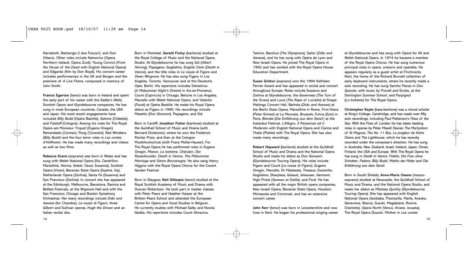Narraboth, Barbarigo (*I due Foscari*), and Don Ottavio. Other roles include Nemorino (Opera Northern Ireland, Opera Zuid), Young Convict (*From the House of the Dead* with English National Opera) and Edgardo (film by Don Boyd). His concert career includes performances in the UK and Bergen and the premiere of *A Live Flame*, composed in memory of John Smith.

**Francis Egerton** (tenor) was born in Ireland and spent the early part of his career with the Sadler's Wells, Scottish Opera and Glyndebourne companies. He has sung in most European countries, Canada, the USA and Japan. His most recent engagements have included *Billy Budd* (Opéra Bastille), *Salome* (Châtelet), and *Falstaff* (Cologne). Among his roles for The Royal Opera are Monsieur Triquet (*Eugene Onegin*), Remendado (*Carmen*), Pong (*Turandot*), Red Whiskers (*Billy Budd*) and the four tenor roles in *Les contes d'Hoffmann*. He has made many recordings and videos as well as two films.

**Rebecca Evans** (soprano) was born in Wales and has sung with Welsh National Opera (Ilia, Cendrillon, Marzelline, Norina, Gretel, Oscar, Susanna), Scottish Opera (Vixen), Bavarian State Opera (Sophie, Ilia), Netherlands Opera (Zerlina), Santa Fe (Susanna) and San Francisco (Zerlina). In concert she has appeared at the Edinburgh, Melbourne, Barcelona, Ravinia and Belfast Festivals, at the Wigmore Hall and with the San Francisco, Chicago and Boston Symphony Orchestras. Her many recordings include *Dido and Aeneas* (for Chandos), *Le nozze di Figaro*, three Gilbert and Sullivan operas, *Hugh the Drover* and an Italian recital disc.

Born in Montreal, **Gerald Finley** (baritone) studied at the Royal College of Music and the National Opera Studio. At Glyndebourne he has sung Sid (*Albert Herring*), Papageno, Guglielmo, English Clerk (*Death in Venice*), and the title roles in *Le nozze di Figaro* and *Owen Wingrave*. He has also sung Figaro in Los Angeles, Toronto, Vancouver and at the Deutsche Oper, Berlin. His repertoire includes Demetrius (*A Midsummer Night's Dream*) in Aix-en-Provence, Count (*Capriccio*) in Chicago, Belcore in Los Angeles, Marcello with Welsh National Opera, and Valentin (*Faust*) at Opéra Bastille. He made his Royal Opera debut as Figaro in 1995. His recordings include Masetto (*Don Giovanni*), Papageno, and Sid.

Born in Cardiff, **Jonathan Fisher** (baritone) studied at the Guildhall School of Music and Drama (with Bernard Dickerson), where he won the Frederick Painter Prize, and then at the Cologne Musikhochschule (with Franz Müller-Hauser). For The Royal Opera he has performed roles in *Eugene Onegin*, *Manon*, *La bohème*, *Chérubin*, *Der Rosenkavalier*, *Death in Venice*, *The Midsummer Marriage* and *Simon Boccanegra*. He also sang Henry Higgins with the Royal Opera Chorus for the Covent Garden Festival.

Born in Glasgow, **Neil Gillespie** (tenor) studied at the Royal Scottish Academy of Music and Drama with Duncan Robertson. He took part in master classes with Peter Pears and Heather Harper at the Britten–Pears School and attended the European Centre for Opera and Vocal Studies in Belgium. He currently studies with Michael Salby and Nicolai Gedda. His repertoire includes Count Almaviva,

Tamino, Bacchus (*The Olympians*), Sailor (*Dido and Aeneas*), and he has sung with Opéra de Lyon and New Israeli Opera. He joined The Royal Opera in 1992 and has worked with the Royal Opera House Education Department.

**Susan Gritton** (soprano) won the 1994 Kathleen Ferrier Award and has appeared in recital and concert throughout Europe. Roles include Susanna and Zerlina at Glyndebourne, the Governess (*The Turn of the Screw*) and Lucia (*The Rape of Lucretia*) at Snape Maltings Concert Hall, Belinda (*Dido and Aeneas*) at the Berlin State Opera, Marzelline in Rome, First Niece (*Peter Grimes*) at La Monnaie, Brussels, Fulvia (*Ezio*) in Paris, Blonde (*Die Entführung aus dem Serail* ) at the Instanbul Festival, *L'Allegro*, *Il Penseroso ed il Moderato* with English National Opera and Clarine and Thalie (*Platée*) with The Royal Opera. She has also made many recordings.

**Robert Hayward** (baritone) studied at the Guildhall School of Music and Drama and the National Opera Studio and made his debut as Don Giovanni (Glyndebourne Touring Opera). His roles include Figaro and Count (*Le nozze di Figaro*), Eugene Onegin, Marcello, Dr Malatesta, Theseus, Escamillo, Guglielmo, Sharpless, Golaud, Jokanaan, Germont, High Priest (*Samson et Dalila*), and Ford. He has appeared with all the major British opera companies, New Israeli Opera, Bavarian State Opera, Houston, Minnesota and Cincinnati, and has an extensive concert career.

**John Kerr** (tenor) was born in Leicestershire and now lives in Kent. He began his professional singing career

at Glyndebourne and has sung with Opera for All and Welsh National Opera. In 1974 he became a member of the Royal Opera Chorus. He has sung numerous principal roles in opera, oratorio and operetta. He appears regularly as a guest artist at Finchcocks, Kent, the home of the Richard Burnett collection of early keyboard instruments, where he recently made a solo recording. He has sung Sancho Panza in *Don Quixote*, with music by Purcell and Eccles, at the Dartington Summer School, and Parpignol (*La bohème*) for The Royal Opera.

**Christopher Keyte** (bass-baritone) was a choral scholar at King's College, Cambridge, and has made over fifty solo recordings, including Paul Patterson's *Mass of the Sea*. With the Fires of London he has taken leading roles in operas by Peter Maxell Davies: *The Martyrdom of St Magnus*, *The No. 11 Bus*, *Le jongleur de Notre Dame* and *The Lighthouse*, which he has recently recorded under the composer's direction. He has sung in Australia, New Zealand, Israel, Iceland, Japan, Oman, Finland, the USA and Europe. With The Royal Opera he has sung in *Death in Venice*, *Fidelio*, *Die Frau ohne Schatten*, *Fedora*, *Billy Budd*, *Mathis der Maler* and *Die Entführung aus dem Serail.*

Born in South Shields, **Anne-Marie Owens** (mezzosoprano) studied at Newcastle, the Guildhall School of Music and Drama, and the National Opera Studio, and made her debut as Mistress Quickly (Glyndebourne Touring Opera). She has appeared with English National Opera (Jezibaba, Preziosilla, Marfa, Anezka, Genevieve, Bianca, Suzuki, Magdalene, Rosina, Charlotte), Opera North (Venus, Ariane, Jocasta), The Royal Opera (Suzuki, Mother in *Les contes*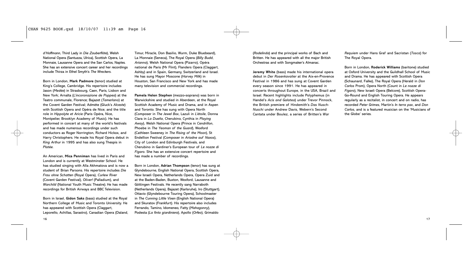*d'Hoffmann*, Third Lady in *Die Zauberflöte*), Welsh National Opera (Santuzza, Ulrica), Scottish Opera, La Monnaie, Lausanne Opera and the San Carlos, Naples. She has an extensive concert career and her recordings include Thirza in Ethel Smyth's *The Wreckers*.

Born in London, **Mark Padmore** (tenor) studied at King's College, Cambridge. His repertoire includes Jason (*Medée*) in Strasbourg, Caen, Paris, Lisbon and New York; Arnalta (*L'incoronazione de Poppea*) at the Teatro communale, Florence; Bajazet (*Tamerlano*) at the Covent Garden Festival; Admète (Gluck's *Alceste*) with Scottish Opera and Opéra de Nice; and the title role in *Hippolyte et Aricie* (Paris Opéra, Nice, Montpelier, Brooklyn Academy of Music). He has performed in concert at many of the world's festivals and has made numerous recordings under such conductors as Roger Norrington, Richard Hickox, and Harry Christophers. He made his Royal Opera debut in *King Arthur* in 1995 and has also sung Thespis in *Platée*.

An American, **Mica Penniman** has lived in Paris and London and is currently at Westminster School. He has studied singing with Alla Akhmatova and is now a student of Brian Parsons. His repertoire includes *Die Frau ohne Schatten* (Royal Opera), *Curlew River* (Covent Garden Festival), *Oliver!* (Palladium), and *Warchild* (National Youth Music Theatre). He has made recordings for British Airways and BBC Television.

Born in Israel, **Gidon Saks** (bass) studied at the Royal Northern College of Music and Toronto University. He has appeared with Scottish Opera (Claggart, Leporello, Achillas, Sarastro), Canadian Opera (Daland, Timur, Miracle, Don Basilio, Wurm, Duke Bluebeard), La Monnaie (Seneca), The Royal Opera (*Billy Budd*, *Arianna*), Welsh National Opera (Pizarro), Opéra national de Paris (Mr Flint), Flanders Opera (Claggart, Ashby) and in Spain, Germany, Switzerland and Israel. He has sung Mayor Moscone (*Harvey Milk*) in Houston, San Francisco and New York and has made many television and commercial recordings.

**Pamela Helen Stephen** (mezzo-soprano) was born in Warwickshire and studied in Aberdeen, at the Royal Scottish Academy of Music and Drama, and in Aspen and Toronto. She has sung with Opera North (Composer in *The Jewel Box*, Lazuli in *L'étoile*, Donna Clara in *La Dueña*, Cherubino, Cynthia in *Playing Away*), Welsh National Opera (Prince in *Cendrillon*, Phoebe in *The Yeoman of the Guard*), Wexford (Cathleen Sweeney in *The Rising of the Moon*), St Endellion Festival (Composer in *Ariadne auf Naxos*), City of London and Edinburgh Festivals, and Cherubino in Gardiner's European tour of *Le nozze di Figaro*. She has an extensive concert repertoire and has made a number of recordings.

Born in London, **Adrian Thompson** (tenor) has sung at Glyndebourne, English National Opera, Scottish Opera, New Israeli Opera, Netherlands Opera, Opera Zuid and at the Baden-Baden, Buxton, Wexford, Lausanne and Göttingen Festivals. He recently sang Narraboth (Netherlands Opera), Bajazet (Karlsruhe), Iro (Stuttgart), Ottavio (Glyndebourne Touring Opera), Schoolmaster in *The Cunning Little Vixen* (English National Opera) and Skuratov (Frankfurt). His repertoire also includes Ferrando, Tamino, Idomeneo, Fatty (*Mahagonny*), Podesta (*La finta giardiniera*), Apollo (*Orfeo*), Grimaldo

(*Rodelinda*) and the principal works of Bach and Britten. He has appeared with all the major British Orchestras and with Songmaker's Almanac.

**Jeremy White** (bass) made his international opera debut in *Der Rosenkavalier* at the Aix-en-Provence Festival in 1986 and has sung at Covent Garden every season since 1991. He has appeared in concerts throughout Europe, in the USA, Brazil and Israel. Recent highlights include Polyphemus (in Handel's *Acis and Galatea*) under Trevor Pinnock, the British premiere of Hindemith's *Das Nusch-Nuschi* under Andrew Davis, Webern's Second Cantata under Boulez, a series of Britten's *War*

*Requiem* under Hans Graf and Sacristan (*Tosca*) for The Royal Opera.

Born in London, **Roderick Williams** (baritone) studied at Oxford University and the Guildhall School of Music and Drama. He has appeared with Scottish Opera (Schaunard, Falke), The Royal Opera (Herald in *Don Carlos* Prom), Opera North (Count in *Le nozze di Figaro*), New Israeli Opera (Belcore), Scottish Opera-Go-Round and English Touring Opera. He appears regularly as a recitalist, in concert and on radio, has recorded *Peter Grimes*, Martin's *In terra pax*, and *Don Carlos*, and is a featured musician on the 'Musicians of the Globe' series.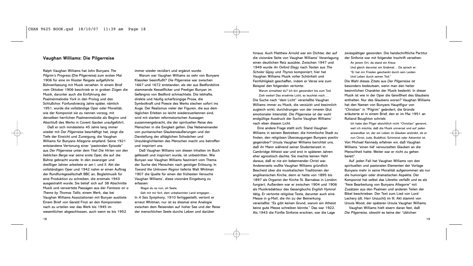# **Vaughan Williams: Die Pilgerreise**

Ralph Vaughan Williams hat John Bunyans *The Pilgrim's Progress* (Die Pilgerreise) zum ersten Mal 1906 für eine im Kloster Reigate aufgeführte Bühnenfassung mit Musik versehen. In einem Brief vom Oktober 1906 beschrieb er in groben Zügen die Musik, darunter auch die Einführung der Psalmenmelodie *York* in den Prolog und den Schlußchor. Fünfundvierzig Jahre später, nämlich 1951, wurde die vollständige Oper oder Moralität, wie der Komponist sie zu nennen vorzog, mit derselben herrlichen Psalmenmelodie als Beginn und Abschluß des Werks in Covent Garden uraufgeführt.

Daß er sich mindestens 45 Jahre lang immer wieder mit *Der Pilgerreise* beschäftigt hat, zeigt die Tiefe der Einsicht und Zuneigung, die Vaughan Williams für Bunyans Allegorie empfand. Seine 1921 entstandene Vertonung einer "pastoralen Episode" aus *Der Pilgerreise* unter dem Titel *Die Hirten von den lieblichen Berge* war seine erste Oper, die auf die Bühne gebracht wurde. In den zwanziger und dreißiger Jahren arbeitete er am I. und II. Akt der vollständigen Oper und 1942 nahm er einen Auftrag der Rundfunkgesellschaft BBC an, Begleitmusik für eine Produktion zu schreiben, die erstmals 1943 ausgestrahlt wurde. Sie belief sich auf 38 Abschnitte Musik und verwertete Passagen aus der *Fantasia on a Theme by Thomas Tallis*, einem Werk, das bei Vaughan Williams Assoziationen mit Bunyan auslöste. Einem Brief von Gerald Finzi an den Komponisten nach zu urteilen war das Werk bis 1945 im wesentlichen abgeschlossen, auch wenn es bis 1952

immer wieder revidiert und ergänzt wurde.

Warum war Vaughan Williams so sehr von Bunyans Klassiker beeinflußt? *Die Pilgerreise* war zwischen 1667 und 1672 entstanden, als der aus Bedfordshire stammende Kesselflicker und Prediger Bunyan im Gefängnis von Bedford schmachtete. Die lebhafte, direkte und häufig scharfzüngige Prosa, die Symbolkraft und Poesie des Werks stechen sofort ins Auge. Der Realismus vieler der Figuren, die aus dem täglichen Erleben so leicht wiederzuerkennen sind, wird mit starken reformatorischen Aussagen zusammengebracht, die der spirituellen Reise des Menschen in die Ewigkeit gelten. Das Nebeneinander von puritanischen Glaubensäußerungen und der Darstellung der alltäglichen Schwächen und Unzulänglichkeiten des Menschen macht uns betroffen und inspiriert uns.

Daß Vaughan Williams von diesen Inhalten im Buch gefesselt und inspiriert wurde, ist unbestritten. Wie Bunyan war Vaughan Williams fasziniert vom Thema der Suche des Menschen nach geistiger Erlösung. In *Toward the Unknown Region* lieferte Walt Whitman 1907 die Quelle für einen der frühesten Versuche Vaughan Williams', diese visionäre Eingebung zu erfassen:

Wagst du es nun, oh Seele,

Geh mit mir fort, dem unbekannten Land entgegen… In *A Sea Symphony*, 1910 fertiggestellt, vertont er erneut Whitman, nur ist es diesmal eine Analogie zwischen dem Reisenden auf hoher See und der Reise der menschlichen Seele durchs Leben und darüber

hinaus. Auch Matthew Arnold war ein Dichter, der auf die visionäre Seite von Vaughan Williams' Veranlagung einen deutlichen Reiz ausübte. Zwischen 1947 und 1949 wurde *An Oxford Elegy* nach Texten aus *The Scholar Gipsy* und *Thyrsis* komponiert; hier hat Vaughan Williams Musik voller Schönheit und Feinfühligkeit geschaffen, indem er Verse wie zum Beispiel den folgenden vertonte:

Warum ermattest du? Ich bin gewandert bis zum Tod.

Zieh weiter! Das ersehnte Licht, es leuchtet noch… Die Suche nach "dem Licht" veranlaßte Vaughan Williams immer zu Musik, die verzückt und besinnlich zugleich wirkt, durchdrungen von der inneren Glut emotionaler Intensität. *Die Pilgerreise* ist der wohl endgültige Ausdruck der Suche Vaughan Williams' nach eben diesem Licht.

Eine andere Frage stellt sich: Stand Vaughan Williams in seinem Bestreben, die himmlische Stadt zu finden, den religiösen Überzeugungen Bunyans positiv gegenüber? Ursula Vaughan Williams berichtet uns, daß ihr Mann während seiner Studentenzeit in Cambridge Atheist war und erst in späteren Jahren eher agnostisch dachte. Sie machte keinen Hehl daraus, daß er nie ein bekennender Christ war. Andererseits wußte Vaughan Williams gründlich Bescheid über die musikalischen Traditionen der anglikanischen Kirche, denn er hatte von 1895 bis 1897 als Organist der Kirche St. Barnabas in London fungiert. Außerdem war er zwischen 1904 und 1906 als Musikredakteur des Gesangbuchs *English Hymnal* tätig. Er vertonte religiöse Texte, darunter auch eine Messe in g-Moll, die ihn zu der Bemerkung veranlaßte: "Es gibt keinen Grund, warum ein Atheist keine gute Messe schreiben könnte." Das war 1922. Als 1943 die Fünfte Sinfonie erschien, war die Lage

zwiespältiger geworden. Die handschriftliche Partitur der Sinfonie war mit folgender Inschrift versehen:

An jenem Ort, da stand ein Kreuz Und gleich darunter ein Grabmal… Da sprach er: "Er hat mir Frieden geschenkt durch sein Leiden Und Leben durch seinen Tod."

Die Wahl dieses Zitats aus *Der Pilgerreise* ist besonders bedeutsam, wenn man den heiter besinnlichen Charakter der Musik bedenkt. In dieser Musik ist wie in der Oper die Gewißheit des Glaubens enthalten. Nur des Glaubens woran? Vaughan Williams hat den Namen von Bunyans Hauptfigur von "Christian" in "Pilgrim" geändert; die Gründe erläuterte er in einem Brief, den er im Mai 1951 an Rutland Boughton schrieb:

Ich habe den Pilger absichtlich nicht "Christian" genannt, weil ich möchte, daß die Musik universal und auf jeden anwendbar ist, der ein Leben im Glauben anstrebt, ob er nun Christ, Jude, Buddhist, Schintoist oder Adventist ist. Von Michael Kennedy erfahren wir, daß Vaughan Williams "einen tief verwurzelten Glauben an die Menschheit hatte: Weiter war er nicht zu gehen bereit".

Auf jeden Fall hat Vaughan Williams von den spirituellen und pastoralen Elementen der Vorlage Bunyans mehr in seine Moralität aufgenommen als nur die humorigen oder dramatischen Aspekte. Der Komponist hat selbst das Libretto verfaßt und es als "freie Bearbeitung von Bunyans Allegorie" mit Zusätzen aus den Psalmen und anderen Teilen der Bibel beschrieben. Der Text zum Lied von Lord Lechery (dt. Herr Unzucht) im III. Akt stammt von Ursula Wood, der späteren Ursula Vaughan Williams. Vaughan Williams hielt eisern daran fest, daß *Die Pilgerreise*, obwohl es keine der "üblichen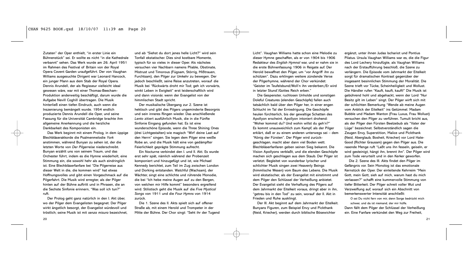Zutaten" der Oper enthielt, "in erster Linie ein Bühnenstück" sei. Er wollte es nicht "in die Kathedrale verbannt" sehen. Das Werk wurde am 26. April 1951 im Rahmen des Festival of Britain von der Royal Opera Covent Garden uraufgeführt. Der von Vaughan Williams ausgesuchte Dirigent war Leonard Hancock, ein junger Mann aus dem Stab der Royal Opera. Dennis Arundell, der als Regisseur vielleicht ideal gewesen wäre, war mit einer Thomas-Beecham-Produktion anderweitig beschäftigt, darum wurde die Aufgabe Nevill Coghill übertragen. Die Musik hinterließ einen tiefen Eindruck, auch wenn die Inszenierung bemängelt wurde. 1954 endlich produzierte Dennis Arundell die Oper, und seine Fassung für die Universität Cambridge brachte ihm allgemeine Anerkennung und die herzliche Dankbarkeit des Komponisten ein.

Das Werk beginnt mit einem Prolog, in dem üppige Blechbläserakkorde die Psalmenmelodie *York* anstimmen, während Bunyan zu sehen ist, der die letzten Worte von *Der Pilgerreise* niederschreibt. Bunyan erzählt uns von seinem Traum, und das Orchester führt, indem es die Hymne wiederholt, eine Stimmung ein, die sowohl hehr als auch eindringlich ist. Eine Blechbläserfanfare bei "Die Pilgerreise aus dieser Welt in die, die kommen wird" hat etwas Hoffnungsvolles und gibt einen Vorgeschmack auf die Pilgerfahrt. Die Musik wird erregter, als der Pilger hinten auf der Bühne auftritt und in Phrasen, die an die Sechste Sinfonie erinnern, "Was soll ich tun?" ruft.

Der Prolog geht ganz natürlich in den I. Akt über, wo der Pilger dem Evangelisten begegnet. Der Pilger wirkt ängstlich besorgt, der Evangelist würdevoll und tröstlich; seine Musik ist mit *senza misura* bezeichnet,

und ab "Siehst du dort jenes helle Licht?" wird sein Tonfall ekstatischer. Dies sind kostbare Momente, typisch für so vieles in dieser Oper. Als nächstes versuchen vier Nachbarn namens Pliable, Obstinate, Mistrust und Timorous (Fügsam, Störrig, Mißtrauen, Furchtsam), den Pilger zur Umkehr zu bewegen. Der jedoch beschließt, seine Reise anzutreten, worauf die Musik bei "Rückwärts droht mir Tod; geh ich vorwärts, winkt Leben in Ewigkeit" erst leidenschaftlich wird und dann visionär, wenn der Evangelist von der himmlischen Stadt spricht.

Der musikalische Übergang zur 2. Szene ist hektisch und gibt des Pilgers ungeminderte Besorgnis und sein inneres Ringen wieder. Das anschließende *Lento* zitiert ausführlich Musik, die in die Fünfte Sinfonie Eingang gefunden hat. Es ist eine wunderschöne Episode, wenn die Three Shining Ones (drei Lichtgestalten) wie magisch "Wirf deine Last auf den Herrn" singen. Sie legen dem Pilger eine weiße Robe an, und die Musik hält eine von gedämpfter Feierlichkeit geprägte Stimmung aufrecht.

Ein Nocturne verbindet den I. und II. Akt. Es wurde erst sehr spät, nämlich während der Probenzeit komponiert und hinzugefügt und ist, wie Michael Kennedy berichtet, zum Teil im Zug zwischen London und Dorking entstanden. Watchful (Wachsam), der Wächter, singt eine schlichte und rührende Monodie, die bei "Ich hebe meine Augen auf zu den Bergen, von welchen mir Hilfe kommt" besonders ergreifend wird. Stilistisch geht die Musik auf die *Five Mystical Songs* von 1911 und die *Four Hymns* von 1914 zurück.

Die 1. Szene des II. Akts spielt sich auf offener Straße ab, mit einem Herold und Trompeter in der Mitte der Bühne. Der Chor singt: "Seht ihr der Tugend Licht". Vaughan Williams hatte schon eine Melodie zu dieser Hymne geschaffen, als er von 1904 bis 1906 Redakteur des *English Hymnal* war, und er nahm sie in die erste Bühnenfassung 1906 in Reigate auf. Der Herold bewaffnet den Pilger, um "vor Angriff ihn zu schützen". Dazu erklingen weitere zündende Verse der Pilgerhymne, während der Chor verkündet: "Geister im Teufelsbund/Woll'n ihn verderben;/Er wird in letzter Stund'/Gottes Reich erben."

Die Gespenster, ruchlosen Unholde und sonstigen Doleful Creatures (elenden Geschöpfe) fallen auch tatsächlich bald über den Pilger her, in einer engen Schlucht im Tal der Erniedrigung. Die Geschöpfe heulen fürchterlich, bis der gewaltige Schatten des Apollyon erscheint. Apollyon intoniert drohend: "Woher kommst du? Und wohin willst du geh'n?" Es kommt unausweichlich zum Kampf, als der Pilger erklärt, daß er zu einem anderen unterwegs sei – dem "König der Fürsten". Der Pilger wird zurückgeschlagen, macht aber dann viel Boden wett. Blechbläserfanfaren geben seinen Sieg bekannt. Die Vision Apollyons verblaßt, und die elenden Geschöpfe machen sich geschlagen aus dem Staub. Der Pilger ist verletzt. Begleitet von wunderbar lyrischer und schlichter Musik singen zwei Heavenly Beings (himmlische Wesen) vom Baum des Lebens. Die Musik wird ekstatischer, als der Evangelist mit einstimmt und dem Pilger den Schlüssel der Verheißung anbietet. Der Evangelist sieht die Verhaftung des Pilgers auf dem Jahrmarkt der Eitelkeit voraus, dringt aber in ihn, "getreu bis in den Tod" zu sein, worauf der II. Akt in Frieden und Ruhe ausklingt.

Der III. Akt beginnt auf dem Jahrmarkt der Eitelkeit. Bunyans Figuren, zum Beispiel Envy und Pickthank (Neid, Kriecher), werden durch biblische Bösewichter

ergänzt, unter ihnen Judas Ischariot und Pontius Pilatus. Ursula Vaughan Williams war es, die die Figur des Lord Lechery hinzufügte, als Vaughan Williams nach der Erstaufführung beschloß, die Szene zu verlängern. Die Episode vom Jahrmarkt der Eitelkeit sorgt für dramatischen Kontrast gegenüber der insgesamt besinnlichen Stimmung der Moralität. Die Szene trieft vor Tücke, Scheinheiligkeit und Wollust. Die Händler rufen "Kauft, kauft, kauft!" Die Musik ist gebührend hohl und abgehackt, wenn der Lord "Nur Besitz gilt im Leben" singt. Der Pilger wirft sich mit der schlichten Bemerkung "Wende ab meine Augen vom Anblick der Eitelkeit" ins Getümmel. Madam Bubble und Madam Wanton (Frau Luxus, Frau Wollust) versuchen den Pilger zu verführen. Tumult bricht aus, als der Pilger den Fürsten Beelzebub als "Vater der Lüge" bezeichnet. Selbstverständlich sagen die Zeugen Envy, Superstition, Malice und Pickthank (Neid, Aberglaub, Bosheit, Kriecher) vor Lord Hate-Good (Richter Grausam) gegen den Pilger aus. Die rasende Menge ruft "Laßt uns ihn fesseln, geiseln, er wird gesteinigt, hängt ihn, brennt ihn". Der Pilger wird zum Tode verurteilt und in den Kerker geworfen.

Die 2. Szene des III. Akts findet den Pilger im Gefängnis vor. Sein Monolog ist das emotionale Kernstück der Oper. Der einleitende Kehrreim "Mein Gott, mein Gott, sieh auf mich, warum hast du mich verlassen?" schafft eine kummervolle Stimmung von tiefer Bitterkeit. Der Pilger schreit voller Wut und Verzweiflung auf, worauf sich ein Abschnitt von bemerkenswerter Intensität anschließt:

O sei Du nicht fern von mir, denn Sorge bedrückt mich schwer, und da ist niemand, der mir hülfe. Dann fällt dem Pilger der Schlüssel der Verheißung ein. Eine Fanfare verkündet den Weg zur Freiheit,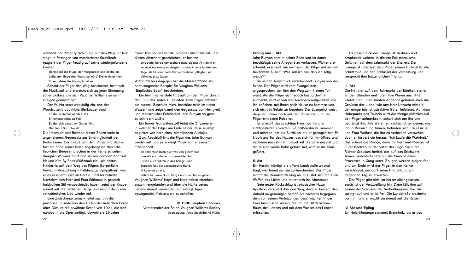während der Pilger lyrisch "Zeig mir den Weg, O Herr" singt. In Passagen von wunderbarer Strahlkraft reagiert der Pilger freudig auf seine wiedergefundene Freiheit:

Nähme ich die Flügel der Morgenröte und bliebe am äußersten Ende des Meers, so würd' Deine Hand mich führen, deine Rechte mich halten.

Sobald der Pilger den Weg beschreitet, hellt sich die Musik auf und erweicht sich zu jener Stimmung stiller Ekstase, die sich Vaughan Williams so sehr zueigen gemacht hat.

Der IV. Akt setzt weitläufig ein, ehe der Woodcutter's boy (Holzfällerknabe) singt:

Er, der in Demut wandelt still,

Er kommet nicht zu Fall,

Er, der sich beugt vor Gottes Will, Den führt Gott überall.

Die Unschuld und Reinheit dieser Zeilen steht in angenehmem Gegensatz zur Eindringlichkeit der Kerkerszene. Der Knabe teilt dem Pilger mit, daß er fast am Ende seiner Reise angelangt ist, denn die lieblichen Berge sind schon in der Ferne zu sehen. Vaughan Williams führt nun als humorvollen Kontrast Mr und Mrs By-Ends (Süßmaul) ein, "als drittes Hindernis auf dem Weg des Pilgers (körperliche Gewalt – Versuchung – halbherzige Sympathie)", wie er es in einem Brief an Gerald Finzi formulierte. Nachdem sich Herr und Frau Süßmaul in gespielt huldvollem Stil verabschiedet haben, zeigt der Knabe erneut auf die lieblichen Berge und nimmt dann sein volkstümliches Lied wieder auf.

Eine Zwischenaktsmusik leitet sacht in die pastorale Episode von den Hirten der lieblichen Berge über. Dies ist die erwähnte Szene von 1921, die sich nahtlos in die Oper einfügt, obwohl sie 25 Jahre

früher komponiert wurde. Simona Pakenham hat über diesen Abschnitt geschrieben, er besitze

eine süße, herbe Atmosphäre ganz eigener Art, denn er versetzt ein wenig nostalgisch zurück in jene taufrischen Tage, als Musiker noch früh aufzustehen pflegten, um Volkslieder zu jagen.

Wilfrid Mellers dagegen hat die Musik treffend als herausragendes Beispiel für Vaughan Williams' "Englisches Eden" beschrieben.

Ein himmlischer Bote tritt auf, um den Pilger durch den Fluß des Todes zu geleiten. Dem Pilger entfährt ein kurzes "Beschütz mich, beschütz mich im tiefen Wasser" und zeigt damit den Gegensatz von Heiligkeit und menschlicher Fehlbarkeit, den Bunyan so genau zu schildern wußte.

Ein ferner Trompetenstoß leitet die 3. Szene ein, in welcher der Pilger am Ende seiner Reise anlangt, begleitet von herrlichen, himmlischen Allelujas. Zum Abschluß tritt die Figur des John Bunyan

wieder auf und es erklingt Musik von erlesener Erhabenheit:

Ihr seht mein Buch hier, voll von gutem Rat, Lasset's euch dienen zu geweihter Tat. Es will euch führen in das heil'ge Land, Ergreifet fest die ausgestreckte Hand. O, kommet zu mir,

Nehmt hin mein Buch. Mög's euch zu Herzen gehen. Vaughan Williams' Kopf und Herz haben ebenfalls zusammengefunden und über die Hälfte seines Lebens darauf verwendet, ein einzigartiges, bewegendes Meisterwerk zu schaffen.

> **© 1998 Stephen Connock** Vorsitzender der Ralph Vaughan Williams Society Übersetzung: Anne Steeb/Bernd Müller

# **Prolog und I. Akt**

John Bunyan sitzt in seiner Zelle und ist damit beschäftigt, seine Allegorie zu verfassen. Während er schreibt, erscheint wie im Traum der Pilger mit seinem bekannten Ausruf: "Was soll ich tun, daß ich selig werde?"

Im selben Augenblick verschwindet Bunyan von der Szene. Der Pilger wird vom Evangelisten angesprochen, der ihm den Weg zum kleinen Tor weist. Als der Pilger sich jedoch hastig dorthin aufmacht, wird er von vier Nachbarn aufgehalten, die ihn anflehen, mit ihnen nach Hause zu kommen und sich nicht in Gefahr zu begeben. Der Evangelist weist dagegen immer noch auf den Pilgerpfad, und der Pilger tritt seine Reise an.

Er erreicht das prächtige Haus, wo ihn drei Lichtgestalten erwarten. Sie heißen ihn willkommen und nehmen ihm die Bürde ab, die er getragen hat. Er klopft ans Tor des Hauses, das sich für ihn öffnet, und nachdem man ihm ein Siegel auf die Stirn gesetzt und ihn in eine weiße Robe gehüllt hat, wird er ins Haus geführt.

# **II. Akt**

Ein Herold kündigt die offene Landstraße an und fragt, wer bereit sei, sie zu beschreiten. Der Pilger nimmt die Herausforderung an. Er rüstet sich mit allen Waffen des Lichts und stürzt sich ins Abenteuer.

Sein erster Rückschlag ist physischer Natur. Apollyon versperrt ihm den Weg, doch er besiegt den Unhold im grimmigen Kampf. Als nächstes begegnen dem von seinen Verletzungen geschwächten Pilger zwei himmlische Wesen, die ihn mit Blättern vom Baum des Lebens und mit dem Wasser des Lebens erfrischen.

Da gesellt sich der Evangelist zu ihnen und prophezeit weitere, in diesem Fall moralische Gefahren auf dem Jahrmarkt der Eitelkeit. Der Evangelist überlässt dem Pilger seinen Hirtenstab, die Schriftrolle und den Schlüssel der Verheißung und verspricht ihm letztendlichen Triumph.

# **III. Akt**

Die Händler auf dem Jahrmarkt der Eitelkeit stehen an den Ständen und rufen ihre Waren aus: "Hier, kaufet hier!" Zum bunten Angebot gehören auch die Genüsse der Liebe, wie uns Herr Unzucht mitteilt, der einige höchst attraktive Güter feilbietet. Auf dem Höhepunkt des Trubels wird die Menge plötzlich auf den Pilger aufmerksam, schart sich um ihn und bedrängt ihn, ihre Waren zu kaufen. Unter denen, die ihn in Versuchung führen, befinden sich Frau Luxus und Frau Wollust, die ihn zu verlocken versuchen, doch er fordert sie heraus: "Ich kaufe die Wahrheit." Das erbost die Menge, denn ihr Herr und Meister ist Fürst Beelzebub, der Vater der Lüge. Sie rufen Richter Grausam herbei, der auf das Stichwort seines Gerichtsdieners hin die Parodie eines Prozesses in Gang setzt. Zeugen werden aufgerufen, und am Ende wird der Pilger in den Kerker verschleppt, um dort seine Hinrichtung am folgenden Tag zu erwarten.

Der Pilger gibt sich, im Kerker alleingelassen, zunächst der Verzweiflung hin. Dann fällt ihm auf einmal der Schlüssel der Verheißung ein. Die Tür springt auf, und er ist frei. Die Landstraße erscheint vor ihm, und er macht sie erneut auf die Reise.

# **IV. Akt und Epilog**

Ein Holzfällerjunge sammelt Brennholz, als er des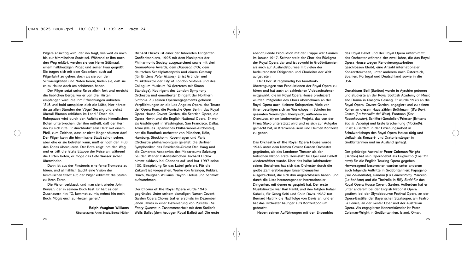Pilgers ansichtig wird, der ihn fragt, wie weit es noch bis zur himmlischen Stadt sei. Während er ihm noch den Weg erklärt, werden sie von Herrn Süßmaul, einem halbherzigen Pilger, und seiner Frau gegrüßt. Sie tragen sich mit dem Gedanken, auch auf Pilgerfahrt zu gehen, doch als sie von den Schwierigkeiten und Nöten hören, finden sie, daß sie es zu Hause doch am schönsten haben.

Der Pilger setzt seine Reise allein fort und erreicht die lieblichen Berge, wo er von drei Hirten empfangen wird, die ihm Erfrischungen anbieten. "Süß und hold umspielen dich die Lüfte, hier hörest du zu allen Stunden der Vögel Gesang und siehst überall Blumen erblühen im Land." Doch die Ruhepause wird durch den Auftritt eines himmlischen Boten unterbrochen, der ihm mitteilt, daß der Herr ihn zu sich rufe. Er durchbohrt sein Herz mit einem Pfeil, zum Zeichen, dass er nicht länger säumen darf. Der Pilger kann die himmlische Stadt schon sehen, aber ehe er sie betreten kann, muß er noch den Fluß des Todes überqueren. Der Bote zeigt ihm den Weg, und er tritt die letzte Etappe der Reise an, während die Hirten beten, er möge das tiefe Wasser sicher überwinden.

Dann ist aus der Finsternis eine ferne Trompete zu hören, und allmählich taucht eine Vision der himmlischen Stadt auf; der Pilger erklimmt die Stufen zu ihren Toren.

Die Vision verblasst, und man sieht wieder John Bunyan, der in seinem Buch liest. Er hält es den Zuschauern hin: "O, kommet zu mir, nehmt hin mein Buch. Mög's euch zu Herzen gehen."

> **Ralph Vaughan Williams** Übersetzung: Anne Steeb/Bernd Müller

**Richard Hickox** ist einer der führenden Dirigenten Großbritanniens, 1995 mit dem Musikpreis der Philharmonic Society ausgezeichnet sowie mit drei *Gramophone* Awards, dem *Diapason d'Or*, dem deutschen Schallplattenpreis und einem *Grammy* (für Brittens *Peter Grimes*). Er ist Gründer und Musikdirektor der City of London Sinfonia und des Collegium Musicum 90 (letzteres mit Simon Standage), Kodirigent des London Symphony Orchestra und emeritierter Dirigent der Northern Sinfonia. Zu seinen Opernengagements gehören Verpflichtungen an die Los Angeles Opera, das Teatro dell'Opera Rom, die Komische Oper Berlin, das Royal Opera House Covent Garden, die Scottish Opera, die Opera North und die English National Opera. Er war als Gastdirigent in Washington, San Francisco, Dallas, Tokio (Neues Japanisches Philharmonie-Orchester), hat die Rundfunk-orchester von München, Köln, Hamburg, Stockholm, Kopenhagen und Paris (Orchestre philharmonique) geleitet, die Berliner Symphoniker, das Residentie-Orkest Den Haag und die Camerata Academica des Mozarteums Salzburg bei den Wiener Osterfestwochen. Richard Hickox nimmt exklusiv bei Chandos auf und hat 1997 seine 100. Einspielung für das Label gefeiert. Für die Zukunft ist vorgesehen, Werke von Grainger, Rubbra, Bruch, Vaughan Williams, Haydn, Delius und Schmidt aufzunehmen.

Der **Chorus of the Royal Opera** wurde 1946 gegründet. Unter seinem damaligen Namen Covent Garden Opera Chorus trat er erstmals im Dezember jenen Jahres in einer Inszenierung von Purcells *The Faery Queene* in Zusammenarbeit mit dem Sadler's Wells Ballet (dem heutigen Royal Ballet) auf. Die erste

abendfüllende Produktion mit der Truppe war *Carmen* im Januar 1947. Seither stellt der Chor das Rückgrat der Royal Opera dar und ist sowohl in Großbritannien als auch auf Auslandstournee mit vielen der bedeutendsten Dirigenten und Chorleiter der Welt aufgetreten.

Der Chor ist regelmäßig bei Rundfunkübertragungen von Produktionen der Royal Opera zu hören und hat auch an zahlreichen Videoaufnahmen mitgewirkt, die im Royal Opera House produziert wurden. Mitgleider des Chors übernehmen an der Royal Opera auch kleinere Solopartien. Viele von ihnen beteiligen sich an Workshops in Schulen im gesamten Vereinigten Königreich, außerdem an *Overtures*, einem landesweiten Projekt, das von der Firma Glaxo unterstützt wird und es sich zur Aufgabe gemacht hat, in Krankenhäusern und Heimen Konzerte zu geben.

Das **Orchestra of the Royal Opera House** wurde 1946 unter dem Namen Covent Garden Orchestra gegründet, als das Londoner Theater als der britischen Nation erste Heimstatt für Oper und Ballett wiedereröffnet wurde. Über das halbe Jahrhundert seines Bestehens hat sich das Orchester durch die große Zahl erstklassiger Ensemblemusiker ausgezeichnet, die sich ihm angeschlossen haben, und durch die Liste herausragender internationaler Dirigenten, mit denen es gespielt hat. Der erste Musikdirektor war Karl Rankl, und ihm folgten Rafael Kubelik, Sir Georg Solti und Colin Davis. 1987 trat Bernard Haitink die Nachfolge von Davis an, und er hat das Orchester häufiger aufs Konzertpodium gebracht.

Neben seinen Aufführungen mit den Ensembles

des Royal Ballet und der Royal Opera unternimmt das Orchester während der zwei Jahre, die das Royal Opera House wegen Renovierungsarbeiten geschlossen bleibt, eine Anzahl internationaler Konzerttourneen, unter anderem nach Österreich, Spanien, Portugal und Deutschland sowie in die USA.

**Donaldson Bell** (Bariton) wurde in Ayrshire geboren und studierte an der Royal Scottish Academy of Music and Drama in Glasgow Gesang. Er wurde 1978 an die Royal Opera, Covent Garden, engagiert und zu seinen Rollen an diesem Haus zählen Brühlmann (*Werther*), Castro (*La fanciulla del West*), Footman (*Der Rosenkavalier*), Schiffer/Gondolier/Priester (Brittens *Tod in Venedig*) und Erste Erscheinung (*Macbeth*). Er ist außerdem in der Erziehungsarbeit in Schulworkshops des Royal Opera House tätig und vielfach als Konzert- und Oratoriensänger in Großbritannien und im Ausland gefragt.

Der gebürtige Australier **Peter Coleman-Wright** (Bariton) hat sein Operndebüt als Guglielmo (*Così fan tutte*) für die English Touring Opera gegeben. Hervorragend besprochen wurden unter anderem auch folgende Auftritte in Großbritannien: Papageno (*Die Zauberflöte*), Dandini (*La Cenerentola*), Marcello (*La bohème*) und die Titelrolle in *Billy Budd* für das Royal Opera House Covent Garden. Außerdem hat er unter anderem bei der English National Opera gastiert, bei der Glyndebourne Festival Opera, an der Opéra-Bastille, der Bayerischen Staatsoper, am Teatro La Fenice, an der Genfer Oper und der Australian Opera. Als engagierter Konzertkünstler ist Peter Coleman-Wright in Großbritannien, Island, Oman,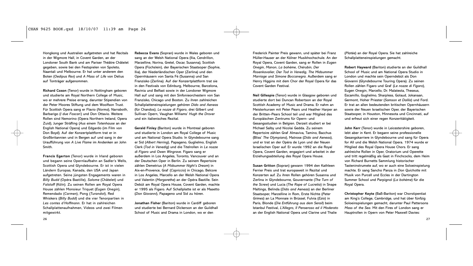Hongkong und Australien aufgetreten und hat Recitals in der Wigmore Hall, in Covent Garden, an der Londoner South Bank und am Pariser Théâtre Châtelet gegeben, sowie bei den Festspielen von Spoleto, Naantali und Melbourne. Er hat unter anderem den Boten (*Oedipus Rex*) und *A Mass of Life* von Delius auf Tonträger aufgenommen.

**Richard Coxon** (Tenor) wurde in Nottingham geboren und studierte am Royal Northern College of Music, wo er mehrere Preise errang, darunter Stipendien von der Peter Moores Stiftung und dem Woolfson Trust. Für Scottish Opera sang er Flavio (*Norma*), Narraboth, Barbarigo (*I due Foscari*) und Don Ottavio. Weitere Rollen sind Nemorino (Opera Northern Ireland, Opera Zuid), Junger Sträfling (*Aus einem Totenhause* an der English National Opera) und Edgardo (im Film von Don Boyd). Auf der Konzertplattform trat er in Großbritannien und in Bergen auf und sang in der Uraufführung von *A Live Flame* im Andenken an John Smith.

**Francis Egerton** (Tenor) wurde in Irland geboren und begann seine Opernlaufbahn an Sadler's Wells, Scottish Opera und Glyndebourne. Er ist in vielen Ländern Europas, Kanada, den USA und Japan aufgetreten. Seine jüngsten Engagements waren in *Billy Budd* (Opéra Bastille), *Salome* (Châtelet) und *Falstaff* (Köln). Zu seinen Rollen am Royal Opera House zählen Monsieur Triquet (*Eugen Onegin*), Remendado (*Carmen*), Pong (*Turandot*), Red Whiskers (*Billy Budd*) und die vier Tenorpartien in *Les contes d'Hoffmann*. Er hat in zahlreichen Schallplattenaufnahmen, Videos und zwei Filmen mitgewirkt.

**Rebecca Evans** (Sopran) wurde in Wales geboren und sang an der Welsh National Opera (Ilia, Cendrillon, Marzelline, Norina, Gretel, Oscar, Susanna), Scottish Opera (Füchslein), der Bayerischen Staatsoper (Sophie, Ilia), der Niederländischen Oper (Zerlina) und den Opernhäusern von Santa Fé (Susanna) und San Franzisko (Zerlina). Auf der Konzertplattform trat sie in den Festivals von Edinburg, Melbourne, Barcelona, Ravinia und Belfast sowie in der Londoner Wigmore Hall auf und sang mit den Sinfonieorchestern von San Franzisko, Chicago und Boston. Zu ihren zahlreichen Schallplatteneinspielungen gehören *Dido and Aeneas* (für Chandos), *Le nozze di Figaro*, drei Gilbert und Sullivan Opern, Vaughan Williams' *Hugh the Drover* und ein italienisches Rezital.

**Gerald Finley** (Bariton) wurde in Montreal geboren und studierte in London am Royal College of Music und am National Opera Studio. In Glyndebourne sang er Sid (*Albert Herring*), Papageno, Guglielmo, English Clerk (*Tod in Venedig*) und die Titelrollen in *Le nozze di Figaro* und *Owen Wingrave*. Figaro sang er außerdem in Los Angeles, Toronto, Vancouver und an der Deutschen Oper in Berlin. Zu seinem Repertoire zählen Demetrius (*A Midsummer Night's Dream*) in Aix-en-Provence, Graf (*Capriccio*) in Chicago, Belcore in Los Angeles, Marcello an der Welsh National Opera und Valentin (*Margarethe*) an der Opéra Bastille. Sein Debüt am Royal Opera House, Covent Garden, machte er 1995 als Figaro. Auf Schallplatte ist er als Masetto (*Don Giovanni*), Papageno und Sid zu hören.

**Jonathan Fisher** (Bariton) wurde in Cardiff geboren und studierte bei Bernard Dickerson an der Guildhall School of Music and Drama in London, wo er den

Frederick Painter Preis gewann, und später bei Franz Müller-Hauser an der Kölner Musikhochschule. An der Royal Opera, Covent Garden, sang er Rollen in *Eugen Onegin*, *Manon*, *La bohème*, *Chèrubin*, *Der Rosenkavalier*, *Der Tod in Venedig*, *The Midsummer Marriage* und *Simone Boccanegra*. Außerdem sang er Henry Higgins mit dem Chor der Royal Opera für das Covent Garden Festival.

**Neil Gillespie** (Tenor) wurde in Glasgow geboren und studierte dort bei Duncan Robertson an der Royal Scottish Academy of Music and Drama. Er nahm an Meisterkursen mit Peter Pears und Heather Harper an der Britten–Pears School teil und war Mitglied des Europäischen Zentrums für Opern- und Gesangsstudien in Belgien. Derzeit studiert er bei Michael Salby und Nicolai Gedda. Zu seinem Repertoire zählen Graf Almaviva, Tamino, Bacchus (Bliss' *The Olympians*), Matrose (*Dido and Aeneas*), und er trat an der Opéra de Lyon und der Neuen Israelischen Oper auf. Er wurde 1992 an die Royal Opera, Covent Garden, engagiert und arbeitet in der Erziehungsabteilung des Royal Opera House.

**Susan Gritton** (Sopran) gewann 1994 den Kathleen Ferrier Preis und trat europaweit in Rezital und Konzerten auf. Zu ihren Rollen gehören Susanna und Zerlina in Glyndebourne, Gouvernante (*The Turn of the Screw*) und Lucia (*The Rape of Lucretia*) in Snape Maltings, Belinda (*Dido and Aeneas*) an der Berliner Staatsoper, Marzelline in Rom, Erste Nichte (*Peter Grimes*) an La Monnaie in Brüssel, Fulvia (*Ezio*) in Paris, Blonde (*Die Entführung aus dem Serail*) beim Istanbul Festival, *L'Allegro*, *Il Penseroso ed il Moderato* an der English National Opera und Clarine und Thalie

(*Platée*) an der Royal Opera. Sie hat zahlreiche Schallplatteneinspielungen gemacht.

**Robert Hayward** (Bariton) studierte an der Guildhall School of Music und am National Opera Studio in London und machte sein Operndebüt als Don Giovanni (Glyndebourne Touring Opera). Zu seinen Rollen zählen Figaro und Graf (*Le nozze di Figaro*), Eugen Onegin, Marcello, Dr. Malatesta, Theseus, Escamillo, Guglielmo, Sharpless, Golaud, Jokanaan, Germont, Hoher Priester (*Samson et Dalila*) und Ford. Er trat an allen bedeutenden britischen Opernhäusern sowie der Neuen Israelischen Oper, der Bayerischen Staatsoper, in Houston, Minnesota und Cincinnati, auf und erfreut sich einer regen Konzerttätigkeit.

**John Kerr** (Tenor) wurde in Leicestershire geboren, lebt aber in Kent. Er begann seine professionelle Gesangskarriere in Glyndebourne und sang für Opera for All und die Welsh National Opera. 1974 wurde er Mitglied des Royal Opera House Chors. Er sang zahlreiche Rollen in Oper, Oratorium und Operette und tritt regelmäßig als Gast in Finchcocks, dem Heim von Richard Burnetts Sammlung historischer Tasteninstrumete auf, wo er auch eine Soloeinspielung machte. Er sang Sancho Panza in *Don Quichotte* mit Musik von Purcell und Eccles in der Dartington Summer School und Parpignol (*La bohème*) für die Royal Opera.

**Christopher Keyte** (Baß-Bariton) war Chorstipentiat am King's College, Cambridge, und hat über fünfzig Soloeinspielungen gemacht, darunter Paul Pattersons *Mass of the Sea*. Mit den Fires of London sang er Hauptrollen in Opern von Peter Maxwell Davies: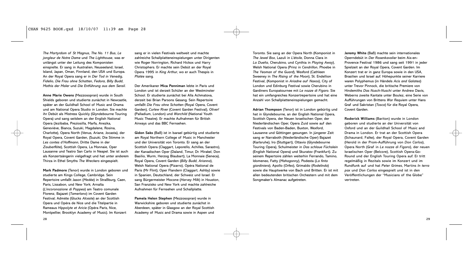*The Martyrdom of St Magnus*, *The No. 11 Bus*, *Le jongleur de Notre Dame* und *The Lighthouse*, was er unlängst unter der Leitung des Komponisten einspielte. Er sang in Australien, Neuseeland, Israel, Island, Japan, Oman, Finnland, den USA und Europa. An der Royal Opera sang er in *Der Tod in Venedig*, *Fidelio*, *Die Frau ohne Schatten*, *Fedora*, *Billy Budd*, *Mathis der Maler* und *Die Entführung aus dem Serail*.

**Anne Marie Owens** (Mezzosopran) wurde in South Shields geboren und studierte zunächst in Newcastle, später an der Guildhall School of Music and Drama und am National Opera Studio in London. Sie machte ihr Debüt als Mistress Quickly (Glyndebourne Touring Opera) und sang seitdem an der English National Opera (Jezibaba, Preziosilla, Marfa, Anezka, Geneviéve, Bianca, Suzuki, Magdalene, Rosina, Charlotte), Opera North (Venus, Ariane, Jocasta), der Royal Opera, Covent Garden, (Suzuki, Die Stimme in *Les contes d'Hoffmann*, Dritte Dame in der *Zauberflöte*), Scottish Opera, La Monnaie, Oper Lausanne und Teatro San Carlo in Neapel. Sie ist auch als Konzertsängerin vielgefragt und hat unter anderem Thirza in Ethel Smyths *The Wreckers* eingespielt.

**Mark Padmore** (Tenor) wurde in London geboren und studierte am Kings College, Cambridge. Sein Repertoire umfaßt Jason (*Medée*) in Straßburg, Caen, Paris, Lissabon, und New York; Arnalta (*L'incoronazione di Poppea*) am Teatro comunale Florenz, Bajazet (*Tamerlano*) im Covent Garden Festival; Admète (Glucks *Alceste*) an der Scottish Opera und Opéra de Nice und die Titelpartie in Rameaus *Hippolyte et Aricie* (Opéra Paris, Nice, Montpellier, Brooklyn Academy of Music). Im Konzert

sang er in vielen Festivals weltweit und machte zahlreiche Schallplatteneinspielungen unter Dirigenten wie Roger Norrington, Richard Hickox und Harry Christophers. Er machte sein Debüt an der Royal Opera 1995 in *King Arthur*, wo er auch Thespis in *Platée* sang.

Der Amerikaner **Mica Penniman** lebte in Paris und London und ist derzeit Schüler an der Westminster School. Er studierte zunächst bei Alla Achmatova, derzeit bei Brian Parsons Gesang. Sein Repertoire umfaßt *Die Frau ohne Schatten* (Royal Opera, Covent Garden), *Curlew River* (Covent Garden Festival), *Oliver!* (Palladium, London) und *Warchild* (National Youth Music Theatre). Er machte Aufnahmen für British Airways und das BBC Fernsehen.

**Gidon Saks** (Baß) ist in Isarael gebürtig und studierte am Royal Northern College of Music in Manchester und der Universität von Toronto. Er sang an der Scottish Opera (Claggart, Leporello, Achilles, Sarastro), der Kanadischen Oper (Daland, Timur, Dr. Mirakel, Don Basilio, Wurm, Herzog Blaubart), La Monnaie (Seneca), Royal Opera, Covent Garden (*Billy Budd*, *Arianna*), Welsh National Opera (Pizarro), Opéra National de Paris (Mr Flint), Oper Flandern (Claggart, Ashby) sowie in Spanien, Deutschland, der Schweiz und Israel. Er sang Bürgermeister Mocone (*Harvey Milk*) in Houston, San Franzisko und New York und machte zahlreiche Aufnahmen für Fernsehen und Schallplatte.

**Pamela Helen Stephen** (Mezzosopran) wurde in Warwickshire geboren und studierte zunächst in Aberdeen, später in Glasgow an der Royal Scottish Academy of Music and Drama sowie in Aspen und

Toronto. Sie sang an der Opera North (Komponist in *The Jewel Box*, Lazuli in *L'étoile*, Donna Clara in *La Dueña*, Cherubino, und Cynthia in *Playing Away*), Welsh National Opera (Prinz in *Cendrillon*, Phoebe in *The Yeoman of the Guard*), Wexford (Cathleen Sweeney in *The Rising of the Moon*), St. Endellion Festival, (Komponist in *Ariadne auf Naxos*), City of London und Edinburg Festival sowie Cherubino in Gardiners Europatournee mit *Le nozze di Figaro*. Sie hat ein umfangreiches Konzertrepertoire und hat eine Anzahl von Schallplatteneinspielungen gemacht.

**Adrian Thompson** (Tenor) ist in London gebürtig und hat in Glyndebourne, an der English National Opera, Scottish Opera, der Neuen Israelischen Oper, der Niederländischen Oper, Opera Zuid sowie auf den Festivals von Baden-Baden, Buxton, Wexford, Lausanne und Göttingen gesungen. In jüngerer Zeit sang er Narraboth (Niederländische Oper) Bajazet (Karlsruhe), Iro (Stuttgart), Ottavio (Glyndebourne Touring Opera), Schulmeister in *Das schlaue Füchslein* (English National Opera) und Skuratov (Frankfurt). Zu seinem Repertoire zählen weiterhin Ferrando, Tamino, Idomeneo, Fatty (*Mahagonny*), Podesta (*La finta giardiniera*), Apollo (*Orfeo*), Grimaldo (*Rodelinda*) sowie die Hauptwerke von Bach und Britten. Er ist mit allen bedeutenden britischen Orchestern und mit dem Songmaker's Almanac aufgetreten.

**Jeremy White** (Baß) machte sein internationales Operndebüt in *Der Rosenkavalier* beim Aix-en-Provence Festival 1986 und sang seit 1991 in jeder Spielzeit an der Royal Opera, Covent Garden. Im Konzert trat er in ganz Europa sowie in den USA, Brasilien und Israel auf. Höhepunkte seiner Karriere waren Polyphemus (in Händels *Acis and Galatea*) unter Trevor Pinnock, die britische Premiere von Hindemiths *Das Nusch-Nuschi* unter Andrew Davis, Weberns zweite Kantate unter Boulez, eine Serie von Aufführungen von Brittens *War Requiem* unter Hans Graf und Sakristan (*Tosca*) für die Royal Opera, Covent Garden.

**Roderick Williams** (Bariton) wurde in London geboren und studierte an der Universität von Oxford und an der Guildhall School of Music and Drama in London. Er trat an der Scottish Opera (Schaunard, Falke), der Royal Opera, Covent Garden (Herold in der Prom-Aufführung von *Don Carlos*), Opera North (Graf in *Le nozze di Figaro*), der neuen Israelischen Oper (Belcore), Scottish Opera-Go-Round und der English Touring Opera auf. Er tritt regelmäßig in Rezitals sowie im Konzert und im Rundfunk auf und hat *Peter Grimes*, Martins *In terra pax* und *Don Carlos* eingespielt und ist in den Veröffentlichungen der "Musicians of the Globe" vertreten.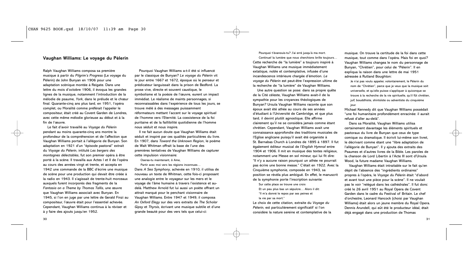# **Vaughan Williams: Le voyage du Pèlerin**

Ralph Vaughan Williams composa sa première musique à partir du *Pilgrim's Progress* (Le voyage du Pèlerin) de John Bunyan en 1906 pour une adaptation scènique montée à Reigate. Dans une lettre du mois d'octobre 1906, il évoqua les grandes lignes de la musique, notamment l'introduction de la mélodie de psaume, *York*, dans le prélude et le chœur final. Quarante-cinq ans plus tard, en 1951, l'opéra complet, ou Moralité comme préférait l'appeler le compositeur, était créé au Covent Garden de Londres, avec cette même mélodie glorieuse au début et à la fin de l'œuvre.

Le fait d'avoir travaillé au *Voyage du Pèlerin* pendant au moins quarante-cinq ans montre la profondeur de la compréhension et de l'affection que Vaughan Williams portait à l'allégorie de Bunyan. Son adaptation en 1921 d'un "épisode pastoral" extrait du *Voyage du Pèlerin*, intitulé *Les bergers des montagnes délectables*, fut son premier opéra à être porté à la scène. Il travailla aux Actes I et II de l'opéra au cours des années vingt et trente, et accepta en 1942 une commande de la BBC d'écrire une musique de scène pour une production qui devait être créée à la radio en 1943. Il s'agissait de trente-huit morceaux auxquels furent incorporés des fragments de la *Fantasia on a Theme by Thomas Tallis*, une œuvre que Vaughan Williams associait avec Bunyan. En 1945, si l'on en juge par une lettre de Gerald Finzi au compositeur, l'œuvre était pour l'essentiel achevée. Cependant, Vaughan Williams continua à la réviser et à y faire des ajouts jusqu'en 1952.

Pourquoi Vaughan Williams a-t-il été si influencé par le classique de Bunyan? *Le voyage du Pèlerin* vit le jour entre 1667 et 1672, époque où le penseur et prédicateur languissait dans la prison de Bedford. La prose vive, directe et souvent caustique, le symbolisme et la poésie de l'œuvre, eurent un impact immédiat. Le réalisme de maints personnages, si reconnaissables dans l'expérience de tous les jours, se trouve mélé à des messages puissamment réformateurs mettant l'accent sur le voyage spirituel de l'homme vers l'Eternité. La coexistence de la foi puritaine et de la faillibilité quotidienne de l'homme nous séduit et nous inspire.

Il ne fait aucun doute que Vaughan Williams était séduit et inspiré par ces qualités particulières du livre. En 1907, dans *Toward the Unknown Region*, le poème de Walt Whitman offrait la base de l'une des premières tentatives de Vaughan Williams de capturer cette impulsion visionnaire:

Oseras-tu maintenant, ô Ame,

Partir avec moi vers les régions inconnues…

Dans *A Sea Symphony*, achevée en 1910, il utilisa de nouveau un texte de Whitman, cette fois-ci proposant une analogie entre le voyageur sur les mers et le voyage de l'âme humaine à travers l'existence et audelà. Matthew Arnold fut lui aussi un poète offrant un attrait marqué pour le penchant visionnaire de Vaughan Williams. Entre 1947 et 1949, il composa *An Oxford Elegy* sur des vers extraits de *The Scholar Gipsy* et *Thyrsis*, écrivant une musique subtile et d'une grande beauté pour des vers tels que celui-ci:

Pourquoi t'évanouis-tu? J'ai erré jusqu'à ma mort. Continue! la lumière que nous cherchions brille toujours… Cette recherche de "la lumière" a toujours inspiré à Vaughan Williams une musique immédiatement extatique, noble et contemplative, infusée d'une incandescence intérieure chargée d'émotion. *Le voyage du Pèlerin* est peut-être l'expression ultime de la recherche de "la lumière" de Vaughan Williams.

Une autre question se pose: dans sa propre quête de la Cité céleste, Vaughan Williams avait-il de la sympathie pour les croyances théologiques de Bunyan? Ursula Vaughan Williams raconte que son époux avait été athée au cours de ses années d'étudiant à l'Université de Cambridge, et que plus tard, il devint plutôt agnostique. Elle affirme clairement qu'il ne se considéra jamais comme étant chrétien. Cependant, Vaughan Williams avait une connaissance approfondie des traditions musicales de l'Eglise anglicane puisqu'il avait été organiste à St. Barnabas Church à Londres de 1895 à 1897. Il fut également éditeur musical de l'*English Hymnal* entre 1904 et 1906. Il mit en musique des textes religieux, notamment une Messe en sol mineur, qui lui fit dire: "Il n'y a aucune raison pourquoi un athée ne pourrait pas écrire une bonne messe." C'était en 1922. Avec la Cinquième symphonie, composée en 1943, sa position se révéla plus ambiguë. En effet, le manuscrit de la symphonie porte l'inscription suivante:

Sur cette place se trouve une croix Et un peu plus bas un sépulcre… Alors il dit: "Il m'a donné le repos par ses peines et la vie par sa mort."

Le choix de cette citation, extraite du *Voyage du Pèlerin*, est particulièrement significatif si l'on considère la nature sereine et contemplative de la

musique. On trouve la certitude de la foi dans cette musique, tout comme dans l'opéra. Mais foi en quoi? Vaughan Williams changea le nom du personnage de Bunyan, "Chrétien", pour celui de "Pèlerin". Il en expliqua la raison dans une lettre de mai 1951 adressée à Rutland Boughton:

Je n'ai pas voulu appeler, volontairement, le Pèlerin du nom de "Chrétien", parce que je veux que la musique soit universelle, et qu'elle puisse s'appliquer à quiconque se trouve à la recherche de la vie spirituelle, qu'il fût chrétien, juif, bouddhiste, shintoïste ou adventiste du cinquième jour.

Michael Kennedy dit que Vaughan Williams possédait "une foi humanitaire profondément enracinée: il aurait refusé d'aller au-delà".

Dans sa Moralité, Vaughan Williams utilisa certainement davantage les éléments spirituels et pastoraux du livre de Bunyan que ceux de type comique ou dramatique. Il écrivit lui-même son livret, le décrivant comme étant une "libre adaptation de l'allégorie de Bunyan". Il y ajouta des extraits des Psaumes et d'autres livres de la Bible. Les paroles de la chanson de Lord Libertin à l'Acte III sont d'Ursula Wood, la future madame Vaughan Williams.

Vaughan Williams était intraitable sur le fait qu'en dépit de l'absence des "ingrédients ordinaires" propres à l'opéra, le *Voyage du Pèlerin* était "d'abord et avant tout une pièce pour la scène". Il ne voulait pas le voir "relégué dans les cathédrales". Il fut donc créé le 26 avril 1951 au Royal Opera de Covent Garden dans le cadre du Festival of Britain. Le chef d'orchestre, Leonard Hancock (choisi par Vaughan Williams) était alors un jeune membre du Royal Opera. Dennis Arundell, qui eût été le producteur idéal, était déjà engagé dans une production de Thomas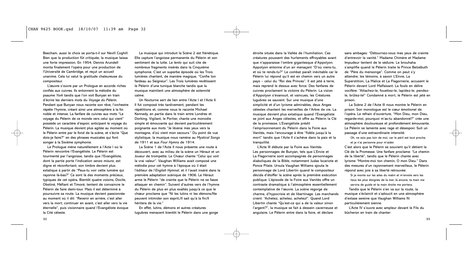Beecham, aussi le choix se porta-t-il sur Nevill Coghill. Bien que la production fût critiquée, la musique laissa une forte impression. En 1954, Dennis Arundell monta finalement l'opéra pour une production de l'Université de Cambridge, et reçut un accueil unanime. Cela lui valut la gratitude chaleureuse du compositeur.

L'œuvre s'ouvre par un Prologue en accords riches confiés aux cuivres. Ils entonnent la mélodie du psaume *York* tandis que l'on voit Bunyan en train d'écrire les derniers mots du *Voyage du Pèlerin*. Pendant que Bunyan nous raconte son rêve, l'orchestre répète l'hymne, créant ainsi une atmosphère à la foi noble et intense. La fanfare de cuivres aux mots "Le voyage du Pèlerin de ce monde vers celui qui vient" possède un caractère d'espoir, anticipant le voyage du Pèlerin. La musique devient plus agitée au moment où le Pèlerin entre par le fond de la scène, et s'écrie "Que dois-je faire?" en des phrases musicales qui font songer à la Sixième symphonie.

Le Prologue mène naturellement à l'Acte I où le Pèlerin rencontre l'Evangéliste. Le Pèlerin est tourmenté par l'angoisse, tandis que l'Evangéliste, dont la partie porte l'indication *senza misura*, est digne et réconfortant; son timbre devient plus extatique à partir de "Peux-tu voir cette lumière qui rayonne là-bas?" Ce sont là des moments précieux, typiques de cet opéra. Bientôt quatre voisins, Docile, Obstiné, Méfiant et Timoré, tentent de convaincre le Pèlerin de faire demi-tour. Mais il est déterminé à poursuivre sa route. La musique devient passionnée au moment où il dit: "Revenir en arrière, c'est aller vers la mort; continuer en avant, c'est aller vers la vie éternelle", puis visionnaire quand l'Evangéliste évoque la Cité céleste.

La musique qui introduit la Scène 2 est frénétique. Elle capture l'angoisse permanente du Pèlerin et son sentiment de la lutte. Le *lento* qui suit cite de nombreux fragments insérés dans la Cinquième symphonie. C'est un superbe épisode où les Trois lumières chantent, de manière magique, "Confie ton fardeau au Seigneur". Les Trois lumières revêtissent le Pèlerin d'une tunique blanche tandis que la musique maintient une atmosphère de solennité calme.

Un Nocturne sert de lien entre l'Acte I et l'Acte II. Il fut composé très tardivement, pendant les répétitions et, comme nous le raconte Michael Kennedy, en partie dans le train entre Londres et Dorking. Vigilant, le Portier, chante une monodie simple et émouvante qui devient particulièrement poignante aux mots "Je lèverai mes yeux vers la montagne, d'où vient mon secours." Du point de vue stylistique, la musique nous ramène au *Mystical Songs* de 1911 et aux *Four Hymns* de 1914.

La Scène 1 de l'Acte II nous présente une route à découvert, avec au milieu de la scène un Héraut et un Joueur de trompette. Le Chœur chante "Celui qui voit la vrai valeur". Vaughan Williams avait composé une mélodie pour cet hymne à l'époque où il était l'éditeur de l'*English Hymnal*, et il l'avait inséré dans la première adaptation scénique de 1906. Le Héraut arme le Pèlerin "de crainte que le Pèlerin ne se fasse attaquer en chemin". Suivent d'autres vers de l'hymne du Pèlerin de plus en plus exaltés jusqu'à ce que le chœur proclame que "Ni les lutins ni les démons/Ne peuvent intimider son esprit;/Il sait qu'à la fin/Il héritera de la vie."

En effet, lutins, démons et autres créatures lugubres menacent bientôt le Pèlerin dans une gorge

étroite située dans la Vallée de l'humiliation. Ces créatures poussent des hurlements effroyables avant que n'apparaisse l'ombre gigantesque d'Appolyon. Appolyon entonne d'un air menaçant "D'où viens-tu, et où te rends-tu?" Le combat paraît inévitable car le Pèlerin lui répond qu'il est en chemin vers un autre pays – celui du "Roi des Princes". Il est jeté à terre, mais reprend le dessus avec force. Des fanfares de cuivres proclament la victoire du Pèlerin. La vision d'Appolyon s'évanouit, et vaincues, les Créatures lugubres se sauvent. Sur une musique d'une simplicité et d'un lyrisme admirables, deux Anges célestes chantent les merveilles de l'Arbre de vie. La musique devient plus extatique quand l'Evangéliste se joint aux Anges célestes, et offre au Pèlerin la Clé de la promesse. L'Evangéliste prédit l'emprisonnement du Pèlerin dans la Foire aux Vanités, mais l'encourage à être "fidèle jusqu'à la mort" tandis que l'Acte II s'achève dans la paix et la tranquilité.

L'Acte III débute par la Foire aux Vanités. Les personnages de Bunyan, tels que L'Envie et La Flagornerie sont accompagnés de personnages diaboliques de la Bible, notamment Judas Iscariote et Ponce Pilate. Ursula Vaughan Williams ajouta le personnage de Lord Libertin quand le compositeur décida d'étoffer la scène après la première exécution publique. L'épisode de la Foire aux Vanités offre un contraste dramatique à l'atmosphère essentiellement contemplative de l'œuvre. La scène regorge de charme, d'hypocrisie et de libertinage. Les marchands crient: "Achetez, achetez, achetez!". Quand Lord Libertin chante "Qu'est-ce qui a de la valeur sinon l'argent?", la musique se fait à dessein caverneuse et angulaire. Le Pèlerin entre dans la foire, et déclare

sans ambages: "Détournez-vous mes yeux de crainte d'entrevoir la vanité." Madame Chimère et Madame Impudeur tentent de le séduire. Le brouhaha s'amplifie quand le Pèlerin traite le Prince Belzébuth de "Père du mensonge". Comme on peut s'y attendre, les témoins, à savoir L'Envie, La Superstition, La Malice et La Flagornerie, accusent le Pèlerin devant Lord Malfaisant. La foule en délire vocifère: "Attachez-le, fouettez-le, lapidez-le, pendezle, brûlez-le!" Condamné à mort, le Pèlerin est jeté en prison.

La Scène 2 de l'Acte III nous montre le Pèlerin en prison. Son monologue est le cœur émotionel de l'opéra. Le refrain d'ouverture, "Mon Dieu, mon Dieu, regarde-moi, pourquoi m'as-tu abandonné?" crée une atmosphère douloureuse et profondément émouvante. Le Pèlerin se lamente avec rage et désespoir. Suit un passage d'une extraordinaire intensité:

Oh, ne sois pas loin de moi, car le péril est tout proche, et je n'ai personne pour m'aider.

C'est alors que le Pèlerin se souvient qu'il détient la Clé de la Promesse. Une fanfare proclame: "Le chemin de la liberté", tandis que le Pèlerin chante avec lyrisme "Montre-moi ton chemin, O mon Dieu." Dans des mesures d'un rayonnement merveilleux, le Pèlerin répond avec joie à sa liberté retrouvée:

Si je monte sur les ailes du matin et m'envole vers les lieux les plus éloignés de la mer, là encore, ta main me servira de guide et ta main droite me portera.

Tandis que le Pèlerin s'en va sur la route, la musique s'éclaircit et s'adoucit en une atmosphère d'extase sereine que Vaughan Williams fit particulièrement sienne.

L'Acte IV s'ouvre avec ampleur devant le Fils du bûcheron en train de chanter:

32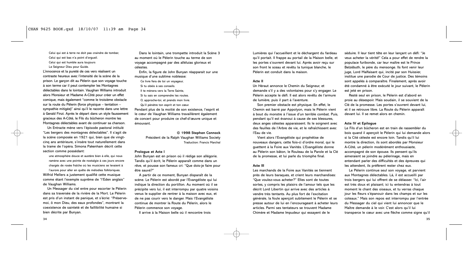Celui qui est à terre ne doit pas craindre de tomber, Celui qui est bas n'a point d'orqueil. Celui qui est humble aura toujours

Le Seigneur Dieu pour Guide. L'innocence et la pureté de ces vers réalisent un contraste heureux avec l'intensité de la scène de la prison. Le garçon dit au Pèlerin que son voyage touche à son terme car il peut contempler les Montagnes délectables dans le lointain. Vaughan Williams introduit alors Monsieur et Madame A-Côté pour créer un effet comique, mais également "comme le troisième obstacle sur la route du Pèlerin (force physique – tentation – sympathie mitigée)" ainsi qu'il le raconte dans une lettre à Gerald Finzi. Après le départ dans un style faussement gracieux des A-Côté, le Fils du bûcheron montre les Montagnes délectables avant de continuer sa chanson.

Un Entracte mène vers l'épisode pastoral intitulé "Les bergers des montagnes délectables". Il s'agit de la scène composée en 1921 qui, bien que de vingtcinq ans antérieure, s'insère tout naturellement dans la trame de l'opéra. Simona Pakenham décrit cette section comme possédant:

une atmosphère douce et austère bien à elle, qui nous ramène avec une pointe de nostalgie à ces jours encore chargés de rosée fraîche où les musiciens se levaient à l'aurore pour aller en quête de mélodies folkloriques.

Wilfrid Mellers a justement qualifié cette musique comme étant l'exemple suprême de "l'Eden anglais" de Vaughan Williams.

Un Messager du ciel entre pour escorter le Pèlerin dans sa traversée de la rivière de la Mort. Le Pèlerin est pris d'un instant de panique, et s'écrie: "Préservemoi, ô mon Dieu, des eaux profondes", montrant la coexistence de sainteté et de faillibilité humaine si bien décrite par Bunyan.

Dans le lointain, une trompette introduit la Scène 3 au moment où le Pèlerin touche au terme de son voyage accompagné par des alléluias glorieux et célestes.

Enfin, la figure de John Bunyan réapparait sur une musique d'une sublime noblesse:

- Ce livre fera de toi un voyageur, Si tu obéis à ses conseils.
- Il te mènera vers la Terre Sainte, Si tu sais en comprendre les routes.
- O, approche-toi, et prends mon livre.
- Qu'il pénètre ton esprit et ton cœur.

Pendant plus de la moitié de son existence, l'esprit et le cœur de Vaughan Williams travaillèrent également de concert pour produire ce chef-d'œuvre unique et émouvant.

> **© 1998 Stephen Connock** Président de la Ralph Vaughan Williams Society Traduction: Francis Marchal

### **Prologue et Acte I**

John Bunyan est en prison où il rédige son allégorie. Tandis qu'il écrit, le Pèlerin apparaît comme dans un rêve, et pousse son fameux cri: "Que dois-je faire pour être sauvé?"

A partir de ce moment, Bunyan disparaît de la scène. Le Pèlerin est abordé par l'Evangéliste qui lui indique la direction du portillon. Au moment où il se précipite vers lui, il est interrompu par quatre voisins venus le supplier de rentrer à la maison avec eux, et de ne pas courir vers le danger. Mais l'Evangéliste continue de montrer la Route du Pèlerin, alors le Pèlerin commence son voyage.

Il arrive à la Maison belle où il rencontre trois

Lumières qui l'accueillent et le déchargent du fardeau qu'il portait. Il frappe au portail de la Maison belle, et les portes s'ouvrent devant lui. Après avoir reçu sur son front le sceau et revêtu la tunique blanche, le Pèlerin est conduit dans la maison.

# **Acte II**

Un Héraut annonce le Chemin du Seigneur, et demande s'il y a des volontaires pour s'y engager. Le Pèlerin accepte le défi. Il est alors revêtu de l'armure de lumière, puis il part à l'aventure.

Son premier obstacle est physique. En effet, le Chemin est barré par Appolyon, mais le Pèlerin vient à bout du monstre à l'issue d'un terrible combat. Puis, pendant qu'il est évanoui à cause de ses blessures, deux anges célestes apparaissent. Ils le soignent avec des feuilles de l'Arbre de vie, et le rafraîchissent avec l'Eau de vie.

Vient alors l'Evangéliste qui prophétise de nouveaux dangers, cette fois-ci d'ordre moral, qui le guettent à la Foire aux Vanités. L'Evangéliste donne au Pèlerin son bâton, le Rouleau de la Parole et la Clé de la promesse, et lui parle du triomphe final.

# **Acte III**

Les marchands de la Foire aux Vanités se tiennent près de leurs baraques, et crient leurs marchandises: "Que voulez-vous acheter?" Elles sont de toutes sortes, y compris les plaisirs de l'amour tels que les décrit Lord Libertin qui arrive avec des articles à vendre très tentants. Au plus fort de l'excitation générale, la foule aperçoit subitement le Pèlerin et se presse autour de lui en l'encourageant à acheter leurs articles. Parmi ses tentateurs se trouvent Madame Chimère et Madame Impudeur qui essayent de le

séduire. Il leur tient tête en leur lançant un défi: "Je veux acheter la vérité!" Cela a pour effet de rendre la populace furibonde, car leur maître est le Prince Belzébuth, le père du mensonge. Ils font venir leur juge, Lord Malfaisant qui, incité par son Huissier, institue une parodie de Cour de justice. Des témoins sont appelés à comparaître. Finalement, après avoir été condamné à être exécuté le jour suivant, le Pèlerin est jeté en prison.

Resté seul en prison, le Pèlerin est d'abord en proie au désespoir. Mais soudain, il se souvient de la Clé de la promesse. Les portes s'ouvrent devant lui, et il se retrouve libre. La Route du Pèlerin apparaît devant lui. Il se remet alors en chemin.

# **Acte IV et Epilogue**

Le Fils d'un bûcheron est en train de rassembler du bois quand il aperçoit le Pèlerin qui lui demande alors si la Cité céleste est encore loin. Tandis qu'il lui montre la direction, ils sont abordés par Monsieur A-Côté, un pèlerin modérément enthousiaste, accompagné de son épouse. Ils pensent qu'ils aimeraient se joindre au pèlerinage, mais en entendant parler des difficultés et des épreuves qui les attendent, ils préfèrent rester chez eux.

Le Pèlerin continue seul son voyage, et parvient aux Montagnes délectables. Là, il est accueilli par trois bergers qui lui offrent de se délasser. "Ici, l'air est très doux et plaisant; ici tu entendras à tout moment le chant des oiseaux, et tu verras chaque jour les fleurs s'épanouir dans les champs et sur les coteaux." Mais son repos est interrompu par l'entrée du Messager du ciel qui vient lui annoncer que le Maître demande à le voir. C'est alors qu'il lui transperce le cœur avec une flèche comme signe qu'il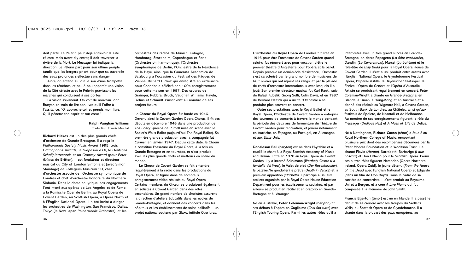doit partir. Le Pèlerin peut déjà entrevoir la Cité céleste, mais avant d'y entrer, il doit traverser la rivière de la Mort. Le Messager lui indique la direction. Le Pèlerin part pour son ultime périple tandis que les bergers prient pour que sa traversée des eaux profondes s'effectue sans danger.

Alors, on entend au loin le son d'une trompette dans les ténèbres, et peu à peu apparaît une vision de la Cité céleste avec le Pèlerin gravissant les marches qui conduisent à ses portes.

La vision s'évanouit. On voit de nouveau John Bunyan en train de lire son livre qu'il l'offre à l'assitance: "O, approche-toi, et prends mon livre, Qu'il pénètre ton esprit et ton cœur."

# **Ralph Vaughan Williams** Traduction: Francis Marchal

**Richard Hickox** est un des plus grands chefs d'orchestre de Grande-Bretagne. Il a reçu le *Philharmonic Society Music Award* 1995, trois *Gramophone Awards*, le *Diapason d'Or*, le *Deutsche Schallplattenpreis* et un *Grammy Award* (pour *Peter Grimes* de Britten). Il est fondateur et directeur musical du City of London Sinfonia et (avec Simon Standage) de Collegium Musicum 90, chef d'orchestre associé de l'Orchestre symphonique de Londres et chef d'orchestre honoraire du Northern Sinfonia. Dans le domaine lyrique, ses engagements l'ont mené aux opéras de Los Angeles et de Rome, à la Komische Oper de Berlin, au Royal Opera de Covent Garden, au Scottish Opera, à Opera North et à l'English National Opera. Il a été invité à diriger les orchestres de Washington, San Francisco, Dallas, Tokyo (le New Japan Phiharmonic Orchestra), et les

orchestres des radios de Munich, Cologne, Hambourg, Stockholm, Copenhague et Paris (Orchestre philharmonique), l'Orchestre symphonique de Berlin, l'Orchestre de la Résidence de la Haye, ainsi que la Camerata Academica de Salzbourg à l'occasion du Festival des Pâques de Vienne. Richard Hickox qui enregistre en exclusivité pour Chandos a célébré son 100e enregistrement pour cette maison en 1997. Des œuvres de Grainger, Rubbra, Bruch, Vaughan Williams, Haydn, Delius et Schmidt s'inscrivent au nombre de ses projets futurs.

Le **Chœur du Royal Opera** fut fondé en 1946. Devenu ainsi le Covent Garden Opera Chorus, il fit ses débuts en décembre 1946 dans une production de *The Faery Queene* de Purcell mise en scène avec le Sadler's Wells Ballet (aujourd'hui The Royal Ballet). Sa première grande production avec la compagnie fut *Carmen* en janvier 1947. Depuis cette date, le Chœur a constitué l'ossature du Royal Opera, à la fois en Grande-Bretagne et en tournées, et s'est produit avec les plus grands chefs et metteurs en scène du monde.

Le Chœur de Covent Garden se fait entendre régulièrement à la radio dans les productions du Royal Opera, et figure dans de nombreux enregistrement vidéo réalisés au Royal Opera. Certains membres du Chœur se produisent également en solistes à Covent Garden dans des rôles secondaires. Un grand nombre de choristes assurent la direction d'ateliers éducatifs dans les écoles de Grande-Bretagne, et donnent des concerts dans les hôpitaux et les établissements de soins palliatifs – un projet national soutenu par Glaxo, intitulé *Overtures*.

**L'Orchestre du Royal Opera** de Londres fut créé en 1946 pour être l'orchestre de Covent Garden quand celui-ci fut réouvert avec pour vocation d'être le premier théâtre d'Angleterre pour l'opéra et le ballet. Depuis presque un demi-siècle d'existence, l'Orchestre s'est caractérisé par le grand nombre de musiciens de haut niveau qui ont rejoint ses rangs, et par la pléiade de chefs d'orchestre internationaux avec lesquels il a joué. Son premier directeur musical fut Karl Rankl, suivi de Rafael Kubelik, Georg Solti, Colin Davis, et en 1987 de Bernard Haitink qui a incité l'Orchestre à se produire plus souvent en concert.

Outre ses prestations avec le Royal Ballet et le Royal Opera, l'Orchestre de Covent Garden a entrepris des tournées de concerts à travers le monde pendant la période des deux ans de fermenture du Théâtre de Covent Garden pour rénovation, et jouera notamment en Autriche, en Espagne, au Portugal, en Allemagne et aux Etats-Unis.

**Donaldson Bell** (baryton) est né dans l'Ayrshire et a étudié le chant à la Royal Scottish Academy of Music and Drama. Entré en 1978 au Royal Opera de Covent Garden, il y a incarné Brühlmann (*Werther*), Castro (*La fanciulla del West*), le Valet de pied (*Der Rosenkavalier*), le batelier/le gondolier/le prêtre (*Death in Venice*) et la première apparition (*Macbeth*). Il participe aussi aux ateliers organisés par le Royal Opera House Education Department pour les établissements scolaires, et par ailleurs se produit en récital et en oratorio en Grande-Bretagne et à l'étranger.

Né en Australie, **Peter Coleman-Wright** (baryton) fit ses débuts à l'opéra en Guglielmo (*Così fan tutte*) avec l'English Touring Opera. Parmi les autres rôles qu'il a

interprétés avec un très grand succès en Grande-Bretagne, on citera Papageno (*La flûte enchantée*), Dandini (*La Cenerentola*), Marcel (*La bohème*) et le rôle-titre de *Billy Budd* pour la Royal Opera House de Covent Garden. Il s'est aussi produit entre autres avec l'English National Opera, le Glyndebourne Festival Opera, l'Opéra-Bastille, la Bayerische Staatsoper, la Fenice, l'Opéra de Genève et l'Opéra d'Australie. Artiste se produisant régulièrement en concert, Peter Coleman-Wright a chanté en Grande-Bretagne, en Islande, à Oman, à Hong-Kong et en Australie et a donné des récitals au Wigmore Hall, à Covent Garden, au South Bank de Londres, au Châtelet, ainsi qu'aux festivals de Spolète, de Naantali et de Melbourne. Au nombre de ses enregistrements figurent le rôle du Messager (*Oedipus Rex*) et *A Mass of Life* de Delius.

Né à Nottingham, **Richard Coxon** (ténor) a étudié au Royal Northern College of Music, remportant plusieurs prix dont des récompenses décernées par la Peter Moores Foundation et le Woolfson Trust. Il a chanté Flavio (*Norma*), Narraboth, Barbarigo (*I due Foscari*) et Don Ottavio pour le Scottish Opera. Parmi ses autres rôles figurent Nemorino (Opera Northern Ireland, Opera Zuid), le jeune détenu (*From the House of the Dead* avec l'English National Opera) et Edgardo (dans un film de Don Boyd). Dans le cadre de sa carrière de concertiste, il s'est produit au Royaume-Uni et à Bergen, et a créé *A Live Flame* qui fut composée à la mémoire de John Smith.

**Francis Egerton** (ténor) est né en Irlande. Il a passé le début de sa carrière avec les troupes du Sadler's Wells, du Scottish Opera et de Glyndebourne. Il a chanté dans la plupart des pays européens, au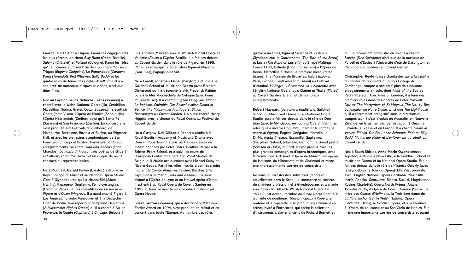Canada, aux USA et au Japon. Parmi ses engagements les plus récents, on citera *Billy Budd* (Opéra-Bastille), *Salomé* (Châtelet) et *Falstaff* (Cologne). Parmi les rôles qu'il a incarnés au Covent Garden, on citera Monsieur Triquet (*Eugène Onéguine*), Le Remendado (*Carmen*), Pong (*Turandot*), Red Whiskers (*Billy Budd*) et les quatre rôles de ténor des *Contes d'Hoffmann*. Il a à son actif de nombreux disques et vidéos, ainsi que deux films.

Née au Pays de Galles, **Rebecca Evans** (soprano) a chanté avec le Welsh National Opera (Ilia, Cendrillon, Marcelline, Norina, Gretel, Oscar, Susanna), le Scottish Opera (Mme Vixen), l'Opéra de Munich (Sophie, Ilia), l'Opéra Néerlandais (Zerline), ainsi qu'à Santa Fe (Susanna) et San Francisco (Zerline). En concert, elle s'est produite aux Festivals d'Edimbourg, de Melbourne, Barcelone, Ravinia et Belfast, au Wigmore Hall, et avec les orchestres symphoniques de San Francisco, Chicago et Boston. Parmi ses nombreux enregistrements, on citera *Dido and Aeneas* (chez Chandos), *Le nozze di Figaro*, trois opéras de Gilbert et Sullivan, *Hugh the Drover* et un disque de récital consacré au répertoire italien.

Né à Montréal, **Gerald Finley** (baryton) a étudié au Royal College of Music et au National Opera Studio. C'est à Glyndebourne qu'il a chanté Sid (*Albert Herring*), Papageno, Guglielmo, l'employé anglais (*Death in Venice*), et les rôles-titres de *Le nozze di Figaro* et d'*Owen Wingrave*. Il a aussi chanté Figaro à Los Angeles, Toronto, Vancouver et à la Deutsche Oper de Berlin. Son répertoire comprend Demetrius (*A Midsummer Night's Dream*) qu'il a chanté à Aix-en-Provence, le Comte (*Capriccio*) à Chicago, Belcore à

Los Angeles, Marcello avec le Welsh National Opera et Valentin (*Faust*) à l'Opéra-Bastille. Il a fait ses débuts au Covent Garden dans le rôle de Figaro, en 1995. Parmi les rôles qu'il a enregistrés figurent Masetto (*Don Juan*), Papageno et Sid.

Né à Cardiff, **Jonathan Fisher** (baryton) a étudié à la Guildhall School of Music and Drama (avec Bernard Dickerson) où il a décroché le prix Frederick Painter, puis à la Musikhochschule de Cologne (avec Franz Müller-Hauser). Il a chanté *Eugène Onéguine*, *Manon*, *La bohème*, *Chérubin*, *Der Rosenkavalier*, *Death in Venice*, *The Midsummer Marriage* et *Simon Boccanegra* au Covent Garden. Il a aussi chanté Henry Higgins avec le choeur du Royal Opera au Festival de Covent Garden.

Né à Glasgow, **Neil Gillespie** (ténor) a étudié à la Royal Scottish Academy of Music and Drama avec Duncan Robertson. Il a pris part à des classes de maître données par Peter Pears, Heather Harper à la Britten–Pears School, et a suivi les cours de l'European Centre for Opera and Vocal Studies de Belgique. Il étudie actuellement avec Michael Salby et Nicolaï Gedda. Parmi les rôles inscrits à son répertoire figurent le Comte Almaviva, Tamino, Bacchus (*The Olympians*), le Marin (*Dido and Aeneas*). Il a aussi chanté à l'Opéra de Lyon et au Nouvel opéra d'Israël. Il est entré au Royal Opera de Covent Garden en 1992 et travaille avec le service éducatif du Royal Opera House.

**Susan Gritton** (soprano), qui a décroché le Kathleen Ferrier Award en 1994, s'est produite en récital et en concert dans toute l'Europe. Au nombre des rôles

qu'elle a incarnés, figurent Susanna et Zerline à Glyndebourne, la Gouvernante (*The Turn of the Screw*) et Lucia (*The Rape of Lucretia*) au Snape Maltings Concert Hall, Belinda (*Dido and Aeneas*) à l'Opéra de Berlin, Marcelline à Rome, la première nièce (*Peter Grimes*) à la Monnaie de Bruxelles, Fulvia (*Ezio*) à Paris, Blonde (*L'enlèvement au sérail*) au Festival d'Istanbul, *L'Allegro*, *il Penseroso ed il Moderato* avec l'English National Opera, puis Clarine et Thalie (*Platée*) au Covent Garden. Elle a fait de nombreux enregistrements.

**Robert Hayward** (baryton) a étudié à la Guildhall School of Music and Drama et au National Opera Studio, puis a fait ses débuts dans le rôle de Don Juan (avec le Glyndebourne Touring Opera). Parmi les rôles qu'il a incarnés figurent Figaro et le comte (*Le nozze di Figaro*), Eugène Onéguine, Marcello, le Dr Malatesta, Theseus, Escamillo, Guglielmo, Sharpless, Goloud, Jokanaan, Germont, le Grand prêtre (*Samson et Dalila*) et Ford. Il s'est produit avec les plus grandes compagnies d'opéra britanniques, avec le Nouvel opéra d'Israël, l'Opéra de Munich, les opéras de Houston, du Minnesota et de Cincinnati et mène une impressionnante carrière de concertiste.

Né dans le Leicestershire **John Kerr** (ténor) vit actuellement dans le Kent. Il a commencé sa carrière de chanteur professionnel à Glyndebourne, et a chanté avec Opera for All et le Welsh National Opera. En 1974, il est devenu membre du Royal Opera Chorus. Il a chanté de nombreux rôles principaux à l'opéra, en oratorio et à l'opérette. Il se produit régulièrement en artiste invité à Finchcocks, qui abrite la collection d'instruments à clavier anciens de Richard Burnett et

où il a récemment enregistré en solo. Il a chanté Sancho (*Don Quichotte*) ainsi que de la musique de Purcell et d'Eccles à l'Université d'été de Dartington, et Parpignol (*La bohème*) au Covent Garden.

**Christopher Keyte** (basse chantante), qui a fait partie du choeur de boursiers du King's College de Cambridge, compte à son actif plus de cinquante enregistrements en solo, dont *Mass of the Sea* de Paul Patterson. Avec Fires of London, il a tenu des premiers rôles dans des opéras de Peter Maxwell Davies: *The Martyrdom of St Magnus*, *The No. 11 Bus*, *Le jongleur de Notre Dame*, ainsi que *The Lighthouse* qu'il a récemment enregistré sous la direction du compositeur. Il s'est produit en Australie, en Nouvelle-Zélande, en Israël, en Islande, au Japon, à Oman, en Finlande, aux USA et en Europe. Il a chanté *Death in Venice*, *Fidelio*, *Die Frau ohne Schatten*, *Fedora*, *Billy Budd*, *Mathis der Maler* et *L'enlèvement au sérail*, au Covent Garden.

Née à South Shields, **Anne-Marie Owens** (mezzosoprano) a étudié à Newcastle, à la Guildhall School of Music and Drama et au National Opera Studio. Elle a fait ses débuts dans le rôle de Mistress Quickly (avec le Glyndebourne Touring Opera). Elle s'est produite avec l'English National Opera (Jezibaba, Preziosilla, Marfa, Anezka, Geneviève, Bianca, Suzuki, Magdalene, Rosine, Charlotte), Opera North (Vénus, Ariane, Jocasta), le Royal Opera de Covent Garden (Suzuki, la mère des *Contes d'Hoffmann*, la Troisième dame de *La flûte enchantée*), le Welsh National Opera (Santuzza, Ulrica), le Scottish Opera, et à la Monnaie, à l'Opéra de Lausanne et au San Carlo de Naples. Elle mène une importante carrière de concertiste et parmi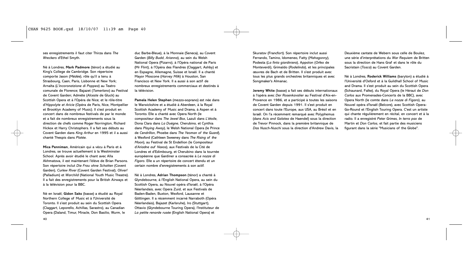ses enregistrements il faut citer Thirza dans *The Wreckers* d'Ethel Smyth.

Né à Londres, **Mark Padmore** (ténor) a étudié au King's College de Cambridge. Son répertoire comporte Jason (*Médée*), rôle qu'il a tenu à Strasbourg, Caen, Paris, Lisbonne et New York; Arnalta (*L'incoronatzione di Poppea*) au Teatro comunale de Florence; Bajazet (*Tamerlano*) au Festival de Covent Garden; Admète (*Alceste* de Gluck) au Scottish Opera et à l'Opéra de Nice; et le rôle-titre d'*Hippolyte et Aricie* (Opéra de Paris, Nice, Montpellier et Brooklyn Academy of Music). Il s'est produit en concert dans de nombreux festivals de par le monde et a fait de nombreux enregistrements sous la direction de chefs comme Roger Norrington, Richard Hickox et Harry Christophers. Il a fait ses débuts au Covent Garden dans *King Arthur* en 1995 et il a aussi chanté Thespis dans *Platée*.

**Mica Penniman**, Américain qui a vécu à Paris et à Londres, se trouve actuellement à la Westminster School. Après avoir étudié le chant avec Alla Akhmatova, il est maintenant l'élève de Brian Parsons. Son répertoire inclut *Die Frau ohne Schatten* (Covent Garden), *Curlew River* (Covent Garden Festival), *Oliver!* (Palladium) et *Warchild* (National Youth Music Theatre). Il a fait des enregistrements pour la British Airways et à la télévision pour la BBC.

Né en Israël, **Gidon Saks** (basse) a étudié au Royal Northern College of Music et à l'Université de Toronto. Il s'est produit au sein du Scottish Opera (Claggart, Leporello, Achillas, Sarastro), au Canadian Opera (Daland, Timur, Miracle, Don Basilio, Wurm, le duc Barbe-Bleue), à la Monnaie (Seneca), au Covent Garden (*Billy Budd*, *Arianna*), au sein du Welsh National Opera (Pizarro), à l'Opéra national de Paris (Mr Flint), à l'Opéra des Flandres (Claggart, Ashby) et en Espagne, Allemagne, Suisse et Israël. Il a chanté Mayor Moscone (*Harvey Milk*) à Houston, San Francisco et New York. Il a aussi à son actif de nombreux enregistrements commerciaux et destinés à la télévision.

**Pamela Helen Stephen** (mezzo-soprano) est née dans le Warwickshire et a étudié à Aberdeen, à la Royal Scottish Academy of Music and Drama, à Aspen et à Toronto. Elle a chanté avec Opera North (le compositeur dans *The Jewel Box*, Lazuli dans *L'étoile*, Dona Clara dans *La Duègne*, Cherubino, et Cynthia dans *Playing Away*), le Welsh National Opera (le Prince de *Cendrillon*, Phoebe dans *The Yeoman of the Guard*), à Wexford (Cathleen Sweeney dans *The Rising of the Moon*), au Festival de St Endellion (le Compositeur d'*Ariadne auf Naxos*), aux Festivals de la Cité de Londres et d'Edimbourg, et Cherubino dans la tournée européenne que Gardiner a consacrée à *Le nozze di Figaro*. Elle a un répertoire de concert étendu et un certain nombre d'enregistrements à son actif.

Né à Londres, **Adrian Thompson** (ténor) a chanté à Glyndebourne, à l'English National Opera, au sein du Scottish Opera, au Nouvel opéra d'Israël, à l'Opéra Néerlandais, avec Opera Zuid, et aux Festivals de Baden-Baden, Buxton, Wexford, Lausanne et Göttingen. Il a récemment incarné Narraboth (Opéra Néerlandais), Bajazet (Karlsruhe), Iro (Stuttgart), Ottavio (Glyndebourne Touring Opera), l'Instituteur de *La petite renarde rusée* (English National Opera) et

Skuratov (Francfort). Son répertoire inclut aussi Ferrando, Tamino, Idomeneo, Fatty (*Mahagonny*), Podesta (*La finta giardiniera*), Appolon (*Orfeo* de Monteverdi), Grimaldo (*Rodelinda*), et les principales œuvres de Bach et de Britten. Il s'est produit avec tous les plus grands orchestres britanniques et avec Songmaker's Almanac.

**Jeremy White** (basse) a fait ses débuts internationaux à l'opéra avec *Der Rosenkavalier* au Festival d'Aix-en-Provence en 1986, et a participé à toutes les saisons de Covent Garden depuis 1991. Il s'est produit en concert dans toute l'Europe, aux USA, au Brésil et en Israël. On l'a récemment remarqué avec Polyphemus (dans *Acis and Galatea* de Haendel) sous la direction de Trevor Pinnock, dans la première britannique de *Das Nusch-Nuschi* sous la direction d'Andrew Davis, la

Deuxième cantate de Webern sous celle de Boulez, une série d'interprétations du *War Requiem* de Britten sous la direction de Hans Graf et dans le rôle du Sacristain (*Tosca*) au Covent Garden.

Né à Londres, **Roderick Williams** (baryton) a étudié à l'Université d'Oxford et à la Guildhall School of Music and Drama. Il s'est produit au sein du Scottish Opera (Schaunard, Falke), du Royal Opera (le Héraut de *Don Carlos* aux Promenades-Concerts de la BBC), avec Opera North (le comte dans *Le nozze di Figaro*), au Nouvel opéra d'Israël (Belcore), avec Scottish Opera-Go-Round et l'English Touring Opera. C'est un artiste qui chante régulièrement en récital, en concert et à la radio. Il a enregistré *Peter Grimes*, *In terra pax* de Martin et *Don Carlos*, et fait partie des musiciens figurant dans la série "Musicians of the Globe".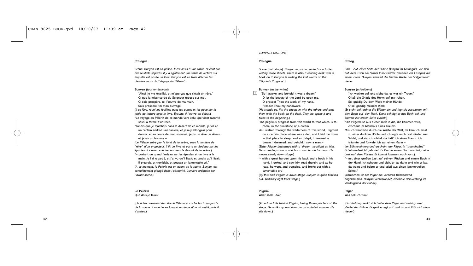# **Prologue**

Scène: *Bunyan est en prison. Il est assis à une table, et écrit sur des feuillets séparés. Il y a également une table de lecture sur laquelle est posée un livre. Bunyan est en train d'écrire les derniers mots du "Voyage du Pèlerin".*

# **Bunyan** (*tout en écrivant*)

"Ainsi, je me réveillai, et m'aperçus que c'était un rêve." O, que la miséricorde du Seigneur repose sur moi. O, sois prospère, toi l'œuvre de ma main,

Sois prospère, toi mon ouvrage.

(*Il se lève, réuni les feuillets avec les autres et les pose sur la table de lecture avec le livre. Ensuite, il l'ouvre au début*.)

"Le voyage du Pèlerin de ce monde vers celui qui vient raconté sous la forme d'un rêve.

"Tandis que je marchais dans le désert de ce monde, je vis en un certain endroit une tanière, et je m'y allongeai pour dormir: et au cours de mon sommeil, je fis un rêve. Je rêvais, et je vis un homme –

(*Le Pèlerin entre par le fond de la scène, sous la lumière de "rêve" d'un projecteur. Il lit un livre et porte un fardeau sur les épaules. Il s'avance lentement vers le devant de la scène*.)

"– portant un grand fardeau sur les épaules et un livre à la main. Je l'ai regardé, et j'ai vu qu'il lisait; et tandis qu'il lisait, il pleurait, et tremblait, et poussa un lamentable cri."

(*A ce moment, le Pèlerin est en avant de la scène. Bunyan est complètement plongé dans l'obscurité. Lumière ordinaire sur l'avant-scène*.)

# **Le Pèlerin**

Que dois-ie faire?

(*Un rideau descend derrière le Pèlerin et cache les trois-quarts de la scène. Il marche en long et en large d'un air agité, puis il s'assied*.)

# COMPACT DISC ONE

# **Prologue**

Scene (half stage). *Bunyan in prison, seated at a table writing loose sheets. There is also a reading desk with a book on it. Bunyan is writing the last words of the 'Pilgrim's Progress'.*)

# **Bunyan** (*as he writes*)

 $1$  'So I awoke, and behold it was a dream. O let the beauty of the Lord be upon me. O prosper Thou the work of my hand, Prosper Thou my handiwork.

(*He stands up, fits the sheets in with the others and puts them with the book on the desk. Then he opens it and turns to the beginning*.)

'The pilgrim's progress from this world to that which is to come' in the similitude of a dream.

'As I walked through the wilderness of this world, I lighted on a certain place where was a den, and I laid me down in that place to sleep: and as I slept, I dreamed a dream. I dreamed, and behold, I saw a man –

(*Enter Pilgrim backstage with a 'dream' spotlight on him. He is reading a book and has a burden on his back. He moves slowly down stage*.)

'– with a great burden upon his back and a book in his hand. I looked, and saw him read therein; and as he read, he wept, and trembled, and broke out with a lamentable cry.'

(*By this time Pilgrim is down stage. Bunyan is quite blacked out. Ordinary light front stage*.)

# **Pilgrim**

What shall I do?

(*A curtain falls behind Pilgrim, hiding three-quarters of the stage. He walks up and down in an agitated manner. He sits down*.)

### **Prolog**

Bild – *Auf einer Seite der Bühne Bunyan im Gefängnis, vor sich auf dem Tisch ein Stapel loser Blätter, daneben ein Lesepult mit einem Buch. Bunyan schreibt die letzten Worte der "Pilgerreise" nieder.*

### **Bunyan** (*schreibend*)

"Ich wachte auf und siehe da, es war ein Traum." O laß die Gnade des Herrn auf mir ruhen, Sei gnädig Du dem Werk meiner Hände, O sei gnädig meinem Werk. (*Er steht auf, ordnet die Blätter ein und legt sie zusammen mit dem Buch auf den Tisch. Dann schlägt er das Buch auf und blättert zur ersten Seite zurück*.) "Die Pilgerreise aus dieser Welt in die, die kommen wird, erschaut im Gleichnis eines Traums. "Als ich wanderte durch die Wüste der Welt, da kam ich einst zu einer dunklen Höhle und ich legte mich dort nieder zum

Schlaf, und als ich schlief, da hatt' ich einen Traum. Ich träumte und fürwahr ich sah einen Mann – (*Im Bühnenhintergrund erscheint der Pilger, in "traumhaftes"*

*Scheinwerferlicht gebadet. Er liest in einem Buch und trägt eine Last auf dem Rücken. Er kommt langsam nach vorn*.)

"– mit einer großen Last auf seinem Rücken und einem Buch in der Hand. Ich schaute und sieh, er las darin und wie er las, da weint und bebte er und stieß aus einen jammervollen Schrei."

(*Inzwischen ist der Pilger am vorderen Bühnenrand angekommen. Bunyan verschwindet. Normale Beleuchtung im Vordergrund der Bühne*)

# **Pilger**

Was soll ich tun?

(*Ein Vorhang senkt sich hinter dem Pilger und verbirgt drei Viertel der Bühne. Er geht erregt auf und ab und läßt sich dann nieder*.)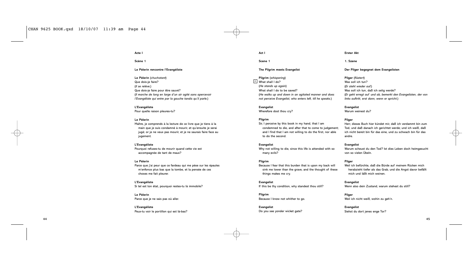**Acte I**

**Scène 1**

# **Le Pèlerin rencontre l'Evangéliste**

**Le Pèlerin** (*chuchotant*) Que dois-je faire? (*Il se relève*.) Que dois-je faire pour être sauvé? (*Il marche de long en large d'un air agité sans apercevoir l'Evangéliste qui entre par la gauche tandis qu'il parle*.)

**L'Evangéliste** Pour quelle raison pleures-tu?

# **Le Pèlerin**

Maître, je comprends à la lecture de ce livre que je tiens à la main que je suis condamné à mourir, et qu'ensuite je serai jugé; or je ne veux pas mourir, et je ne saurais faire face au jugement.

# **L'Evangéliste**

Pourquoi refuses-tu de mourir quand cette vie est accompagnée de tant de maux?

# **Le Pèlerin**

Parce que j'ai peur que ce fardeau qui me pèse sur les épaules m'enfonce plus bas que la tombe, et la pensée de ces choses me fait pleurer.

**L'Evangéliste** Si tel est ton état, pourquoi restes-tu là immobile?

**Le Pèlerin** Parce que je ne sais pas où aller.

**L'Evangéliste** Peux-tu voir le portillon qui est là-bas?

**Act I**

**Scene 1**

# **The Pilgrim meets Evangelist**

**Pilgrim** (*whispering*) What shall I do? 2

> (*He stands up again*) What shall I do to be saved? (*He walks up and down in an agitated manner and does not perceive Evangelist, who enters left, till he speaks*.)

# **Evangelist**

Wherefore dost thou cry?

# **Pilgrim**

Sir, I perceive by this book in my hand, that I am condemned to die, and after that to come to judgement; and I find that I am not willing to do the first, nor able to do the second.

# **Evangelist**

Why not willing to die, since this life is attended with so many evils?

# **Pilgrim**

Because I fear that this burden that is upon my back will sink me lower than the grave, and the thought of these things makes me cry.

**Evangelist** If this be thy condition, why standest thou still?

**Pilgrim** Because I know not whither to go.

**Evangelist** Do you see yonder wicket gate?

### **Erster Akt**

**1. Szene**

# **Der Pilger begegnet dem Evangelisten**

**Pilger** (*flüstert*) Was soll ich tun? (*Er steht wieder auf.*) Was soll ich tun, daß ich selig werde? (*Er geht erregt auf und ab, bemerkt den Evangelisten, der von links auftritt, erst dann, wenn er spricht*.)

**Evangelist**

Warum weinest du?

# **Pilger**

Herr, dieses Buch hier kündet mir, daß ich verdammt bin zum Tod, und daß danach ich gerichtet werde; und ich weiß, daß ich nicht bereit bin für das eine, und zu schwach bin für das andre.

# **Evangelist**

Warum scheust du den Tod? Ist dies Leben doch heimgesucht von so vielen Übeln.

# **Pilger**

Weil ich befürchte, daß die Bürde auf meinem Rücken mich herabzieht tiefer als das Grab, und die Angst davor befällt mich und läßt mich weinen.

**Evangelist** Wenn also dein Zustand, warum stehest du still?

**Pilger** Weil ich nicht weiß, wohin zu geh'n.

**Evangelist** Siehst du dort jenes enge Tor?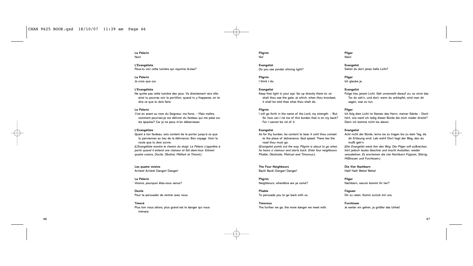**Le Pèlerin** Non!

**L'Evangéliste** Peux-tu voir cette lumière qui rayonne là-bas?

**Le Pèlerin** Je crois que oui.

# **L'Evangéliste**

Ne quitte pas cette lumière des yeux. Va directement vers elle: ainsi tu pourras voir le portillon; quand tu y frapperas, on te dira ce que tu dois faire.

# **Le Pèlerin**

J'irai en avant au nom du Seigneur, ma force. – Mais maître, comment pourrais-je me délivrer du fardeau qui me pèse sur les épaules? Car je ne peux m'en débarrasser.

# **L'Evangéliste**

Quant à ton fardeau, sois content de le porter jusqu'à ce que tu parviennes au lieu de la délivrance. Bon voyage. Voici la route que tu dois suivre. (*L'Evangéliste montre le chemin du doigt. Le Pèlerin s'apprêtre à partir quand il entend une clameur et fait demi-tour. Entrent quatre voisins, Docile, Obstiné, Méfiant et Timoré*.)

**Les quatre voisins** Arrière! Arrière! Danger! Danger!

**Le Pèlerin** Voisins, pourquoi êtes-vous venus?

**Docile** Pour te persuader de rentrer avec nous.

**Timoré** Plus loin nous allons, plus grand est le danger qui nous menace.

**Pilgrim** No!

**Evangelist** Do you see yonder shining light?

**Pilgrim** I think I do.

# **Evangelist**

Keep that light in your eye. Go up directly there to: so shalt thou see the gate; at which, when thou knockest, it shall be told thee what thou shalt do.

# **Pilgrim**

I will go forth in the name of the Lord, my strength. – But, Sir, how can I rid me of this burden that is on my back? For I cannot be rid of it.

# **Evangelist**

As for thy burden, be content to bear it until thou comest to the place of deliverance. God speed. There lies the road thou must go.

(*Evangelist points out the way. Pilgrim is about to go when he hears a clamour and starts back. Enter four neighbours Pliable, Obstinate, Mistrust and Timorous*.)

**The Four Neighbours** Back! Back! Danger! Danger!

**Pilgrim** Neighbours, wherefore are ye come?

**Pliable** To persuade you to go back with us.

**Timorous** The further we go, the more danger we meet with.

# **Pilger** Nein!

**Evangelist** Siehst du dort jenes helle Licht?

**Pilger** Ich glaube ja.

# **Evangelist**

Folge treu jenem Licht. Geh unverweilt darauf zu; so wirst das Tor du seh'n, und dort, wenn du anklopfst, wird man dir sagen, was zu tun.

# **Pilger**

Ich folg dem Licht im Namen des Herrn, meiner Stärke – Doch hört, wie werd ich ledig dieser Bürde die mich nieder drückt? Denn ich komme nicht los davon.

### **Evangelist**

Acht nicht der Bürde, lerne sie zu tragen bis zu dem Tag, da dir Erlösung wird. Leb wohl! Dort liegt der Weg, den du mußt geh'n.

(*Der Evangelist weist ihm den Weg. Der Pilger will aufbrechen, hört jedoch lautes Geschrei und macht Anstalten, wieder umzukehren. Es erscheinen die vier Nachbarn Fügsam, Störrig, Mißtrauen und Furchtsam*.)

**Die Vier Nachbarn** Halt! Halt! Wehe! Wehe!

**Pilger** Nachbarn, warum kommt ihr her?

**Fügsam** Dir zu raten, Komm zurück mit uns.

**Furchtsam** Je weiter wir gehen, je größer das Unheil.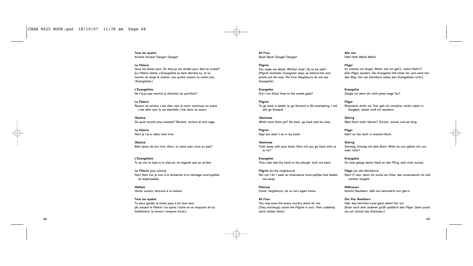**Tous les quatre** Arrière! Arrière! Danger! Danger!

# **Le Pèlerin**

Vous me faites peur. Où dois-je me rendre pour être en sureté? (*Le Pèlerin hésite. L'Evangéliste se tient derrière lui, et lui montre du doigt le chemin. Les quatre voisins ne voient pas l'Evangéliste.*)

**L'Evangéliste** Ne t'ai-je pas montré la direction du portillon?

**Le Pèlerin** Revenir en arrière, c'est aller vers la mort; continuer en avant, c'est aller vers la vie éternelle. J'irai donc en avant.

**Obstiné** De quoi! encore plus insensé? Reviens, reviens et sois sage.

**Le Pèlerin** Non! je l'ai lu dans mon livre.

**Obstiné** Bah! assez de ton livre. Alors, tu viens avec nous ou pas?

**L'Evangéliste** Tu as mis la main à la charrue, ne regarde pas en arrière.

**Le Pèlerin** (*aux voisins*) Non! Non! Car je suis à la recherche d'un héritage incorruptible et impérissable.

**Méfiant** Venez voisins, rentrons à la maison.

**Tous les quatre** Tu peux garder le brave pays à toi tout seul. (*Ils saluent le Pèlerin l'un après l'autre en se moquant de lui. Subitement, la terreur s'empare d'eux*.)

**All Four** Back! Back! Danger! Danger!

**Pilgrim** You make me afraid. Whither shall I fly to be safe? (*Pilgrim hesitates. Evangelist steps up behind him and*

*points out the way. The Four Neighbours do not see Evangelist*.)

**Evangelist** Did I not direct thee to the wicket gate?

**Pilgrim** To go back is death; to go forward is life everlasting; I will still go forward.

**Obstinate** What! more fools yet? Go back, go back and be wise.

**Pilgrim** Nay! but read it so in my book.

**Obstinate** Tush! away with your book. Now will you go back with us or no?

**Evangelist** Thou hast laid thy hand to the plough, look not back.

**Pilgrim** (*to the neighbours*) No! not I for I seek an inheritance incorruptible that fadeth not away.

**Mistrust** Come, neighbours, let us turn again home.

**All Four** You may have the brave country alone for me. (*They mockingly salute the Pilgrim in turn. Then suddenly terror strikes them*.)

**Alle vier** Halt! Halt! Wehe! Wehe!

**Pilger** Ihr machet mir Angst. Wohin soll ich geh'n, wohin flieh'n? (*Der Pilger zaudert. Der Evangelist tritt hinter ihn und weist ihm den Weg. Die vier Nachbarn sehen den Evangelisten nicht*.)

**Evangelist** Zeigte ich denn dir nicht jenes enge Tor?

**Pilger** Rückwärts droht mir Tod; geh ich vorwärts, winkt Leben in Ewigkeit, weiter muß ich wandern.

**Störrig** Was! Noch mehr Narren? Zurück, züruck und sei klug.

**Pilger** Nein! so lies doch in meinem Buch.

**Störrig** Schweig, hinweg mit dem Buch. Willst du nun gehen mit uns oder nicht?

**Evangelist** Du hast gelegt deine Hand an den Pflug, sieh nicht zurück.

**Pilger** (*zu den Nachbarn*) Nein! O nein, denn ich suche ein Erbe, das unverweslich ist und nimmer vergeht.

**Mißtrauen** Kommt Nachbarn, laßt uns heimwärts nun geh'n.

**Die Vier Nachbarn** Hab' das herrliche Land ganz allein! Nur zu! (*Einer nach dem anderen grüßt spöttisch den Pilger. Dann packt sie auf einmal das Entsetzen*.)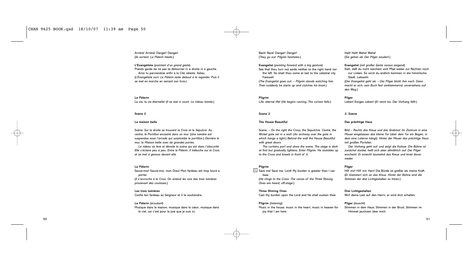Arrière! Arrière! Danger! Danger! (*Ils sortent. Le Pèlerin hésite*.)

**L'Evangéliste** (*pointant d'un grand geste*) Prends garde de ne pas te détourner ni à droite ni à gauche. Ainsi tu parviendras enfin à la Cité céleste. Adieu. (*L'Evangéliste sort. Le Pèlerin reste debout à le regarder. Puis il se met en marche en serrant son livre*.)

**Le Pèlerin** La vie, la vie éternelle! (*Il se met à courir. Le rideau tombe*.)

# **Scène 2**

# **La maison belle**

Scène: *Sur la droite se trouvent la Croix et le Sépulcre. Au centre, le Portillon encastré dans un mur.* (*Une lumière est suspendue sous l'arcade qui surplombe le portillon*.) *Derrière le mur, la Maison belle avec de grandes portes.*

*Le rideau se lève et dévoile la scène qui est dans l'obscurité. Elle s'éclaire peu à peu. Entre le Pèlerin. Il trébuche sur la Croix, et se met à genoux devant elle*.

# **Le Pèlerin**

Sauve-moi! Sauve-moi, mon Dieu! Mon fardeau est trop lourd à porter. (*Il s'accroche à la Croix*. *On entend les voix des trois lumières provenant des coulisses*.)

**Les trois lumières** Confie ton fardeau au Seigneur et il te soutiendra.

# **Le Pèlerin** (*écoutant*)

Musique dans la maison; musique dans le cœur; musique dans le ciel, car c'est pour la joie que je suis ici.

Back! Back! Danger! Danger! (*They go out. Pilgrim hesitates*.)

**Evangelist** (*pointing forward with a big gesture*) See that thou turn not aside neither to the right hand nor the left. So shalt thou come at last to the celestial city. Farewell. (*The Evangelist goes out. – Pilgrim stands watching him. Then suddenly he starts up and clutches his book*.)

**Pilgrim** Life, eternal life! (*He begins running. The curtain falls*.)

# **Scene 2**

# **The House Beautiful**

Scene. – *On the right the Cross, the Sepulchre. Centre, the Wicket gate set in a wall.* (*An archway over the gate in which hangs a light*.) *Behind the wall the House Beautiful with great doors.*

*The curtains part and show the scene. The stage is dark at first but gradually lightens. Enter Pilgrim. He stumbles up to the Cross and kneels in front of it.*

# **Pilgrim**

 $3$  Save me! Save me, Lord! My burden is greater than I can bear. (*He clings to the Cross. The voices of the Three Shining*

*Ones are heard, off-stage*.)

**Three Shining Ones**

Cast thy burden upon the Lord and He shall sustain thee.

**Pilgrim** (*listening*) Music in the house; music in the heart; music in heaven for joy that I am here.

Halt! Halt! Wehe! Wehe! (*Sie gehen ab. Der Pilger zaudert*.)

**Evangelist** (*mit großer Geste voraus zeigend*) Sieh, daß du nicht weichest vom Pfad weder zur Rechten noch zur Linken. So wirst du endlich kommen in die himmlische Stadt. Lebwohl. (*Der Evangelist geht ab. – Der Pilger blickt ihm nach. Dann macht er sich, sein Buch fest umklammernd, unversehens auf den Weg*.)

**Pilger** Leben! Ewiges Leben! (*Er rennt los. Der Vorhang fällt*.)

# **2. Szene**

# **Das prächtige Haus**

Bild – *Rechts das Kreuz und das Grabmal. Im Zentrum in eine Mauer eingelassen das kleine Tor (über dem Tor ein Bogen, in dem eine Laterne hängt). Hinter der Mauer das prächtige Haus mit großen Portalen.*

*Der Vorhang geht auf und zeigt die Kulisse. Die Bühne ist zunächst dunkel, hellt sich aber allmählich auf. Der Pilger erscheint. Er erreicht taumelnd das Kreuz und kniet davor nieder.*

# **Pilger**

Hilf mir! Hilf mir, Herr! Die Bürde ist größer als meine Kraft. (*Er klammert sich an das Kreuz. Hinter der Bühne sind die Stimmen der drei Lichtgestalten zu hören*.)

# **Drei Lichtgestalten**

Wirf deine Last auf den Herrn, er wird dich erhalten.

# **Pilger** (*lauscht*)

Stimmen in dem Haus; Stimmen in der Brust, Stimmen im Himmel jauchzen über mich.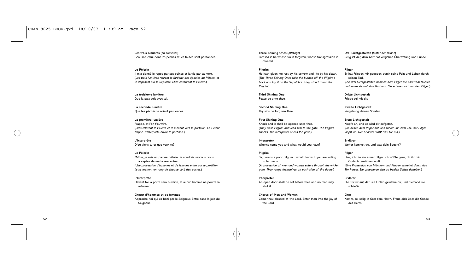# CHAN 9625 BOOK.qxd 18/10/07 11:39 am Page 52

**Les trois lumières** (*en coulisses*) Béni soit celui dont les péchés et les fautes sont pardonnés.

# **Le Pèlerin**

Il m'a donné le repos par ses peines et la vie par sa mort. (*Les trois lumières retirent le fardeau des épaules du Pèlerin, et le déposent sur le Sépulcre. Elles entourent le Pèlerin.*)

**La troisième lumière** Que la paix soit avec toi.

**La seconde lumière** Que tes péchés te soient pardonnés.

**La première lumière** Frappe, et l'on t'ouvrira. (*Elles relèvent le Pèlerin et le mènent vers le portillon. Le Pèlerin frappe. L'Interprète ouvre le portillon*.)

**L'Interprète** D'où viens-tu et que veux-tu?

# **Le Pèlerin**

Maître, je suis un pauvre pèlerin. Je voudrais savoir si vous acceptez de me laisser entrer. (*Une procession d'hommes et de femmes entre par le portillon. Ils se mettent en rang de chaque côté des portes*.)

**L'Interprète** Devant toi la porte sera ouverte, et aucun homme ne pourra la refermer.

**Chœur d'hommes et de femmes** Approche, toi qui es béni par le Seigneur. Entre dans la joie du Seigneur.

**Three Shining Ones** (*offstage*) Blessed is he whose sin is forgiven, whose transgression is covered.

# **Pilgrim**

He hath given me rest by his sorrow and life by his death. (*The Three Shining Ones take the burden off the Pilgrim's back and lay it on the Sepulchre. They stand round the Pilgrim*.)

**Third Shining One** Peace be unto thee.

**Second Shining One** Thy sins be forgiven thee.

**First Shining One** Knock and it shall be opened unto thee. (*They raise Pilgrim and lead him to the gate. The Pilgrim knocks. The Interpreter opens the gate*.)

**Interpreter** Whence come you and what would you have?

# **Pilgrim**

Sir, here is a poor pilgrim. I would know if you are willing to let me in. (*A procession of men and women enters through the wicket gate. They range themselves on each side of the doors*.)

# **Interpreter**

An open door shall be set before thee and no man may shut it.

# **Chorus of Men and Women**

Come thou blessed of the Lord. Enter thou into the joy of the Lord.

**Drei Lichtgestalten** (*hinter der Bühne*) Selig ist der, dem Gott hat vergeben Übertretung und Sünde.

# **Pilger**

Er hat Frieden mir gegeben durch seine Pein und Leben durch seinen Tod. (*Die drei Lichtgestalten nehmen dem Pilger die Last vom Rücken und legen sie auf das Grabmal. Sie scharen sich um den Pilger*.)

**Dritte Lichtgestalt** Friede sei mit dir.

**Zweite Lichtgestalt** Vergebung deinen Sünden.

**Erste Lichtgestalt** Klopfe an, und es wird dir aufgetan. (*Sie helfen dem Pilger auf und führen ihn zum Tor. Der Pilger klopft an. Der Erklärer stößt das Tor auf*.)

**Erklärer** Woher kommst du, und was dein Begehr?

# **Pilger**

Herr, ich bin ein armer Pilger. Ich wüßte gern, ob ihr mir Obdach gewähren wollt. (*Eine Prozession von Männern und Frauen schreitet durch das Tor herein. Sie gruppieren sich zu beiden Seiten daneben*.)

# **Erklärer**

Die Tür ist auf, daß sie Einlaß gewähre dir, und niemand sie schließe.

# **Chor**

Komm, sei selig in Gott dem Herrn. Freue dich über die Gnade des Herrn.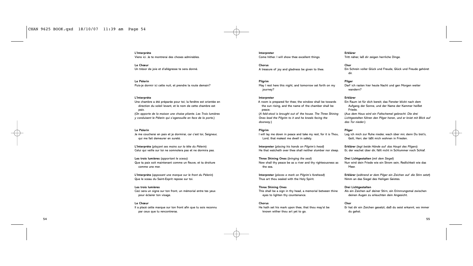**L'Interprète** Viens ici. Je te montrerai des choses admirables.

**Le Chœur** Un trésor de joie et d'allégresse te sera donné.

**Le Pèlerin** Puis-je dormir ici cette nuit, et prendre la route demain?

# **L'Interprète**

Une chambre a été préparée pour toi; la fenêtre est orientée en direction du soleil levant, et le nom de cette chambre est paix. (*On apporte de la maison une chaise pliante. Les Trois lumières*

*y conduisent le Pèlerin qui s'agenouille en face de la porte*.)

### **Le Pèlerin**

Je me coucherai en paix et je dormirai, car c'est toi, Seigneur, qui me fait demeurer en sureté.

**L'Interprète** (*plaçant ses mains sur la tête du Pèlerin*) Celui qui veille sur toi ne somnolera pas et ne dormira pas.

**Les trois lumières** (*apportant le sceau*) Que ta paix soit maintenant comme un fleuve, et ta droiture comme une mer.

**L'Interprète** (*apposant une marque sur le front du Pèlerin*) Que le sceau du Saint-Esprit repose sur toi.

# **Les trois lumières**

Ceci sera un signe sur ton front, un mémorial entre tes yeux pour éclairer ton visage.

# **Le Chœur**

Il a placé cette marque sur ton front afin que tu sois reconnu par ceux que tu rencontreras.

**Interpreter** Come hither. I will show thee excellent things.

**Chorus** A treasure of joy and gladness be given to thee.

# **Pilgrim**

May I rest here this night, and tomorrow set forth on my journey?

# **Interpreter**

A room is prepared for thee; the window shall be towards the sun rising, and the name of the chamber shall be peace. (*A fald-stool is brought out of the house. The Three Shining*

*Ones lead the Pilgrim to it and he kneels facing the doorway*.)

# **Pilgrim**

I will lay me down in peace and take my rest, for it is Thou, Lord, that makest me dwell in safety.

**Interpreter** (*placing his hands on Pilgrim's head*) He that watcheth over thee shall neither slumber nor sleep.

**Three Shining Ones** (*bringing the seal*) Now shall thy peace be as a river and thy righteousness as the sea.

**Interpreter** (*places a mark on Pilgrim's forehead*) Thus art thou sealed with the Holy Spirit.

# **Three Shining Ones** This shall be a sign in thy head, a memorial between thine eyes to lighten thy countenance.

**Chorus** He hath set his mark upon thee, that thou may'st be known wither thou art yet to go.

**Erklärer** Tritt näher, laß dir zeigen herrliche Dinge.

**Chor** Ein Schrein voller Glück und Freude, Glück und Freude gehöret dir.

**Pilger** Darf ich rasten hier heute Nacht und gen Morgen weiter wandern?

# **Erklärer**

Ein Raum ist für dich bereit; das Fenster blickt nach dem Aufgang der Sonne, und der Name der Kammer heißet Friede. (*Aus dem Haus wird ein Faltschemel gebracht. Die drei*

*Lichtgestalten führen den Pilger heran, und er kniet mit Blick auf das Tor nieder*.)

# **Pilger**

Leg ich mich zur Ruhe nieder, wach über mir, denn Du bist's, Gott, Herr, der läßt mich wohnen in Frieden.

**Erklärer** (*legt beide Hände auf das Haupt des Pilgers*) Er, der wachet über dir, fällt nicht in Schlummer noch Schlaf.

**Drei Lichtgestalten** (*mit dem Siegel*) Nun wird dein Friede wie ein Strom sein, Redlichkeit wie das Meer.

**Erklärer** (*während er dem Pilger ein Zeichen auf die Stirn setzt*) Nimm an das Siegel des Heiligen Geistes.

**Drei Lichtgestalten** Als ein Zeichen auf deiner Stirn, ein Erinnrungsmal zwischen deinen Augen zu erleuchten dein Angesicht.

**Chor** Er hat dir ein Zeichen gesetzt, daß du seist erkannt, wo immer du gehst.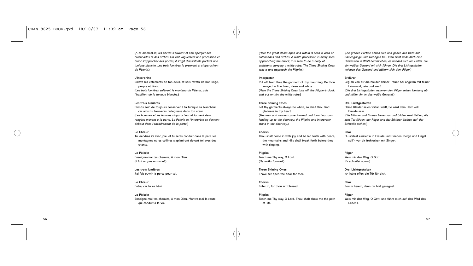(*A ce moment-là, les portes s'ouvrent et l'on aperçoit des colonnades et des arches. On voit vaguement une procession en blanc s'approcher des portes; il s'agit d'assistants portant une tunique blanche. Les trois lumières la prennent et s'approchent du Pèlerin*.)

# **L'Interprète**

Enlève les vêtements de ton deuil, et sois revêtu de bon linge, propre et blanc. (*Les trois lumières enlèvent le manteau du Pèlerin, puis l'habillent de la tunique blanche*.)

# **Les trois lumières**

Prends soin de toujours conserver à ta tunique sa blancheur, car ainsi tu trouveras l'allégresse dans ton cœur. (*Les hommes et les femmes s'approchent et forment deux rangées menant à la porte. Le Pèlerin et l'Interprète se tiennent debout dans l'encadrement de la porte*.)

# **Le Chœur**

Tu viendras ici avec joie, et tu seras conduit dans la paix, les montagnes et les collines s'aplaniront devant toi avec des chants.

### **Le Pèlerin**

Enseigne-moi tes chemins, ô mon Dieu. (*Il fait un pas en avant*.)

**Les trois lumières** J'ai fait ouvrir la porte pour toi.

# **Le Chœur**

Entre, car tu es béni.

# **Le Pèlerin**

Enseigne-moi tes chemins, ô mon Dieu. Montre-moi la route qui conduit à la Vie.

(*Here the great doors open and within is seen a vista of colonnades and arches. A white procession is dimly seen approaching the doors; it is seen to be a body of assistants carrying a white robe. The Three Shining Ones take it and approach the Pilgrim*.)

# **Interpreter**

Put off from thee the garment of thy mourning. Be thou arrayed in fine linen, clean and white. (*Here the Three Shining Ones take off the Pilgrim's cloak, and put on him the white robe*.)

# **Three Shining Ones**

Let thy garments always be white, so shalt thou find gladness in thy heart. (*The men and women come forward and form two rows*

*leading up to the doorway; the Pilgrim and Interpreter stand in the doorway*.)

# **Chorus**

Thou shalt come in with joy and be led forth with peace. the mountains and hills shall break forth before thee with singing.

### **Pilgrim**

Teach me Thy way, O Lord. (*He walks forward*.)

**Three Shining Ones** I have set open the door for thee.

# **Chorus** Enter in, for thou art blessed.

**Pilgrim** Teach me Thy way, O Lord. Thou shalt show me the path of life.

(*Die großen Portale öffnen sich und geben den Blick auf Säulengänge und Torbögen frei. Man sieht undeutlich eine Prozession in Weiß heranziehen; es handelt sich um Helfer, die ein weißes Gewand mit sich führen. Die drei Lichtgestalten nehmen das Gewand und nähern sich dem Pilger*.)

# **Erklärer**

Leg ab von dir die Kleider deiner Trauer. Sei angetan mit feiner Leinwand, rein und weiß. (*Die drei Lichtgestalten nehmen dem Pilger seinen Umhang ab und hüllen ihn in das weiße Gewand*.)

# **Drei Lichtgestalten**

Deine Kleider seien fortan weiß, So wird dein Herz voll Freude sein. (*Die Männer und Frauen treten vor und bilden zwei Reihen, die zum Tor führen; der Pilger und der Erklärer bleiben auf der Schwelle stehen*.)

# **Chor**

Du sollest einzieh'n in Freude und Frieden. Berge und Hügel soll'n vor dir frohlocken mit Singen.

### **Pilger**

Weis mir den Weg, O Gott. (*Er schreitet voran*.)

**Drei Lichtgestalten** Ich halte offen die Tür für dich.

**Chor** Komm herein, denn du bist gesegnet.

# **Pilger**

Weis mir den Weg, O Gott, und führe mich auf den Pfad des Lebens.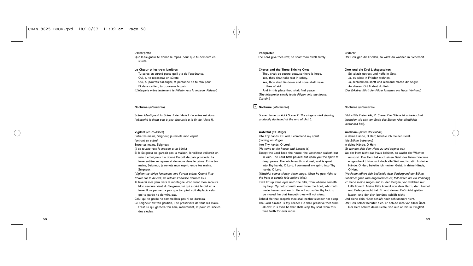### **L'Interprète**

Que le Seigneur te donne le repos, pour que tu demeure en sûreté.

# **Le Chœur et les trois lumières**

Tu seras en sûreté parce qu'il y a de l'espérance, Oui, tu te reposeras en sûreté. Oui, tu pourras t'allonger, et personne ne te fera peur. Et dans ce lieu, tu trouveras la paix. (*L'Interpète mène lentement le Pèlerin vers la maison. Rideau*.)

# **Nocturne** (*Intermezzo*)

Scène: *Identique à la Scène 2 de l'Acte I. La scène est dans l'obscurité* (*s'étant peu à peu obscurcie à la fin de l'Acte I*).

# **Vigilant** (*en coulisses*)

- Entre tes mains, Seigneur, je remets mon esprit.
- (*entrant en scène*)
- Entre tes mains, Seigneur.
- (*Il se tourne vers la maison et la bénit*.)
- Si le Seigneur ne gardait pas la maison, le veilleur veillerait en vain. Le Seigneur t'a donné l'esprit de paix profonde. La terre entière se repose et demeure dans le calme. Entre tes mains, Seigneur, je remets mon esprit, entre tes mains, Seigneur.
- (*Vigilant se dirige lentement vers l'avant-scène. Quand il se trouve sur le devant, un rideau s'abaisse derrière lui*.)
- Je lèverai mes yeux vers la montagne, d'où vient mon secours. Mon secours vient du Seigneur, lui qui a créé le ciel et la terre. Il ne permettra pas que ton pied soit déplacé; celui qui te garde ne dormira pas.
- Celui qui te garde ne sommeillera pas ni ne dormira. Le Seigneur est ton gardien, il te préservera de tous les maux. C'est lui qui gardera ton âme, maintenant, et pour les siècles des siècles.

# **Interpreter** The Lord give thee rest, so shalt thou dwell safely.

### **Chorus and the Three Shining Ones**

Thou shalt be secure because there is hope, Yea, thou shalt take rest in safety. Yea, thou shalt lie down and none shall make thee afraid. And in this place thou shalt find peace. (*The Interpreter slowly leads Pilgrim into the house. Curtain.*)

### **Nocturne** (*Intermezzo*) 4

Scene: *Same as Act I Scene 2. The stage is dark* (*having gradually darkened at the end of Act I*).

# **Watchful** (*off stage*)

- Into Thy hands, O Lord, I commend my spirit.
- (*coming on stage*)
- Into Thy hands, O Lord.
- (*He turns to the house and blesses it*.)
- Except the Lord keep the house, the watchman waketh but in vain. The Lord hath poured out upon you the spirit of deep peace. The whole earth is at rest, and is quiet. Into Thy hands, O Lord, I commend my spirit, into Thy hands, O Lord.
- (*Watchful comes slowly down stage. When he gets right to the front a curtain falls behind him*.)
- I will lift up mine eyes unto the hills, from whence cometh my help. My help cometh even from the Lord, who hath made heaven and earth. He will not suffer thy foot to be moved; he that keepeth thee will not sleep.
- Behold He that keepeth thee shall neither slumber nor sleep. The Lord himself is thy keeper, He shall preserve thee from all evil: it is even he that shall keep thy soul, from this time forth for ever more.

# **Erklärer**

Der Herr geb dir Frieden, so wirst du wohnen in Sicherheit.

# **Chor und die Drei Lichtgestalten**

Sei allzeit getrost und hoffe in Gott. Ja, du wirst in Frieden wohnen, Ja, schlummere sanft und niemand mache dir Angst, An diesem Ort findest du Ruh. (*Der Erklärer führt den Pilger langsam ins Haus. Vorhang*)

### **Nocturne** (*Intermezzo*)

Bild – *Wie Erster Akt, 2. Szene. Die Bühne ist unbeleuchtet* (*nachdem sie sich am Ende des Ersten Akts allmählich verdunkelt hat*).

# **Wachsam** (*hinter der Bühne*)

- In deine Hände, O Herr, befehle ich meinen Geist. (*die Bühne betretend*)
- 
- In deine Hände, O Herr.
- (*Er wendet sich dem Haus zu und segnet es*.)
- Wo der Herr nicht das Haus behütet, so wacht der Wächter umsonst. Der Herr hat euch einen Geist des tiefen Friedens eingeschenkt. Nun ruht doch alle Welt und ist still. In deine Hände, O Herr, befehle ich meinen Geist. In deine Hände, O Herr.
- (*Wachsam nähert sich bedächtig dem Vordergrund der Bühne. Sobald er ganz vorn angekommen ist, fällt hinter ihm ein Vorhang*.) Ich hebe meine Augen auf zu den Bergen, von welchen mir Hilfe kommt. Meine Hilfe kommt von dem Herrn, der Himmel und Erde gemacht hat. Er wird deinen Fuß nicht gleiten lassen; und der dich behütet, schläft nicht. Und siehe dein Hüter schläft noch schlummert nicht. Der Herr selber behütet dich. Er behüte dich vor allem Übel. Der Herr behüte deine Seele, von nun an bis in Ewigkeit.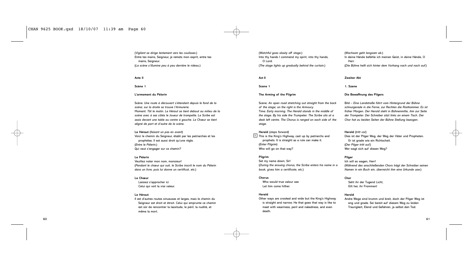# CHAN 9625 BOOK.qxd 18/10/07 11:39 am Page 60

(*Vigilant se dirige lentement vers les coulisses*.) Entre tes mains, Seigneur, je remets mon esprit, entre tes mains, Seigneur. (*La scène s'illumine peu à peu derrière le rideau*.)

# **Acte II**

# **Scène 1**

# **L'armement du Pèlerin**

Scène: *Une route à découvert s'étendant depuis le fond de la scène; sur la droite se trouve l'Armurerie.* Moment: *Tôt le matin. Le Héraut se tient debout au milieu de la scène avec à ses côtés le Joueur de trompette. Le Scribe est assis devant une table au centre à gauche. Le Chœur se tient aligné de part et d'autre de la scène*.

**Le Héraut** (*faisant un pas en avant*) Voici le chemin du Seigneur, établi par les patriarches et les prophètes. Il est aussi droit qu'une règle. (*Entre le Pèlerin*.) Qui veut s'engager sur ce chemin?

# **Le Pèlerin**

Veuillez noter mon nom, monsieur! (*Pendant le chœur qui suit, le Scribe inscrit le nom du Pèlerin dans un livre, puis lui donne un certificat, etc.*)

# **Le Chœur**

Laissez s'approcher ici Celui qui voit la vrai valeur.

# **Le Héraut**

Il est d'autres routes sinueuses et larges, mais le chemin du Seigneur est droit et étroit. Celui qui emprunte ce chemin est sûr de rencontrer la lassitude, le péril, la nudité, et même la mort.

(*Watchful goes slowly off stage*.) Into thy hands I commend my spirit, into thy hands, O Lord. (*The stage lights up gradually behind the curtain*.)

### **Act II**

**Scene 1**

# **The Arming of the Pilgrim**

Scene: *An open road stretching out straight from the back of the stage; on the right is the Armoury.* Time: *Early morning. The Herald stands in the middle of the stage. By his side the Trumpeter. The Scribe sits at a desk left centre. The Chorus is ranged on each side of the stage.*

### **Herald** (*steps forward*)

 $5$  This is the King's Highway, cast up by patriarchs and prophets. It is straight as a rule can make it. (*Enter Pilgrim*) Who will go on that way?

# **Pilgrim**

Set my name down, Sir! (*During the ensuing chorus, the Scribe enters his name in a book, gives him a certificate, etc.*)

# **Chorus**

Who would true valour see Let him come hither.

# **Herald**

Other ways are crooked and wide but the King's Highway is straight and narrow. He that goes that way is like to meet with weariness, peril and nakedness, and even death.

# (*Wachsam geht langsam ab*.) In deine Hände befehle ich meinen Geist, in deine Hände, O Herr. (*Die Bühne hellt sich hinter dem Vorhang nach und nach auf*.)

### **Zweiter Akt**

**1. Szene**

# **Die Bewaffnung des Pilgers**

Bild – *Eine Landstraße führt vom Hintergrund der Bühne schnurgerade in die Ferne; zur Rechten die Rüstkammer. Es ist früher Morgen. Der Herold steht in Bühnenmitte, ihm zur Seite der Trompeter. Der Schreiber sitzt links an einem Tisch. Der Chor hat zu beiden Seiten der Bühne Stellung bezogen.*

# **Herold** (*tritt vor*)

Dies ist der Pilger Weg, der Weg der Väter und Propheten. Er ist grade wie ein Richtscheit. (*Der Pilger tritt auf.*) Wer wagt sich auf diesen Weg?

# **Pilger**

Ich will es wagen, Herr! (*Während des anschließenden Chors trägt der Schreiber seinen Namen in ein Buch ein, überreicht ihm eine Urkunde usw.*)

### **Chor**

Seht ihr der Tugend Licht, Eilt her, ihr Frommen!

# **Herold**

Andre Wege sind krumm und breit, doch der Pilger Weg ist eng und grade. Sei bereit auf diesem Weg zu leiden Traurigkeit, Elend und Gefahren, ja selbst den Tod.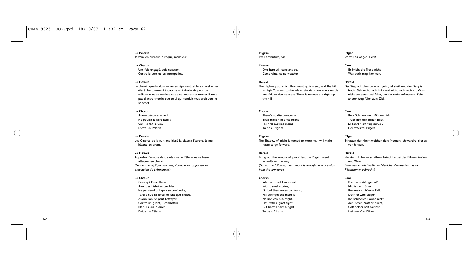**Le Pèlerin** Je veux en prendre le risque, monsieur!

# **Le Chœur**

Une fois engagé, sois constant Contre le vent et les intempéries.

# **Le Héraut**

Le chemin que tu dois suivre est épuisant, et le sommet en est élevé. Ne tourne ni à gauche ni à droite de peur de trébucher et de tomber, et de ne pouvoir te relever. Il n'y a pas d'autre chemin que celui qui conduit tout droit vers le sommet.

# **Le Chœur**

Aucun découragement Ne pourra le faire faiblir, Car il a fait le vœu D'être un Pèlerin.

# **Le Pèlerin**

Les Ombres de la nuit ont laissé la place à l'aurore. Je me hâterai en avant.

# **Le Héraut**

Apportez l'armure de crainte que le Pèlerin ne se fasse attaquer en chemin. (*Pendant la réplique suivante, l'armure est apportée en procession de L'Armurerie*.)

### **Le Chœur**

Ceux qui l'assailliront Avec des histoires terribles Ne parviendront qu'à se confondre. Tandis que sa force ne fera que croître. Aucun lion ne peut l'effrayer, Contre un géant, il combattra, Mais il aura le droit D'être un Pèlerin.

# **Pilgrim** I will adventure, Sir!

**Chorus** One here will constant be, Come wind, come weather.

# **Herald**

The Highway up which thou must go is sleep, and the hill is high. Turn not to the left or the right lest you stumble and fall, to rise no more. There is no way but right up the hill.

# **Chorus**

There's no discouragement Shall make him once relent His first avowed intent To be a Pilgrim.

# **Pilgrim**

The Shadow of night is turned to morning. I will make haste to go forward.

# **Herald**

Bring out the armour of proof lest the Pilgrim meet assaults on the way. (*During the following the armour is brought in procession from the Armoury*.)

# **Chorus**

Who so beset him round With dismal stories, Do but themselves confound, His strength the more is. No lion can him fright, He'll with a giant fight, But he will have a right To be a Pilgrim.

# **Pilger** Ich will es wagen, Herr!

**Chor** Er bricht die Treue nicht, Was auch mag kommen.

# **Herold**

Der Weg auf dem du wirst gehn, ist steil, und der Berg ist hoch. Sieh nicht nach links und nicht nach rechts, daß du nicht stolperst und fällst, um nie mehr aufzustehn. Kein andrer Weg führt zum Ziel.

# **Chor**

Kein Schmerz und Mißgeschick Trübt ihm den hellen Blick. Er kehrt nicht feig zurück, Heil wack'rer Pilger!

# **Pilger**

Schatten der Nacht weichen dem Morgen; Ich wandre eilends von hinnen.

# **Herold**

Vor Angriff ihn zu schützen, bringt herbei des Pilgers Waffen und Wehr. (*Nun werden die Waffen in feierlicher Prozession aus der Rüstkammer gebracht*.)

### **Chor**

Die ihn bedrängen all' Mit listgen Lügen, Kommen zu bösem Fall, Doch er wird siegen. Ihn schrecken Löwen nicht, der Riesen Kraft er bricht, Gott selber hält Gericht, Heil wack'rer Pilger.

62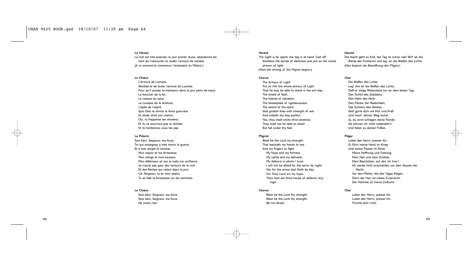# **Le Héraut**

La nuit est très avancée, le jour pointe. Aussi, abandonne les liens de l'obscurité, et revêts l'armure de lumière. (*A ce moment-là commence l'armement du Pèlerin*.)

# **Le Chœur**

L'Armure de Lumière. Revêtez-le de toute l'armure de Lumière Pour qu'il puisse se maintenir dans le jour plein de maux, Le bouclier de la foi, Le casque du salut, La cuirasse de la droiture, L'épée de l'esprit. Que Dieu te donne la force guerrière Et rende droit ton chemin. Oui, tu frapperas tes ennemis, Et ils ne pourrons pas te résister, Et ils tomberons sous tes pas.

# **Le Pèlerin**

Sois béni, Seigneur, ma force, Toi qui enseignes à mes mains la guerre, Et à mes doigts le combat. Mon espoir et ma forteresse, Mon refuge et mon sauveur, Mon défenseur en qui je mets ma confiance. Je n'aurai pas peur des terreurs de la nuit, Ni des flèches qui volent dans le jour. Car Seigneur, tu es mon espoir, Tu as bâti ta forteresse sur les sommets.

# **Le Chœur**

Sois béni, Seigneur, ma force. Sois béni, Seigneur, ma force. Ne crains rien.

### **Herald**

The night is far spent, the day is at hand. Cast off therefore the bonds of darkness and put on the whole armour of light. (*Here the arming of the Pilgrim begins*.)

# **Chorus**

The Armour of Light. Put on him the whole armour of Light That he may be able to stand in the evil day, The shield of faith, The helmet of salvation, The breastplate of righteousness The sword of the spirit. God girdeth thee with strength of war And maketh thy way perfect. Yea, thou shalt smite thine enemies, They shall not be able to stand But fall under thy feet.

# **Pilgrim**

Blest be the Lord my strength That teacheth my hands to war And my fingers to fight. My hope and my fortress, My castle and my deliverer, My defence in whom I trust. I will not be afraid for the terror by night, Nor for the arrow that flieth by day. For Thou Lord art my hope, Thou hast set thine house of defence very high.

# **Chorus**

Blest be the Lord thy strength. Blest be the Lord thy strength. Be not afraid.

# **Herold**

Die Nacht geht zu End; der Tag ist schon nah! Wirf ab die Werke der Finsternis und leg' an die Waffen des Lichts. (*Hier beginnt die Bewaffnung des Pilgers*.)

# **Chor**

Die Waffen des Lichts. Leg' ihm an die Waffen des Lichts, Daß er möge Widerstand tun an dem bösen Tag, Den Schild des Glaubens, Den Helm des Heils, Den Panzer der Redlichkeit, Das Schwert des Geistes. Gott gürte dich mit Mut und Kraft Und mach' deinen Weg sicher. Ja, du wirst schlagen deine Feinde. Sie können dir nicht widersteh'n Und fallen su deinen Füßen.

# **Pilger**

Lobet den Herrn, preiset ihn. Er führt meine Hand im Krieg Und meine Fäuste im Streit. Meine Hoffnung und Festung, Mein Heil und mein Erretter, Mein Beschützer, auf den ich trau'! Ich werde nicht erschrecken vor dem Grauen der Nacht, Vor den Pfeilen, die des Tages fliegen. Denn der Herr ist meine Zuversicht; Der Höchste ist meine Zuflucht.

# **Chor**

Lobet den Herrn, preiset ihn. Lobet den Herrn, preiset ihn. Fürchte dich nicht.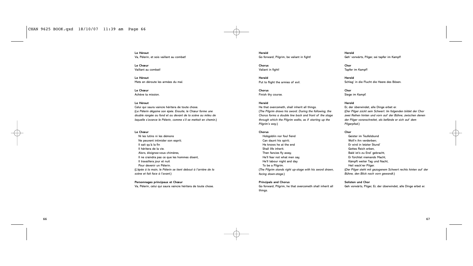**Le Héraut** Va, Pèlerin, et sois vaillant au combat!

**Le Chœur** Vaillant au combat!

**Le Héraut** Mets en déroute les armées du mal.

**Le Chœur** Achève ta mission.

# **Le Héraut**

Celui qui saura vaincre héritera de toute chose. (*Le Pèlerin dégaine son épée. Ensuite, le Chœur forme une double rangée au fond et au devant de la scène au mileu de laquelle s'avance le Pèlerin, comme s'il se mettait en chemin*.)

# **Le Chœur**

Ni les lutins ni les démons Ne peuvent intimider son esprit; Il sait qu'à la fin Il héritera de la vie. Alors, éloignez-vous chimères, Il ne craindra pas ce que les hommes disent, Il travaillera jour et nuit Pour devenir un Pèlerin. (*L'épée à la main, le Pèlerin se tient debout à l'arrière de la scène et fait face à l'avant*.)

# **Personnages principaux et Chœur**

Va, Pèlerin, celui qui saura vaincre héritera de toute chose.

**Herald** Go forward, Pilgrim, be valiant in fight!

**Chorus** Valiant in fight!

**Herald** Put to flight the armies of evil.

**Chorus** Finish thy course.

# **Herald**

He that overcometh, shall inherit all things. (*The Pilgrim draws his sword. During the following, the Chorus forms a double line back and front of the stage through which the Pilgrim walks, as if starting up the Pilgrim's way*.)

# **Chorus**

Hobgoblin nor foul fiend Can daunt his spirit; He knows he at the end Shall life inherit. Then fancies fly away, He'll fear not what men say, He'll labour night and day To be a Pilgrim. (*The Pilgrim stands right up-stage with his sword drawn, facing down-stage*.)

**Principals and Chorus**

Go forward, Pilgrim, he that overcometh shall inherit all things.

**Herold** Geh' vorwärts, Pilger, sei tapfer im Kampf!

**Chor** Tapfer im Kampf!

**Herold** Schlag' in die Flucht die Heere des Bösen.

**Chor** Siege im Kampf.

# **Herold**

Er, der überwindet, alle Dinge erbet er. (*Der Pilger zückt sein Schwert. Im folgenden bildet der Chor zwei Reihen hinten und vorn auf der Bühne, zwischen denen der Pilger voranschreitet, als befände er sich auf dem Pilgerpfad*.)

# **Chor**

Geister im Teufelsbund Woll'n ihn verderben; Er wird in letzter Stund' Gottes Reich erben, Bald ist's zu End' gebracht, Er fürchtet niemands Macht, Kämpft weiter Tag und Nacht, Heil wack'rer Pilger. (*Der Pilger steht mit gezogenem Schwert rechts hinten auf der Bühne, den Blick nach vorn gewandt*.)

# **Solisten und Chor**

Geh vorwärts, Pilger, Er, der überwindet, alle Dinge erbet er.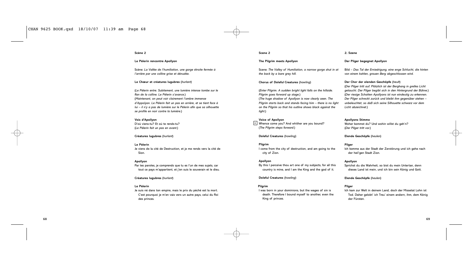# **Scène 2**

# **Le Pèlerin rencontre Apollyon**

Scène: *La Vallée de l'humiliation, une gorge étroite fermée à l'arrière par une colline grise et dénudée.*

# **Le Chœur et créatures lugubres** (*hurlant*)

(*Le Pèlerin entre. Subitement, une lumière intense tombe sur le flan de la colline. Le Pèlerin s'avance*.) (*Maintenant, on peut voir clairement l'ombre immense d'Appolyon. Le Pèlerin fait un pas en arrière, et se tient face à lui – il n'y a pas de lumière sur le Pèlerin afin que sa silhouette se profile en noir contre la lumière*.)

# **Voix d'Apollyon**

D'où viens-tu? Et où te rends-tu? (*Le Pèlerin fait un pas en avant*.)

# **Créatures lugubres** (*hurlant*)

**Le Pèlerin** Je viens de la cité de Destruction, et je me rends vers la cité de Sion.

# **Apollyon**

Par tes paroles, je comprends que tu es l'un de mes sujets, car tout ce pays m'appartient, et j'en suis le souverain et le dieu.

# **Créatures lugubres** (*hurlant*)

# **Le Pèlerin**

Je suis né dans ton empire, mais le prix du péché est la mort. C'est pourquoi je m'en vais vers un autre pays, celui du Roi des princes.

# **Scene 2**

# **The Pilgrim meets Apollyon**

Scene: *The Valley of Humiliation, a narrow gorge shut in at the back by a bare grey hill.*

# **Chorus of Doleful Creatures** (*howling*)

(*Enter Pilgrim. A sudden bright light falls on the hillside. Pilgrim goes forward up stage*.) (*The huge shadow of Apollyon is now clearly seen. The Pilgrim starts back and stands facing him – there is no light on the Pilgrim so that his outline shows black against the light*.)

**Voice of Apollyon** 6 Whence come you? And whither are you bound? (*The Pilgrim steps forward*.)

# **Doleful Creatures** (*howling*)

# **Pilgrim**

I come from the city of destruction, and am going to the city of Zion.

# **Apollyon**

By this I perceive thou art one of my subjects, for all this country is mine, and I am the King and the god of it.

# **Doleful Creatures** (*howling*)

# **Pilgrim**

I was born in your dominions, but the wages of sin is death. Therefore I bound myself to another, even the King of princes.

### **2. Szene**

# **Der Pilger begegnet Apollyon**

Bild – *Das Tal der Erniedrigung, eine enge Schlucht, die hinten von einem kahlen, grauen Berg abgeschlossen wird.*

# **Der Chor der elenden Geschöpfe** (*heult*)

(*Der Pilger tritt auf. Plötzlich ist der Berghang in grelles Licht getaucht. Der Pilger begibt sich in den Hintergrund der Bühne*.) (*Der riesige Schatten Apollyons ist nun eindeutig zu erkennen. Der Pilger schreckt zurück und bleibt ihm gegenüber stehen – unbeleuchtet, so daß sich seine Silhouette schwarz vor dem Licht abzeichnet.*)

# **Apollyons Stimme**

Woher kommst du? Und wohin willst du geh'n? (*Der Pilger tritt vor.*)

**Elende Geschöpfe** (*heulen*)

# **Pilger**

Ich komme aus der Stadt der Zerstörung und ich gehe nach der heil'gen Stadt Zion.

### **Apollyon**

Sprichst du die Wahrheit, so bist du mein Untertan, denn dieses Land ist mein, und ich bin sein König und Gott.

**Elende Geschöpfe** (*heulen*)

# **Pilger**

Ich kam zur Welt in deinem Land, doch der Missetat Lohn ist Tod. Daher gelobt' ich Treu' einem andern, ihm, dem König der Fürsten.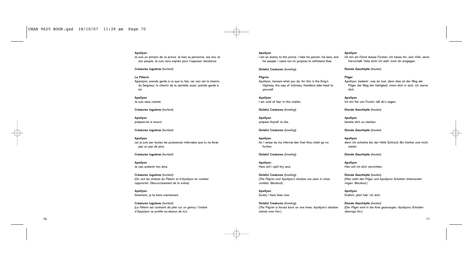# **Apollyon**

Je suis un ennemi de ce prince. Je hais sa personne, ses lois, et son peuple. Je suis venu exprès pour t'opposer résistance.

**Créatures lugubres** (*hurlant*)

# **Le Pèlerin**

Appolyon, prends garde à ce que tu fais, car ceci est la chemin du Seigneur, le chemin de la sainteté; aussi, prends garde à toi.

**Apollyon** Je suis sans crainte;

**Créatures lugubres** (*hurlant*)

**Apollyon** prépare-toi à mourir,

**Créatures lugubres** (*hurlant*)

**Apollyon** car je jure par toutes les puissances infernales que tu ne feras pas un pas de plus.

**Créatures lugubres** (*hurlant*)

**Apollyon** Je vais anéantir ton âme.

**Créatures lugubres** (*hurlant*) (*On voit les ombres du Pèlerin et d'Apollyon en combat rapproché. Obscurcissement de la scène*)

**Apollyon** Sûrement, je te tiens maintenant.

**Créatures lugubres** (*hurlant*) (*Le Pèlerin est contraint de plier sur un genou; l'ombre d'Appolyon se profile au-dessus de lui*.)

# **Apollyon**

I am an enemy to this prince. I hate his person, his laws, and his people. I came out on purpose to withstand thee.

**Doleful Creatures** (*howling*)

**Pilgrim** Apollyon, beware what you do, for this is the King's Highway, the way of holiness; therefore take heed to yourself.

**Apollyon** I am void of fear in this matter;

**Doleful Creatures** (*howling*)

**Apollyon** prepare thyself to die,

**Doleful Creatures** (*howling*)

**Apollyon** for I swear by my infernal den that thou shalt go no further.

**Doleful Creatures** (*howling*)

**Apollyon** Here will I spill thy soul.

**Doleful Creatures** (*howling*) (*The Pilgrim and Apollyon's shadow are seen in close combat*. *Blackout*)

**Apollyon** Surely I have thee now.

**Doleful Creatures** (*howling*) (*The Pilgrim is forced back on one knee; Apollyon's shadow stands over him*.)

# **Apollyon**

Ich bin ein Feind dieses Fürsten. Ich hasse ihn, sein Volk, seine Herrschaft. Hüte dich! Ich stell' mich dir entgegen.

**Elende Geschöpfe** (*heulen*)

# **Pilger** Apollyon, bedenk', was du tust, denn dies ist der Weg der

Pilger, der Weg der Heiligkeit; nimm dich in acht, ich warne dich.

**Apollyon** Ich bin frei von Furcht, laß dir's sagen;

**Elende Geschöpfe** (*heulen*)

**Apollyon** bereite dich zu sterben,

**Elende Geschöpfe** (*heulen*)

**Apollyon** denn ich schwöre bei der Hölle Schlund: Bis hierher und nicht weiter;

**Elende Geschöpfe** (*heulen*)

**Apollyon** Hier will ich dich vernichten.

**Elende Geschöpfe** (*heulen*) (*Man sieht den Pilger und Apollyons Schatten miteinander ringen. Blackout.*)

**Apollyon** Endlich, jetzt hab' ich dich.

**Elende Geschöpfe** (*heulen*) (*Der Pilger wird in die Knie gezwungen; Apollyons Schatten überragt ihn*.)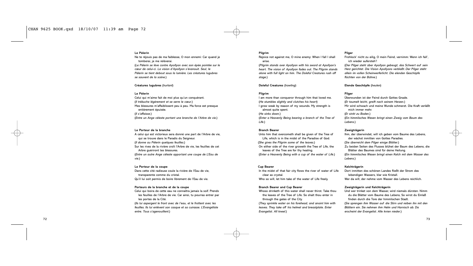# **Le Pèlerin**

Ne te réjouis pas de ma faiblesse, O mon ennemi: Car quand je tomberai, je me relèverai. (*Le Pèlerin se lève contre Apollyon avec son épée pointée sur le cœur de celui-ci. La vision d'Apollyon s'évanouit. Seul, le Pèlerin se tient debout sous la lumière. Les créatures lugubres se sauvent de la scène*.)

# **Créatures lugubres** (*hurlant*)

# **Le Pèlerin**

Celui qui m'aime fait de moi plus qu'un conquérant. (*Il trébuche légèrement et se serre le cœur*.) Mes blessures m'affaiblissent peu à peu. Ma force est presque entièrement épuisée. (*Il s'affaisse*.) (*Entre un Ange céleste portant une branche de l'Arbre de vie*.)

# **Le Porteur de la branche**

A celui qui est victorieux sera donné une part de l'Arbre de vie, qui se trouve dans le Paradis du Seigneur. (*Il donne au Pèlerin quelques feuilles*.) Sur les rives de la rivière croît l'Arbre de vie, les feuilles de cet Arbre guériront tes blessures. (*Entre un autre Ange céleste apportant une coupe de L'Eau de vie*.)

### **Le Porteur de la coupe** Dans cette cité radieuse coule la rivière de l'Eau de vie,

transparente comme du cristal. Qu'il lui soit permis de boire librement de l'Eau de vie.

# **Porteurs de la branche et de la coupe**

Celui qui boira de cette eau ne connaîtra jamais la soif. Prends les feuilles de l'Arbre de vie. Car ainsi, tu pourras entrer par les portes de la Cité. (*Ils lui aspergent le front avec de l'eau, et le frottent avec les*

*feuilles. Ils lui enlèvent son casque et sa cuirasse. L'Evangéliste entre. Tous s'agenouillent*.)

# **Pilgrim**

Rejoice not against me, O mine enemy: When I fall I shall arise.

(*Pilgrim stands over Apollyon with his sword at Apollyon's heart. The vision of Apollyon fades out*. *The Pilgrim stands alone with full light on him. The Doleful Creatures rush off stage*.)

# **Doleful Creatures** (*howling*)

# **Pilgrim**

I am more than conqueror through him that loved me. (*He stumbles slightly and clutches his heart*) I grow weak by reason of my wounds. My strength is almost quite spent. (*He sinks down.*) (*Enter a Heavenly Being bearing a branch of the Tree of Life*.)

# **Branch Bearer**

Unto him that overcometh shall be given of the Tree of Life, which is in the midst of the Paradise of God. (*She gives the Pilgrim some of the leaves*.) On either side of the river groweth the Tree of Life, the leaves of the Tree are for thy healing. (*Enter a Heavenly Being with a cup of the water of Life*.)

# **Cup Bearer**

In the midst of that fair city flows the river of water of Life clear as crystal. Who so will, let him take of the water of Life freely.

# **Branch Bearer and Cup Bearer**

Whoso drinketh of this water shall never thirst. Take thou the leaves of the Tree of Life. So shalt thou enter in through the gates of the City.

(*They sprinkle water on his forehead, and anoint him with leaves. They take off his helmet and breastplate*. *Enter Evangelist. All kneel*.)

# **Pilger**

Frohlock' nicht zu eilig, O mein Feind, vernimm: Wenn ich fall', ich wieder aufersteh'!

(*Der Pilger steht über Apollyon gebeugt, das Schwert auf sein Herz gerichtet. Die Vision Apollyons verblaßt. Der Pilger steht allein im vollen Scheinwerferlicht. Die elenden Geschöpfe flüchten von der Bühne*.)

# **Elende Geschöpfe** (*heulen*)

### **Pilger**

Überwunden ist der Feind durch Gottes Gnade. (*Er taumelt leicht, greift nach seinem Herzen.*) Mir wird schwach und meine Wunde schmerzt. Die Kraft verläßt mich immer mehr. (*Er sinkt zu Boden.*) (*Ein himmlisches Wesen bringt einen Zweig vom Baum des Lebens*.)

### **Zweigträgerin**

Ihm, der überwindet, will ich geben vom Baume des Lebens, der wächst inmitten von Gottes Paradies. (*Sie überreicht dem Pilger einige Blätter*.) Zu beiden Seiten des Flusses blühet der Baum des Lebens, die Blätter des Baumes sind für deine Heilung. (*Ein himmlisches Wesen bringt einen Kelch mit dem Wasser des Lebens*.)

# **Kelchträgerin**

Dort inmitten des schönen Landes fließt der Strom des lebendigen Wassers, klar wie Kristall. Wer da will, der nehme vom Wasser des Lebens reichlich.

# **Zweigträgerin und Kelchträgerin**

Und wer trinket von dem Wasser, wird niemals dürsten. Nimm du die Blätter vom Baume des Lebens, So wirst du Einlaß finden durch die Tore der himmlischen Stadt. (*Sie sprengen ihm Wasser auf die Stirn und reiben ihn mit den Blättern ein. Sie nehmen ihm Helm und Harnisch ab. Da erscheint der Evangelist. Alle knien nieder*.)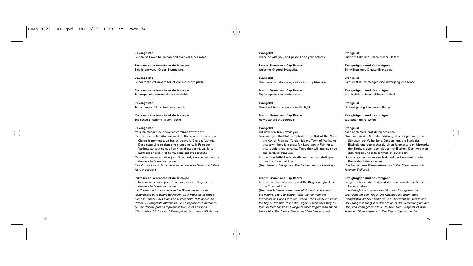**L'Evangéliste** La paix soit avec toi; la paix soit avec vous, ses aides.

**Porteurs de la branche et de la coupe** Sois le bienvenu, O bon Evangéliste.

**L'Evangéliste** La couronne est devant toi, et elle est incorruptible.

**Porteurs de la branche et de la coupe** Ta compagnie, comme elle est désirable!

**L'Evangéliste** Tu as remporté la victoire au combat,

**Porteurs de la branche et de la coupe** Tes conseils, comme ils sont doux!

### **L'Evangéliste**

*reste à genoux*.)

mais maintenant, de nouvelles épreuves t'attendent. Prends avec toi le Bâton de salut, le Rouleau de la parole, la Clé de la promesse. Là-bas se trouve la Cité des Vanités. Dans cette ville se tient une grande foire, la Foire aux Vanités, car tout ce que l'on y vend est vanité. Là, ils te mettront en prison et te maltraiteront avec cruauté. Mais si tu demeures fidèle jusqu'à la mort, alors le Seigneur te donnera la Couronne de vie. (*Les Porteurs de la branche et de la coupe se lèvent. Le Pèlerin*

# **Porteurs de la branche et de la coupe**

Si tu demeures fidèle jusqu'à la mort, alors le Seigneur te donnera la Couronne de vie. (*Le Porteur de la branche prend le Bâton des mains de*

*l'Evangéliste et le donne au Pèlerin. Le Porteur de la coupe prend le Rouleau des mains de l'Evangéliste et le donne au Pèlerin. L'Evangéliste attache la Clé de la promesse autour du cou du Pèlerin, puis ils reprennent tous leurs positions. L'Evangéliste fait face au Pèlerin qui se tient agenouillé devant* **Evangelist** Peace be with you, and peace be to your helpers.

**Branch Bearer and Cup Bearer** Welcome, O good Evangelist.

**Evangelist** The crown is before you, and an incorruptible one.

**Branch Bearer and Cup Bearer** Thy company, how desirable is it.

**Evangelist** Thou hast been conqueror in the fight,

**Branch Bearer and Cup Bearer** How dear are thy counsels!

# **Evangelist**

but now new trials await you. Take with you the Staff of Salvation, the Roll of the Word, the Key of Promise. Yonder lies the Town of Vanity. At that town there is a great fair kept, Vanity Fair, for all that is sold there is vanity. There they will imprison you and sorely ill treat you.

But be thou faithful unto death, and the King shall give thee the Crown of Life.

(*The Heavenly Beings rise. The Pilgrim remains kneeling*.)

# **Branch Bearer and Cup Bearer**

Be thou faithful unto death, and the King shall give thee the Crown of Life.

(*The Branch Bearer takes Evangelist's staff and gives it to the Pilgrim. The Cup Bearer takes the roll from the Evangelist and gives it to the Pilgrim. The Evangelist hangs the Key of Promise round the Pilgrim's neck, then they all take up their positions. Evangelist faces Pilgrim who kneels before him. The Branch Bearer and Cup Bearer stand*

**Evangelist** Friede mit dir, und Friede deinen Helfern.

**Zweigträgerin und Kelchträgerin** Sei willkommen, O guter Evangelist.

**Evangelist** Bald wirst du empfangen eine unvergängliche Krone.

**Zweigträgerin und Kelchträgerin** Wie lieblich in deiner Nähe zu weilen!

**Evangelist** Du hast gesieget in hartem Kampf,

**Zweigträgerin und Kelchträgerin** Wie schön deine Worte!

### **Evangelist**

doch noch mehr hast du zu bestehen. Nimm mit dir den Stab der Erlösung, das heilige Buch, den Schlüssel der Verheißung. Drüben liegt die Stadt der Eitelkeit, und dort siehst du einen Jahrmarkt, den Jahrmarkt der Eitelkeit, denn dort gibt es nur Eitelkeit. Dort wird man dich fangen und dich schimpflich behandeln. Doch sei getreu bis an den Tod, und der Herr wird dir die Krone des Lebens geben.

(*Die himmlischen Wesen erheben sich. Der Pilger verharrt in kniender Stellung*.)

# **Zweigträgerin und Kelchträgerin**

Sei getreu bis an den Tod, und der Herr wird dir die Krone des Lebens geben.

(*Die Zweigträgerin nimmt den Stab des Evangelisten und überreicht ihn dem Pilger. Die Kelchträgerin nimmt dem Evangelisten die Schriftrolle ab und überreicht sie dem Pilger. Der Evangelist hängt ihm den Schlüssel der Verheißung um den Hals, und dann gehen alle in Position. Der Evangelist ist dem knienden Pilger zugewandt. Die Zweigträgerin und die*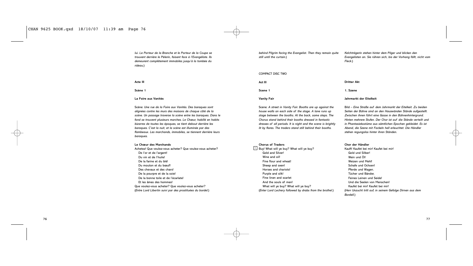*lui. Le Porteur de la Branche et le Porteur de la Coupe se trouvent derrière le Pèlerin, faisant face à l'Evangéliste. Ils demeurent complètement immobiles jusqu'à la tombée du rideau*.)

*behind Pilgrim facing the Evangelist. Then they remain quite still until the curtain*.)

# *Kelchträgerin stehen hinter dem Pilger und blicken den Evangelisten an. Sie rühren sich, bis der Vorhang fällt, nicht vom Fleck*.)

# COMPACT DISC TWO

| Act III            |
|--------------------|
| Scene 1            |
| <b>Vanity Fair</b> |

Scene: *A street in Vanity Fair. Booths are up against the house walls on each side of the stage. A lane runs up stage between the booths. At the back, some steps. The Chorus stand behind their booths dressed in fantastic dresses of all periods. It is night and the scene is brightly lit by flares. The traders stand still behind their booths.*

# **Chorus of Traders**

 $1$  Buy! What will ye buy? What will ye buy? Gold and Silver! Wine and oil! Fine flour and wheat! Sheep and oxen! Horses and chariots! Purple and silk! Fine linen and scarlet And the souls of men! What will ye buy? What will ye buy? (*Enter Lord Lechery followed by drabs from the brothel.*)

# **Dritter Akt**

# **1. Szene**

# **Jahrmarkt der Eitelkeit**

Bild – *Eine Straße auf dem Jahrmarkt der Eitelkeit. Zu beiden Seiten der Bühne sind an den Hauswänden Stände aufgestellt. Zwischen ihnen führt eine Gasse in den Bühnenhintergrund. Hinten mehrere Stufen. Der Chor ist auf die Stände verteilt und in Phantasiekostüme aus sämtlichen Epochen gekleidet. Es ist Abend, die Szene mit Fackeln hell erleuchtet. Die Händler stehen regungslos hinter ihren Ständen*.

# **Chor der Händler**

Kauft! Kaufet bei mir! Kaufet bei mir! Gold und Silber! Wein und Öl! Weizen und Mehl! Schafe und Ochsen! Pferde und Wagen. Tücher und Bänder, Feines Leinen und Seide! Und die Seelen von Menschen! Kaufet bei mir! Kaufet bei mir! (*Herr Unzucht tritt auf, in seinem Gefolge Dirnen aus dem Bordell.*)

# **Acte III**

**Scène 1**

# **La Foire aux Vanités**

Scène: *Une rue de la Foire aux Vanités. Des baraques sont alignées contre les murs des maisons de chaque côté de la scène. Un passage traverse la scène entre les baraques. Dans le fond se trouvent plusieurs marches. Le Chœur, habillé en habits bizarres de toutes les époques, se tient debout derrière les baraques. C'est la nuit, et la scène est illuminée par des flambeaux. Les marchands, immobiles, se tiennent derrière leurs baraques.*

# **Le Chœur des Marchands**

Achetez! Que voulez-vous acheter? Que voulez-vous acheter? De l'or et de l'argent! Du vin et de l'huile! De la farine et du blé! Du mouton et du bœuf! Des chevaux et des chars! De la pourpre et de la soie! De la bonne toile et de l'écarlate! Et les âmes des hommes! Que voulez-vous acheter? Que voulez-vous acheter? (*Entre Lord Libertin suivi par des prostituées du bordel*.)

76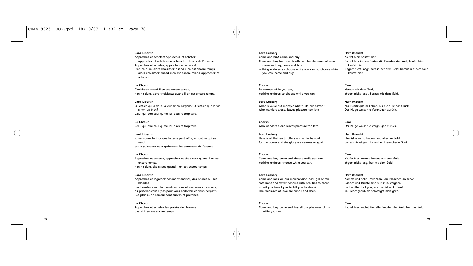# **Lord Libertin**

Approchez et achetez! Approchez et achetez! approchez et achetez-nous tous les plaisirs de l'homme, Approchez et achetez, approchez et achetez! Rien ne dure, alors choisissez quand il en est encore temps, alors choisissez quand il en est encore temps, approchez et achetez.

# **Le Chœur**

Choisissez quand il en est encore temps, rien ne dure, alors choisissez quand il en est encore temps,

# **Lord Libertin**

Qu'est-ce qui a de la valeur sinon l'argent? Qu'est-ce que la vie sinon un bien? Celui qui erre seul quitte les plaisirs trop tard.

**Le Chœur** Celui qui erre seul quitte les plaisirs trop tard.

**Lord Libertin** Ici se trouve tout ce que la terre peut offrir, et tout ce qui se vend, car la puissance et la gloire sont les serviteurs de l'argent.

**Le Chœur** Approchez et achetez, approchez et choisissez quand il en est encore temps, rien ne dure, choisissez quand il en est encore temps.

# **Lord Libertin**

Approchez et regardez nos marchandises, des brunes ou des blondes, des beautés avec des membres doux et des seins charmants, ou préférez-vous Hylas pour vous endormir en vous berçant? Les plaisirs de l'amour sont subtils et profonds.

# **Le Chœur**

Approchez et achetez les plaisirs de l'homme quand il en est encore temps.

**Lord Lechery** Come and buy! Come and buy! Come and buy from our booths all the pleasures of man, come and buy, come and buy, nothing endures so choose while you can, so choose while you can, come and buy.

**Chorus** So choose while you can, nothing endures so choose while you can.

**Lord Lechery** What is value but money? What's life but estate? Who wanders alone, leaves pleasure too late.

**Chorus** Who wanders alone leaves pleasure too late.

**Lord Lechery** Here is all that earth offers and all to be sold for the power and the glory are sevants to gold.

**Chorus** Come and buy, come and choose while you can, nothing endures, choose while you can.

**Lord Lechery**

Come and look on our merchandise, dark girl or fair, soft limbs and sweet bosoms with beauties to share, or will you have Hylas to lull you to sleep? The pleasures of love are subtle and deep.

**Chorus** Come and buy, come and buy all the pleasures of man while you can.

**Herr Unzucht** Kaufet hier! Kaufet hier! Kaufet hier in den Buden die Freuden der Welt, kaufet hier, kaufet hier. Zögert nicht lang', heraus mit dem Geld, heraus mit dem Geld, kaufet hier.

**Chor** Heraus mit dem Geld, zögert nicht lang', heraus mit dem Geld.

**Herr Unzucht** Nur Besitz gilt im Leben, nur Geld ist das Glück, Der Kluge weist nie Vergnügen zurück.

**Chor** Der Kluge weist nie Vergnügen zurück.

**Herr Unzucht** Hier ist alles zu haben, und alles im Sold, der allmächtigen, glorreichen Herrscherin Gold.

**Chor** Kaufet hier, kommt, heraus mit dem Geld, zögert nicht lang, her mit dem Geld.

**Herr Unzucht** Kommt und seht unsre Ware, die Mädchen so schön, Glieder und Brüste sind süß zum Vergehn, und wolltet Ihr Hylas, auch er ist nicht fern! Im Liebesgenuß da schwelget man gern.

**Chor**

Kaufet hier, kaufet hier alle Freuden der Welt, her das Geld.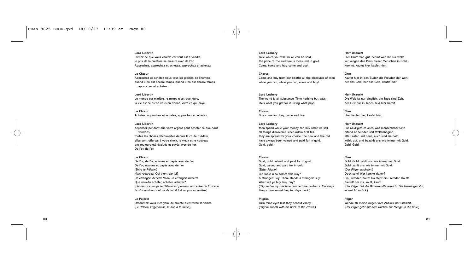# **Lord Libertin**

Prenez ce que vous voulez, car tout est à vendre, le prix de la créature se mesure avec de l'or. Approchez, approchez et achetez, approchez et achetez!

# **Le Chœur**

Approchez et achetez-nous tous les plaisirs de l'homme quand il en est encore temps, quand il en est encore temps, approchez et achetez.

# **Lord Libertin**

Le monde est matière, le temps n'est que jours, la vie est ce qu'on vous en donne, vivre ce qui paye,

**Le Chœur** Achetez, approchez et achetez, approchez et achetez.

# **Lord Libertin**

dépensez pendant que votre argent peut acheter ce que nous vendons, toutes les choses découvertes depuis la chute d'Adam, elles sont offertes à votre choix, le vieux et le nouveau ont toujours été évalués et payés avec de l'or. De l'or, de l'or.

# **Le Chœur**

De l'or, de l'or, évalués et payés avec de l'or. De l'or, évalués et payés avec de l'or. (*Entre le Pèlerin*.) Mais regardez! Qui vient par ici? Un étranger! Achète! Voilà un étranger! Achète! Que veux-tu acheter, acheter, acheter? (*Pendant ce temps le Pèlerin est parvenu au centre de la scène. Ils s'assemblent autour de lui. Il fait un pas en arrière*.)

# **Le Pèlerin**

Détournez-vous mes yeux de crainte d'entrevoir la vanité. (*Le Pèlerin s'agenouille, le dos à la foule*.)

# **Lord Lechery** Take which you will, for all can be sold, the price of the creature is measured in gold. Come, come and buy, come and buy!

**Chorus** Come and buy from our booths all the pleasures of man while you can, while you can, come and buy!

# **Lord Lechery**

The world is all substance, Time nothing but days, life's what you get for it, living what pays,

**Chorus** Buy, come and buy, come and buy.

# **Lord Lechery**

then spend while your money can buy what we sell, all things discovered since Adam first fell, they are spread for your choice, the new and the old have always been valued and paid for in gold. Gold, gold.

### **Chorus**

Gold, gold, valued and paid for in gold. Gold, valued and paid for in gold. (*Enter Pilgrim*) But look! Who comes this way? A stranger! Buy! There stands a stranger! Buy! What will ye buy, buy, buy? (*Pilgrim has by this time reached the centre of the stage. They crowd round him; he steps back*.)

# **Pilgrim**

Turn mine eyes lest they behold vanity. (*Pilgrim kneels with his back to the crowd*.)

# **Herr Unzucht**

Hier kauft man gut, nehmt wen Ihr nur wollt, wir wiegen den Preis dieser Menschen in Gold. Kommt, kaufet hier, kaufet hier!

### **Chor**

Kaufet hier in den Buden die Freuden der Welt, her das Geld, her das Geld, kaufet hier!

# **Herr Unzucht**

Die Welt ist nur dinglich, die Tage sind Zeit, der Lust nur zu leben seid hier bereit.

**Chor** Hier, kaufet hier, kaufet hier.

# **Herr Unzucht**

Für Geld gibt es alles, was menschlicher Sinn erfand an Sünden seit Weltenbeginn, alte Laster und neue, euch sind sie hold, wählt gut, und bezahlt uns wie immer mit Gold. Gold, Gold.

### **Chor**

Gold, Gold, zahlt uns wie immer mit Gold. Gold, zahlt uns wie immer mit Gold. (*Der Pilger erscheint.*) Doch seht! Wer kommt daher? Ein Fremder! Kauft! Da steht ein Fremder! Kauft! Kaufet! bei mir, kauft, kauft! (*Der Pilger hat die Bühnenmitte erreicht. Sie bedrängen ihn; er weicht zurück.*)

# **Pilger**

Wende ab meine Augen vom Anblick der Eitelkeit. (*Der Pilger geht mit dem Rücken zur Menge in die Knie*.)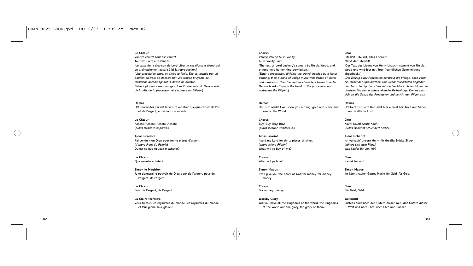# **Le Chœur**

Vanité! Vanité! Tout est Vanité! Tout est Foire aux Vanités. [Le texte de la chanson de Lord Libertin est d'Ursula Wood qui en a aimablement autorisé ici la reproduction.] (*Une procession entre, et divise la foule. Elle est menée par un bouffon en train de danser; suit une troupe bruyante de musiciens accompagnant la danse de bouffon. Suivent plusieurs personnages dans l'ordre suivant. Demas sort de la tête de la procession et s'adresse au Pèlerin*.)

# **Demas**

Hé! Tourne-toi par ici! Je vais te montrer quelque chose: de l'or et de l'argent, et l'amour du monde.

**Le Chœur** Achète! Achète! Achète! Achète! (*Judas Iscariote apparaît*.)

# **Judas Iscariote** J'ai vendu mon Dieu pour trente pièces d'argent. (*s'approchant du Pèlerin*) Qu'est-ce que tu veux m'acheter?

**Le Chœur** Que veux-tu acheter?

**Simon le Magicien** Je te donnerai le pouvoir de Dieu pour de l'argent, pour de l'argent, de l'argent.

**Le Chœur** Pour de l'argent, de l'argent.

**La Gloire terrestre** Veux-tu tous les royaumes du monde, les royaumes du monde et leur gloire, leur gloire?

### **Chorus**

Vanity! Vanity! All is Vanity! All is Vanity Fair! [The text of Lord Lechery's song is by Ursula Wood, and printed here by her kind permission.] (*Enter a procession, dividing the crowd, headed by a jester dancing; then a band of rough music with dance of jester and musicians. Then the various characters below in order. Demas breaks through the head of the procession and addresses the Pilgrim*.)

# **Demas**

Ho! Turn aside! I will show you a thing: gold and silver, and love of the World.

**Chorus** Buy! Buy! Buy! Buy! (*Judas Iscariot wanders in*.)

# **Judas Iscariot**

I sold my Lord for thirty pieces of silver. (*approaching Pilgrim*) What will ye buy of me?

**Chorus** What will ye buy?

**Simon Magus** I will give you the pow'r of God for money, for money, money.

**Chorus** For money, money.

# **Worldly Glory** Will you have all the kingdoms of the world, the kingdoms of the world and the glory, the glory of them?

# **Chor**

Eitelkeit, Eitelkeit, alles Eitelkeit! Markt der Eitelkeit! [Der Text des Liedes von Herrn Unzucht stammt von Ursula Wood und wird hier mit ihrer freundlichen Genehmigung abgedruckt.]

(*Der Einzug einer Prozession zerstreut die Menge, allen voran ein tanzender Spaßmacher; eine Schar Musikanten begleitet den Tanz des Spaßmachers mit derber Musik. Ihnen folgen die diversen Figuren in untenstehender Reihenfolge. Demas setzt sich an die Spitze der Prozession und spricht den Pilger an*.)

# **Demas**

Ho! Geht zur Seit'! Und seht hier einmal her: Gold und Silber und weltliche Lust.

**Chor** Kauft! Kauft! Kauft! Kauft! (*Judas Ischariot schlendert herbei*.)

# **Judas Ischariot** Ich verkauft' unsern Herrn für dreißig Stücke Silber. (*nähert sich dem Pilger*) Was kaufet ihr von mir?

**Chor** Kaufet bei mir!

**Simon Magus** Ihr könnt kaufen Gottes Macht für Geld, für Geld.

**Chor** Für Geld, Geld. **Weltsucht**

Lüstet's euch nach den Gütern dieser Welt, den Gütern dieser Welt und nach Ehre, nach Ehre und Ruhm?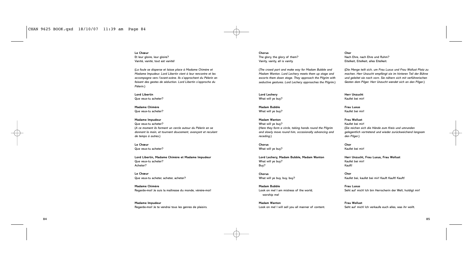# **Le Chœur**

Et leur gloire, leur gloire? Vanité, vanité, tout est vanité!

(*La foule se disperse et laisse place à Madame Chimère et Madame Impudeur. Lord Libertin vient à leur rencontre et les accompagne vers l'avant-scène. Ils s'approchent du Pèlerin en faisant des gestes de séduction. Lord Libertin s'approche du Pèlerin*.)

**Lord Libertin** Que veux-tu acheter?

**Madame Chimère** Que veux-tu acheter?

# **Madame Impudeur**

Que veux-tu acheter? (*A ce moment ils forment un cercle autour du Pèlerin en se donnant la main, et tournent doucement, avançant et reculant de temps à autres*.)

**Le Chœur** Que veux-tu acheter?

**Lord Libertin, Madame Chimère et Madame Impudeur** Que veux-tu acheter? Acheter?

**Le Chœur** Que veux-tu acheter, acheter, acheter?

**Madame Chimère** Regarde-moi! Je suis la maîtresse du monde, vénère-moi!

**Madame Impudeur** Regarde-moi! Je te vendrai tous les genres de plaisirs.

# **Chorus** The glory, the glory of them? Vanity, vanity, all is vanity.

(*The crowd part and make way for Madam Bubble and Madam Wanton. Lord Lechery meets them up stage and escorts them down stage. They approach the Pilgrim with seductive gestures. Lord Lechery approaches the Pilgrim*.)

**Lord Lechery** What will ye buy?

**Madam Bubble** What will ye buy?

# **Madam Wanton** What will ye buy? (*Here they form a circle, taking hands round the Pilgrim and slowly move round him, occasionally advancing and receding*.)

**Chorus** What will ye buy?

**Lord Lechery, Madam Bubble, Madam Wanton** What will ye buy? Buy?

**Chorus** What will ye buy, buy, buy?

**Madam Bubble** Look on me! I am mistress of the world, worship me!

**Madam Wanton** Look on me! I will sell you all manner of content.

# **Chor**

Nach Ehre, nach Ehre und Ruhm? Eitelkeit, Eitelkeit, alles Eitelkeit.

(*Die Menge teilt sich, um Frau Luxus und Frau Wollust Platz zu machen. Herr Unzucht empfängt sie im hinteren Teil der Bühne und geleitet sie nach vorn. Sie nähern sich mit verführerischen Gesten dem Pilger. Herr Unzucht wendet sich an den Pilger*.)

**Herr Unzucht** Kaufet bei mir!

**Frau Luxus** Kaufet bei mir!

**Frau Wollust** Kaufet bei mir! (*Sie reichen sich die Hände zum Kreis und umrunden gelegentlich vortretend und wieder zurückweichend langsam den Pilger*.)

**Chor** Kaufet bei mir!

**Herr Unzucht, Frau Luxus, Frau Wollust** Kaufet bei mir! Kauft!

**Chor** Kaufet bei, kaufet bei mir! Kauft Kauft! Kauft!

**Frau Luxus** Seht auf mich! Ich bin Herrscherin der Welt, huldigt mir!

**Frau Wollust** Seht auf mich! Ich verkaufe euch alles, was ihr wollt.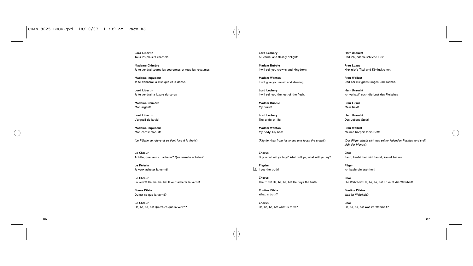**Lord Libertin** Tous les plaisirs charnels.

**Madame Chimère** Je te vendrai toutes les couronnes et tous les royaumes.

**Madame Impudeur** Je te donnerai la musique et la danse.

**Lord Libertin** Je te vendrai la luxure du corps.

**Madame Chimère** Mon argent!

**Lord Libertin** L'orgueil de la vie!

**Madame Impudeur** Mon corps! Mon lit!

(*Le Pèlerin se relève et se tient face à la foule*.)

**Le Chœur** Achète, que veux-tu acheter? Que veux-tu acheter?

**Le Pèlerin** Je veux acheter la vérité!

**Le Chœur** La vérité! Ha, ha, ha, ha! Il veut acheter la vérité!

**Ponce Pilate** Qu'est-ce que la vérité?

**Le Chœur** Ha, ha, ha, ha! Qu'est-ce que la vérité? **Lord Lechery** All carnal and fleshly delights.

**Madam Bubble** I will sell you crowns and kingdoms.

**Madam Wanton** I will give you music and dancing.

**Lord Lechery** I will sell you the lust of the flesh.

**Madam Bubble** My purse!

**Lord Lechery** The pride of life!

**Madam Wanton** My body! My bed!

(*Pilgrim rises from his knees and faces the crowd*.)

**Chorus** Buy, what will ye buy? What will ye, what will ye buy?

**Pilgrim**  $2$  I buy the truth!

> **Chorus** The truth! Ha, ha, ha, ha! He buys the truth!

**Pontius Pilate** What is truth?

**Chorus** Ha, ha, ha, ha! what is truth? **Herr Unzucht** Und ich jede fleischliche Lust.

**Frau Luxus** Hier gibt's Titel und Königskronen.

**Frau Wollust** Und bei mir gibt's Singen und Tanzen.

**Herr Unzucht** Ich verkauf' euch die Lust des Fleisches.

**Frau Luxus** Mein Geld!

**Herr Unzucht** Des Lebens Stolz!

**Frau Wollust** Meinen Körper! Mein Bett!

(*Der Pilger erhebt sich aus seiner knienden Position und stellt sich der Menge*.)

**Chor** Kauft, kaufet bei mir! Kaufet, kaufet bei mir!

**Pilger** Ich kaufe die Wahrheit!

**Chor** Die Wahrheit! Ha, ha, ha, ha! Er kauft die Wahrheit!

**Pontius Pilatus** Was ist Wahrheit?

**Chor** Ha, ha, ha, ha! Was ist Wahrheit?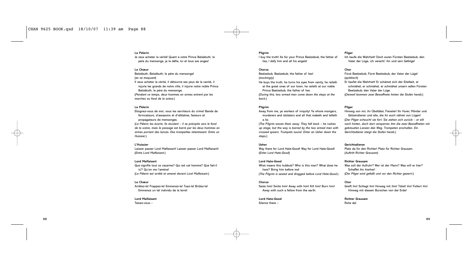# **Le Pèlerin**

Je veux acheter la vérité! Quant à votre Prince Belzébuth, le père du mensonge, je le défie, lui et tous ses anges!

# **Le Chœur**

Belzébuth, Belzébuth, le père du mensonge! (*en se moquant*) Il veux acheter la vérité, il détourne ses yeux de la vanité, il injurie les grands de notre ville, il injurie notre noble Prince Belzébuth, le père du mensonge. (*Pendant ce temps, deux hommes en armes entrent par les marches au fond de la scène*.)

# **Le Pèlerin**

Eloignez-vous de moi, vous les serviteurs du crime! Bande de fornicateurs, d'assassins et d'idôlatres, faiseurs et propagateurs de mensonges. (*Le Pèlerin les écarte. Ils reculent – il se précipite vers le fond de la scène, mais le passage est barré par les deux hommes en armes portant des lances. Des trompettes retentissent. Entre un*

# *Huissier*.) **L'Huissier**

Laisser passer Lord Malfaisant! Laisser passer Lord Malfaisant! (*Entre Lord Malfaisant*.)

# **Lord Malfaisant**

Que signifie tout ce vacarme? Qui est cet homme? Que fait-il ici? Qu'on me l'amène! (*Le Pèlerin est arrêté et amené devant Lord Malfaisant.*)

# **Le Chœur**

Arrêtez-le! Frappez-le! Emmenez-le! Tuez-le! Brûlez-le! Emmenez un tel individu de la terre!

# **Lord Malfaisant**

Taisez-vous –

# **Pilgrim**

I buy the truth! As for your Prince Beelzebub, the father of lies, I defy him and all his angels!

# **Chorus**

Beelzebub, Beelzebub, the father of lies! (*mockingly*)

He buys the truth, he turns his eyes from vanity, he raileth at the great ones of our town, he raileth at our noble Prince Beelzebub, the father of lies.

(*During this, two armed men come down the steps at the back*.)

# **Pilgrim**

Away from me, ye workers of iniquity! Ye whore mongers, murderers and idolaters and all that maketh and telleth a lie.

(*The Pilgrim waves them away. They fall back – he rushes up stage, but the way is barred by the two armed men with crossed spears*. *Trumpets sound. Enter an Usher down the steps*.)

# **Usher**

Way there for Lord Hate-Good! Way for Lord Hate-Good! (*Enter Lord Hate-Good*)

# **Lord Hate-Good**

What means this hubbub? Who is this man? What does he here? Bring him before me! (*The Pilgrim is seized and dragged before Lord Hate-Good*.)

# **Chorus**

Seize him! Smite him! Away with him! Kill him! Burn him! Away with such a fellow from the earth.

# **Lord Hate-Good**

Silence there –

# **Pilger**

Ich kaufe die Wahrheit! Doch euren Fürsten Beelzebub, den Vater der Lüge, ich veracht' ihn und sein Gefolge!

# **Chor**

Fürst Beelzebub, Fürst Beelzebub, der Vater der Lüge! (*spöttisch*) Er kaufet die Wahrheit! Er schämet sich der Eitelkeit, er schmähet, er schmähet, er schmähet unsern edlen Fürsten Beelzebub, den Vater der Lüge. (*Derweil kommen zwei Bewaffnete hinten die Stufen herab*.)

# **Pilger**

Hinweg von mir, ihr Übeltäter, Freveler! Ihr Hurer, Mörder und Götzendiener und alle, die ihr euch nähret von Lügen! (*Der Pilger scheucht sie fort. Sie ziehen sich zurück – er eilt nach hinten, doch dort versperren ihm die zwei Bewaffneten mit gekreuzten Lanzen den Weg. Trompeten erschallen. Ein Gerichtsdiener steigt die Stufen herab*.)

# **Gerichtsdiener**

Platz da für den Richter! Platz für Richter Grausam. (*Auftritt Richter Grausam*)

### **Richter Grausam**

Was soll der Aufruhr? Wer ist der Mann? Was will er hier? Schaffet ihn hierher! (*Der Pilger wird gefaßt und vor den Richter gezerrt*.)

### **Chor**

Greift ihn! Schlagt ihn! Hinweg mit ihm! Tötet! ihn! Foltert ihn! Hinweg mit diesem Burschen von der Erde!

# **Richter Grausam**

Ruhe da!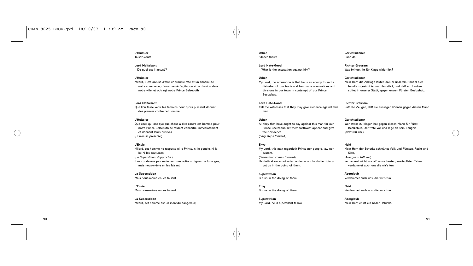# **L'Huissier** Taisez-vous!

# **Lord Malfaisant**

– De quoi est-il accusé?

# **L'Huissier**

Milord, il est accusé d'être un trouble-fête et un ennemi de notre commerce, d'avoir semé l'agitation et la division dans notre ville, et outragé notre Prince Belzébuth.

# **Lord Malfaisant**

Que l'on fasse venir les témoins pour qu'ils puissent donner des preuves contre cet homme.

# **L'Huissier**

Que ceux qui ont quelque chose à dire contre cet homme pour notre Prince Belzébuth se fassent connaître immédiatement et donnent leurs preuves. (*L'Envie se présente*.)

# **L'Envie**

Milord, cet homme ne respecte ni le Prince, ni le peuple, ni la loi ni les coutumes. (*La Superstition s'approche*.) Il ne condamne pas seulement nos actions dignes de louanges, mais nous-même en les faisant.

# **La Superstition**

Mais nous-même en les faisant.

**L'Envie** Mais nous-même en les faisant.

**La Superstition** Milord, cet homme est un individu dangereux, –

### **Usher** Silence there!

**Lord Hate-Good** – What is the accusation against him?

# **Usher**

My Lord, the accusation is that he is an enemy to and a disturber of our trade and has made commotions and divisions in our town in contempt of our Prince Beelzebub.

# **Lord Hate-Good**

Call the witnesses that they may give evidence against this man.

# **Usher**

All they that have aught to say against this man for our Prince Beelzebub, let them forthwith appear and give their evidence. (*Envy steps forward.*)

# **Envy**

My Lord, this man regardeth Prince nor people, law nor custom. (*Supersition comes forward*) He doth at once not only condemn our laudable doings but us in the doing of them.

# **Superstition** But us in the doing of them.

**Envy** But us in the doing of them.

**Superstition** My Lord, he is a pestilent fellow, –

# **Gerichtsdiener** Ruhe da!

**Richter Grausam** Was bringet ihr für Klage wider ihn?

# **Gerichtsdiener**

Mein Herr, die Anklage lautet, daß er unserem Handel hier feindlich gesinnt ist und ihn stört, und daß er Unruhen stiftet in unserer Stadt, gegen unsren Fürsten Beelzebub.

# **Richter Grausam**

Ruft die Zeugen, daß sie aussagen können gegen diesen Mann.

# **Gerichtsdiener**

Wer etwas zu klagen hat gegen diesen Mann für Fürst Beelzebub, Der trete vor und lege ab sein Zeugnis. (*Neid tritt vor.*)

# **Neid**

Mein Herr, der Schurke schmähet Volk und Fürsten, Recht und Sitte, (*Aberglaub tritt vor.*) verdammet nicht nur all' unsre besten, wertvollsten Taten, verdammet auch uns die wir's tun.

**Aberglaub** Verdammet auch uns, die wir's tun.

**Neid** Verdammet auch uns, die wir's tun.

**Aberglaub** Mein Herr, er ist ein böser Halunke.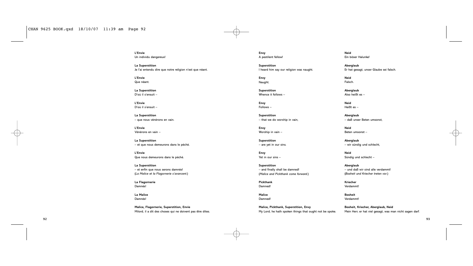**L'Envie** Un individu dangereux!

**La Superstition** Je l'ai entendu dire que notre religion n'est que néant.

**L'Envie** Que néant.

**La Superstition** D'où il s'ensuit –

**L'Envie** D'où il s'ensuit –

**La Superstition** – que nous vénérons en vain.

**L'Envie** Vénérons en vain –

**La Superstition** – et que nous demeurons dans le péché.

**L'Envie** Que nous demeurons dans le péché.

**La Superstition** – et enfin que nous serons damnés! (*La Malice et la Flagornerie s'avancent*.)

**La Flagornerie** Damnés!

**La Malice** Damnés!

**Malice, Flagornerie, Superstition, Envie** Milord, il a dit des choses qui ne doivent pas être dites. **Envy** A pestilent fellow!

**Superstition** I heard him say our religion was naught.

**Envy** Naught.

**Superstition** Whence it follows –

**Envy** Follows –

**Superstition** – that we do worship in vain,

**Envy** Worship in vain –

**Superstition** – are yet in our sins.

**Envy** Yet in our sins –

**Superstition** – and finally shall be damned! (*Malice and Pickthank come forward*.)

**Pickthank** Damned!

**Malice** Damned!

**Malice, Pickthank, Superstition, Envy** My Lord, he hath spoken things that ought not be spoke. **Neid** Ein böser Halunke!

**Aberglaub** Er hat gesagt, unser Glaube sei falsch.

**Neid** Falsch.

> **Aberglaub** Also heißt es –

**Neid** Heißt es –

**Aberglaub** – daß unser Beten umsonst,

**Neid** Beten umsonst –

**Aberglaub** – wir sündig und schlecht,

**Neid** Sündig und schlecht –

**Aberglaub** – und daß wir sind alle verdammt! (*Bosheit und Kriecher treten vor*.)

**Kriecher** Verdammt!

**Bosheit** Verdammt!

**Bosheit, Kriecher, Aberglaub, Neid** Mein Herr, er hat viel gesagt, was man nicht sagen darf.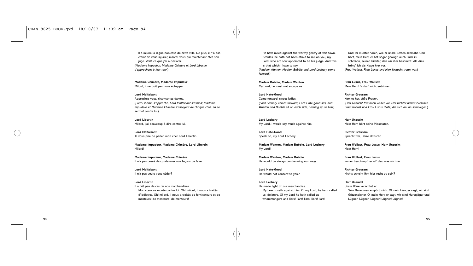# CHAN 9625 BOOK.qxd 18/10/07 11:39 am Page 94

Il a injurié la digne noblesse de cette ville. De plus, il n'a pas craint de vous injurier, milord, vous qui maintenant êtes son juge. Voilà ce que j'ai à déclarer. (*Madame Impudeur, Madame Chimère et Lord Libertin s'approchent à leur tour*.)

**Madame Chimère, Madame Impudeur** Milord, il ne doit pas nous échapper.

**Lord Malfaisant** Approchez-vous, charmantes dames. (*Lord Libertin s'approche, Lord Malfaisant s'assied; Madame Impudeur et Madame Chimère s'asseyent de chaque côté, en se serrant contre lui*.)

**Lord Libertin** Milord, j'ai beaucoup à dire contre lui.

**Lord Malfaisant** Je vous prie de parler, mon cher Lord Libertin.

**Madame Impudeur, Madame Chimère, Lord Libertin** Milord!

**Madame Impudeur, Madame Chimère** Il n'a pas cessé de condamner nos façons de faire.

**Lord Malfaisant** Il n'a pas voulu vous céder?

**Lord Libertin** Il a fait peu de cas de nos marchandises. Mon cœur se monte contre lui. Oh! milord, il nous a traités d'idôlatres. Oh! milord, il nous a traités de fornicateurs et de menteurs! de menteurs! de menteurs!

He hath railed against the worthy gentry of this town. Besides, he hath not been afraid to rail on you, my Lord, who art now appointed to be his judge. And this is that which I have to say. (*Madam Wanton, Madam Bubble and Lord Lechery come forward*.)

**Madam Bubble, Madam Wanton** My Lord, he must not escape us.

**Lord Hate-Good** Come forward, sweet ladies. (*Lord Lechery comes forward, Lord Hate-good sits, and Wanton and Bubble sit on each side, nestling up to him*.)

**Lord Lechery** My Lord, I would say much against him.

**Lord Hate-Good** Speak on, my Lord Lechery.

**Madam Wanton, Madam Bubble, Lord Lechery** My Lord!

**Madam Wanton, Madam Bubble** He would be always condemning our ways.

**Lord Hate-Good** He would not consent to you?

**Lord Lechery** He made light of our merchandise. My heart riseth against him. O! my Lord, he hath called us idolaters. O! my Lord he hath called us whoremongers and liars! liars! liars! liars! liars!

Und ihr müßtet hören, wie er unsre Besten schmäht. Und hört, mein Herr, er hat sogar gewagt, auch Euch zu schmähn, seinen Richter, den wir ihm bestimmt. All' dies bring' ich als Klage hier vor. (*Frau Wollust, Frau Luxus und Herr Unzucht treten vor*.)

**Frau Luxus, Frau Wollust** Mein Herr! Er darf nicht entrinnen.

**Richter Grausam** Kommt her, süße Frauen. (*Herr Unzucht tritt noch weiter vor. Der Richter nimmt zwischen Frau Wollust und Frau Luxus Platz, die sich an ihn schmiegen.*)

**Herr Unzucht** Mein Herr, hört seine Missetaten.

**Richter Grausam** Sprecht frei, Herre Unzucht!

**Frau Wollust, Frau Luxus, Herr Unzucht** Mein Herr!

**Frau Wollust, Frau Luxus** Immer beschimpft er all' das, was wir tun.

**Richter Grausam** Nichts scheint ihm hier recht zu sein?

**Herr Unzucht** Unsre Ware verachtet er. Sein Benehmen empört mich. O! mein Herr, er sagt, wir sind Götzendiener. O! mein Herr, er sagt, wir sind Hurenjäger und Lügner! Lügner! Lügner! Lügner! Lügner!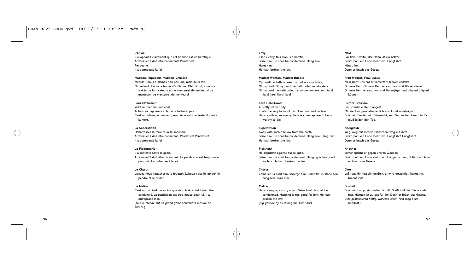# **L'Envie**

Il m'apparaît clairement que cet homme est un hérétique, Arrêtez-le! Il doit être condamné! Pendez-le! Pendez-le! Il a outrepassé la loi.

# **Madame Impudeur, Madame Chimère**

Milord! Il nous a blâmés non pas une, mais deux fois, Oh! milord, il nous a traités d'idôlatres. Oh! milord, il nous a traités de fornicateurs et de menteurs! de menteurs! de menteurs! de menteurs! de menteurs!

# **Lord Malfaisant**

Voilà un bien bel individu! Je hais son apparence. Je ne le tolèrerai pas. C'est un infâme, un ennemi; son crime est manifeste. Il mérite la mort.

### **La Superstition**

Débarrassez la terre d'un tel individu! Arrêtez-le! Il doit être condamné. Pendez-le! Pendez-le! Il a outrepassé la loi.

# **La Flagornerie**

Il a contesté notre religion. Arrêtez-le! Il doit être condamné. La pendaison est trop douce pour lui. Il a outrepassé la loi.

# **Le Chœur**

Laissez-nous l'attacher et le fouetter. Laissez-nous le lapider, le pendre et le brûler.

# **La Malice**

C'est un criminel, un moins que rien. Arrêtez-le! Il doit être condamné. La pendaison est trop douce pour lui. Il a outrepassé la loi. (*Tout le monde fait un grand geste pendant la mesure de silence*.)

### **Envy**

I see clearly, this man is a heretic, Seize him! He shall be condemned. Hang him! Hang him! He hath broken the law.

# **Madam Wanton, Madam Bubble**

My Lord! he hath rebuked us not once or twice, O! my Lord! O! my Lord, he hath called us idolaters. O! my Lord, he hath called us whoremongers and liars! liars! liars! liars! liars!

# **Lord Hate-Good**

A pretty fellow truly! I hate the very looks of him. I will not endure him. He is a villain; an enemy; here is crime apparent. He is worthy to die.

# **Superstition**

Away with such a fellow from the earth! Seize him! He shall be condemned. Hang him! Hang him! He hath broken the law.

# **Pickthank**

He disputeth against our religion. Seize him! He shall be condemned. Hanging is too good for him. He hath broken the law.

# **Chorus**

Come let us bind him, scourge him. Come let us stone him, hang him, burn him.

# **Malice**

He is a rogue, a sorry scrub. Seize him! He shall be condemned. Hanging is too good for him. He hath broken the law. (*Big gesture by all during the silent bar*)

# **Neid**

Gar kein Zweifel, der Mann ist ein Ketzer. Greift ihn! Sein Ende steht fest. Hängt ihn! Hängt ihn! Denn er brach das Gesetz.

# **Frau Wollust, Frau Luxus**

Mein Herr! Uns hat er immerfort schwer verletzt. O! mein Herr! O! mein Herr, er sagt, wir sind Götzendiener. O! mein Herr, er sagt, wir sind Hurenjäger und Lügner! Lügner! Lügner!

# **Richter Grausam**

Ein Schurke ersten Ranges! Mir sieht er ganz abscheulich aus. Er ist unerträglich. Er ist ein Frevler; ein Bösewicht; sein Verbrechen kennt ihr. Er muß leiden den Tod.

### **Aberglaub**

Weg, weg mit diesem Menschen, weg mit ihm! Greift ihn! Sein Ende steht fest. Hängt ihn! Hängt ihn! Denn er brach das Gesetz.

# **Kriecher**

Immer spricht er gegen unsren Glauben. Greift ihn! Sein Ende steht fest. Hängen ist zu gut für ihn. Denn er brach das Gesetz.

# **Chor**

Laßt uns ihn fesseln, geißeln, er wird gesteinigt, hängt ihn, brennt ihn!

# **Bosheit**

Er ist ein Lump, ein frecher Schuft. Greift ihn! Sein Ende steht fest. Hängen ist zu gut für ihn. Denn er brach das Gesetz. (*Alle gestikulieren heftig, während einen Takt lang Stille herrscht.*)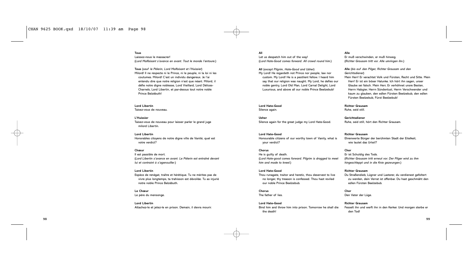**Tous**

Laissez-nous le massacrer! (*Lord Malfaisant s'avance en avant. Tout le monde l'entoure*.)

**Tous** (*sauf le Pèlerin, Lord Malfaisant et l'Huissier*) Milord! Il ne respecte ni le Prince, ni le peuple, ni la loi ni les coutumes. Milord! C'est un individu dangereux. Je l'ai entendu dire que notre religion n'est que néant. Milord, il défie notre digne noblesse, Lord Vieillard, Lord Délices-Charnels, Lord Libertin, et par-dessus tout notre noble Prince Belzébuth!

**Lord Libertin** Taisez-vous de nouveau.

**L'Huissier** Taisez-vous de nouveau pour laisser parler le grand juge milord Libertin.

**Lord Libertin** Honorables citoyens de notre digne ville de Vanité, quel est votre verdict?

# **Chœur**

Il est passible de mort. (*Lord Libertin s'avance en avant. Le Pèlerin est entraîné devant lui et contraint à s'agenouiller*.)

### **Lord Libertin**

Espèce de renégat, traître et hérétique. Tu ne mérites pas de vivre plus longtemps, ta trahisson est dévoilée. Tu as injurié notre noble Prince Belzébuth.

**Le Chœur** Le père du mensonge.

**Lord Libertin** Attachez-le et jetez-le en prison. Demain, il devra mourir.

**All**

Let us despatch him out of the way! (*Lord Hate-Good comes forward. All crowd round him*.)

**All** (*except Pilgrim, Hate-Good and Usher*) My Lord! He regardeth not Prince nor people, law nor custom. My Lord! He is a pestilent fellow. I heard him say that our religion was naught. My Lord, he defies our noble gentry, Lord Old Man, Lord Carnal Delight, Lord Luxurious, and above all our noble Prince Beelzebub!

# **Lord Hate-Good** Silence again.

**Usher** Silence again for the great judge my Lord Hate-Good.

# **Lord Hate-Good**

Honourable citizens of our worthy town of Vanity, what is your verdict?

# **Chorus**

He is guilty of death. (*Lord Hate-good comes forward. Pilgrim is dragged to meet him and made to kneel*.)

# **Lord Hate-Good**

Thou runagate, traitor and heretic, thou deservest to live no longer, thy treason is confessed. Thou hast reviled our noble Prince Beelzebub.

**Chorus** The father of lies.

**Lord Hate-Good** Bind him and throw him into prison. Tomorrow he shall die the death!

# **Alle**

Er muß verschwinden, er muß hinweg. (*Richter Grausam tritt vor. Alle umringen ihn*.)

# **Alle** (*bis auf den Pilger, Richter Grausam und den Gerichtsdiener*)

Mein Herr! Er verachtet Volk und Fürsten, Recht und Sitte. Mein Herr! Er ist ein böser Halunke. Ich hört ihn sagen, unser Glaube sei falsch. Mein Herr, Er verhöhnet unsre Besten, Herrn Habgier, Herrn Sündenlust, Herrn Verschwender und kaum zu glauben, den edlen Fürsten Beelzebub, den edlen Fürsten Beelzebub, Fürst Beelzebub!

**Richter Grausam** Ruhe, seid still.

**Gerichtsdiener** Ruhe, seid still, hört den Richter Grausam.

# **Richter Grausam** Ehrenwerte Bürger der berühmten Stadt der Eitelkeit, wie lautet das Urteil?

**Chor** Er ist Schuldig des Tods. (*Richter Grausam tritt erneut vor. Der Pilger wird zu ihm hingeschleppt und in die Knie gezwungen*.)

# **Richter Grausam**

Du Straßendieb, Lügner und Lasterer, du verdienest gefoltert zu werden, dein Verrat ist offenbar. Du hast geschmäht den edlen Fürsten Beelzebub.

**Chor** Den Vater der Lüge.

# **Richter Grausam**

Fesselt ihn und werft ihn in den Kerker. Und morgen sterbe er den Tod!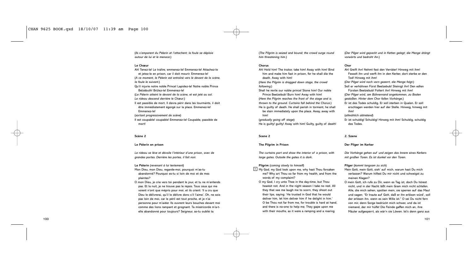(*Ils s'emparent du Pèlerin et l'attachent; la foule se déploie autour de lui et le menace*.)

# **Le Chœur**

Ah! Tenez-le! Le traître, emmenez-le! Emmenez-le! Attachez-le et jetez-le en prison, car il doit mourir. Emmenez-le! (*A ce moment, le Pèlerin est entraîné vers le devant de la scène, la foule le suivant*.) Qu'il injurie notre noble Prince! Lapidez-le! Notre noble Prince Belzébuth! Brûlez-le! Emmenez-le! (*Le Pèlerin atteint le devant de la scène, et est jeté au sol. Le rideau descend derrière le Chœur*.) Il est passible de mort. Il devra périr dans les tourments, il doit être immédiatement égorgé sur la place. Emmenez-le! Emmenez-le! (*sortant progressivement de scène*) Il est coupable! coupable! Emmenez-le! Coupable, passible de mort!

# **Scène 2**

# **Le Pèlerin en prison**

*Le rideau se lève et dévoile l'intérieur d'une prison, avec de grandes portes. Derrière les portes, il fait noir.*

# **Le Pèlerin** (*revenant à lui lentement*)

- Mon Dieu, mon Dieu, regarde-moi, pourquoi m'as-tu abandonné? Pourquoi es-tu si loin de moi et de mes plaintes?
- O mon Dieu, je crie vers toi pendant le jour, et tu ne m'entends pas. Et la nuit, je ne trouve pas le repos. Tous ceux qui me voient n'ont que mépris pour moi, et ils crient: 'Il a cru que Dieu le délivrerai, qu'il le délivre donc s'il l'aime'. Oh, ne sois pas loin de moi, car le péril est tout proche, et je n'ai personne pour m'aider. Ils ouvrent leurs bouches devant moi comme des lions rampant et grognant. Ta miséricorde m'a-telle abandonné pour toujours? Seigneur, as-tu oublié ta

(*The Pilgrim is seized and bound; the crowd surge round him threatening him*.)

# **Chorus**

Ah! Hold him! The traitor, take him! Away with him! Bind him and make him fast in prison, for he shall die the death. Away with him! (*Here the Pilgrim is dragged down stage, the crowd following.*) Shall he revile our noble prince! Stone him! Our noble Prince Beelzebub! Burn him! Away with him! (*Here the Pilgrim reaches the front of the stage and is thrown to the ground. Curtains fall behind the Chorus*.) He is guilty of death. He shall perish in torment, he shall

be slain immediately upon the place. Away, away with him!

(*gradually going off stage*)

He is guilty! guilty! Away with him! Guilty, guilty of death!

# **Scene 2**

# **The Pilgrim in Prison**

*The curtains part and show the interior of a prison, with large gates. Outside the gates it is dark.*

**Pilgrim** (*coming slowly to himself*)

- $3$  My God, my God look upon me, why hast Thou forsaken me? Why art Thou so far from my health, and from the words of my complaint?
- O my God, I cry unto Thee in the day-time, but Thou hearest not. And in the night season I take no rest. All they that see me laugh me to scorn, they shoot out their lips, saying: 'He trusted in God that he would deliver him, let him deliver him if he delight in him.' O be Thou not far from me, for trouble is hard at hand, and there is no-one to help me. They gape upon me with their mouths, as it were a ramping and a roaring

(*Der Pilger wird gepackt und in Ketten gelegt; die Menge drängt vorwärts und bedroht ihn*.)

### **Chor**

Ah! Greift ihn! Nehmt fest den Verräter! Hinweg mit ihm! Fesselt ihn und werft ihn in den Kerker, dort sterbe er den Tod! Hinweg mit ihm! (*Der Pilger wird nach vorn gezerrt, die Menge folgt.*) Soll er verhöhnen Fürst Beelzebub! Steinigt ihn! Den edlen Fürsten Beelzebub! Foltert ihn! Hinweg mit ihm! (*Der Pilger wird, am Bühnenrand angekommen, zu Boden gestoßen. Hinter dem Chor fallen Vorhänge*.) Er ist des Todes schuldig. Er soll sterben in Qualen. Er soll erschlagen werden hier auf der Stelle. Hinweg, hinweg mit ihm! (*allmählich abtretend*) Er ist schuldig! Schuldig! Hinweg mit ihm! Schuldig, schuldig

# **2. Szene**

des Todes.

# **Der Pilger im Kerker**

*Die Vorhänge gehen auf und zeigen das Innere eines Kerkers mit großen Toren. Es ist dunkel vor den Toren.*

# **Pilger** (*kommt langsam zu sich*)

Mein Gott, mein Gott, sieh' auf mich, warum hast Du mich verlassen? Warum hilfest Du mir nicht und schweigst zu meinen Klagen?

O mein Gott, ich rufe zu Dir, wenn es Tag ist, doch Du hörest nicht, und in der Nacht läßt mein Gram mich nicht schlafen. Alle, die mich sehen, spotten mein, sie sperren auf das Maul und sagen: "Er traute auf Gott, daß er ihn erlösen würd', soll der erlösen ihn, wenn es sein Wille ist." O sei Du nicht fern von mir, denn Sorge bedrückt mich schwer, und da ist niemand, der mir hülfe! Die Feinde gaffen mich an, ihre Mäuler aufgesperrt, als wär'n sie Löwen. Ist's denn ganz aus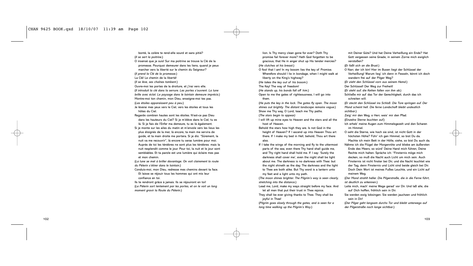bonté, la colère te rend-elle sourd et sans pitié? (*Il se sert la poitrine*.)

- O insensé que je suis! Sur ma poitrine se trouve la Clé de la promesse. Pourquoi demeurer dans les liens, quand je peux marcher vers la liberté sur le chemin du Seigneur?
- (*Il prend la Clé de la promesse.*)
- La Clé! Le chemin de la liberté!
- (*Il se lève, ses chaînes tombent.*)
- Ouvre-moi les portes de la droiture, et j'irai vers elle.
- (*Il introduit la clé dans la serrure. Les portes s'ouvrent. La lune brille avec éclat. Le paysage dans le lointain demeure imprécis*.) Montre-moi ton chemin, mon Dieu, enseigne-moi tes pas.
- (*Les étoiles apparaissent peu à peu*.)
- Je lèverai mes yeux vers le Ciel, vers les étoiles et tous les hôtes du Ciel.
- Regarde combien hautes sont les étoiles. N'est-ce pas Dieu dans les hauteurs du Ciel? Si je m'élève dans le Ciel, tu es là. Si je fais de l'Enfer ma demeure, tu es là également.
- Si je monte sur les ailes du matin et m'envole vers les lieux les plus éloignés de la mer, là encore, ta main me servira de guide, et ta main droite me portera. Si je dis: "Sûrement, la nuit va me recouvrir", là encore tu seras lumière pour moi. Auprès de toi les ténèbres ne sont plus les ténèbres: mais la nuit resplendit comme le jour. Pour toi, la nuit et le jour sont semblables. Et ta parole est une lumière qui éclaire mes pas et mon chemin.
- (*La lune se met à briller davantage. On voit clairement la route du Pèlerin s'étirer dans le lointain*.)
- Conduis-moi, mon Dieu, redresse mes chemins devant ta face. Et laisse se réjouir tous les hommes qui ont mis leur
- confiance en toi.
- Ils te rendront grâce à jamais. Ils se réjouiront en toi! (*Le Pèlerin sort lentement par les portes, et on le voit un long moment gravir la Route du Pèlerin*.)

lion. Is Thy mercy clean gone for ever? Doth Thy promise fail forever more? Hath God forgotten to be gracious, that He in anger shut up His tender mercies? (*He clutches at his breast.*)

- O fool that I am! In my bosom lies the key of Promise. Wherefore should I lie in bondage, when I might walk at
- liberty on the King's highway?
- (*He takes the key out of his bosom.*)
- The Key! The way of freedom!
- (*He stands up, his bonds fall off him.*)
- Open to me the gates of righteousness, I will go into them.
- (*He puts the key in the lock. The gates fly open. The moon shines out brightly. The distant landscape remains vague*.) Show me Thy way, O Lord, teach me Thy paths. (*The stars begin to appear)*
- I will lift up mine eyes to Heaven and the stars and all the host of Heaven.
- Behold the stars how high they are. Is not God in the height of Heaven? If I ascend up into Heaven Thou art there. If I make my bed in Hell, behold, Thou art there also.
- If I take the wings of the morning and fly to the uttermost parts of the sea; even there Thy hand shall guide me, and Thy right hand shall hold me. If I say: 'Surely the darkness shall cover me', even the night shall be light about me. The darkness is no darkness with Thee: but the night shineth as the day. The darkness and the light to Thee are both alike. But Thy word is a lantern unto my feet and a light unto my path.
- (*The moon shines brighter. The Pilgrim's way is seen clearly, stretching into the distance*.)
- Lead me, Lord, make my ways straight before my face. And let all men that put their trust in Thee rejoice.
- They shall be ever giving thanks to Thee. They shall be joyful in Thee!
- (*Pilgrim goes slowly through the gates, and is seen for a long time walking up the Pilgrim's Way*.)
- mit Deiner Güte? Und hat Deine Verheißung ein Ende? Hat Gott vergessen seine Gnade, in seinem Zorne mich ewiglich verstoßen?
- (*Er faßt sich an die Brust.*)
- O Narr, der ich bin! Hier im Busen liegt der Schlüssel der
- Verheißung! Warum lieg' ich denn in Fesseln, könnt ich doch wandern frei auf der Pilger Weg?
- (*Er zieht den Schlüssel vorn aus seinem Hemd.*)
- Der Schlüssel! Der Weg zur Freiheit!
- (*Er steht auf; die Ketten fallen von ihm ab.*)
- Schließe mir auf das Tor der Gerechtigkeit, durch das ich schreiten will.
- (*Er steckt den Schlüssel ins Schloß. Die Tore springen auf. Der Mond scheint hell. Die ferne Landschaft bleibt undeutlich sichtbar*.)
- Zeig' mir den Weg, o Herr, weis' mir den Pfad.
- (*Einzelne Sterne leuchten auf.*)
- Ich erheb' meine Augen zum Himmelsgezelt und den Scharen im Himmel.
- O seht die Sterne, wie hoch sie sind, ist nicht Gott in der höchsten Höhe? Führ' ich gen Himmel, so bist Du da. Machte ich mein Bett in der Hölle, siehe, so bist Du auch da. Nähme ich die Flügel der Morgenröte und bliebe am äußersten Ende des Meers, so würd' Deine Hand mich führen, Deine Rechte mich halten. Spräche ich: "Finsternis möge mich decken, so muß die Nacht auch Licht um mich sein. Auch Finsternis ist nicht finster bei Dir, und die Nacht leuchtet wie der Tag, denn Finsternis und Licht sind beide gleich bei Dir. Doch Dein Wort ist meines Fußes Leuchte, und ein Licht auf meinem Weg.
- (*Der Mond strahlt heller. Die Pilgerstraße, die in die Ferne führt, ist deutlich zu erkennen*.)
- Leite mich, mach' meine Wege gerad' vor Dir. Und laß alle, die auf Dich hoffen, fröhlich sein in Dir.
- Sie werden ewig lobsingen. Sie werden jauchzen und fröhlich sein in Dir!
- (*Der Pilger geht langsam durchs Tor und bleibt unterwegs auf der Pilgerstraße noch lange sichtbar*.)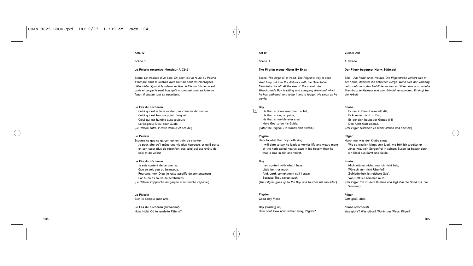# **Acte IV**

**Scène 1**

# **Le Pèlerin rencontre Monsieur A-Côté**

Scène: *La clairière d'un bois. On peut voir la route du Pèlerin s'étendre dans le lointain avec tout au bout les Montagnes délectables. Quand le rideau se lève, le Fils du bûcheron est assis et coupe le petit bois qu'il a ramassé pour en faire un fagot. Il chante tout en travaillant*.

# **Le Fils du bûcheron**

Celui qui est à terre ne doit pas craindre de tomber, Celui qui est bas n'a point d'orgueil. Celui qui est humble aura toujours Le Seigneur Dieu pour Guide. (*Le Pèlerin entre. Il reste debout et écoute*.)

# **Le Pèlerin**

Ecoutez ce que ce garçon est en train de chanter. Je peux dire qu'il mène une vie plus heureuse, et qu'il porte en son cœur plus de réconfort que celui qui est revêtu de soie et de velour.

# **Le Fils du bûcheron**

Je suis content de ce que j'ai, Que ce soit peu ou beaucoup, Pourtant, mon Dieu, je reste assoiffé de contentement Car tu en as sauvé de semblables. (*Le Pèlerin s'approche du garçon et lui touche l'épaule*.)

# **Le Pèlerin**

Bien le bonjour mon ami.

**Le Fils du bûcheron** (*sursautant*) Holà! Holà! Où te rends-tu Pèlerin? **Act IV**

**Scene 1**

# **The Pilgrim meets Mister By-Ends**

Scene: *The edge of a wood. The Pilgrim's way is seen stretching out into the distance with the Delectable Mountains far off. At the rise of the curtain the Woodcutter's Boy is sitting and chopping fire-wood which he has gathered, and tying it into a faggot. He sings as he works.*

### **Boy** 4

He that is down need fear no fall, He that is low, no pride; He that is humble ever shall Have God to be his Guide. (*Enter the Pilgrim. He stands and listens*.)

# **Pilgrim**

Hark to what that boy doth sing. I will dare to say he leads a merrier life and wears more of the herb called heart's-ease in his bosom than he that is clad in silk and velvet.

# **Boy**

I am content with what I have, Little be it or much And, Lord, contentment still I crave, Because Thou savest such. (*The Pilgrim goes up to the Boy and touches his shoulder*.)

# **Pilgrim**

Good-day friend.

**Boy** (*starting up*) How now! How now! wither away, Pilgrim?

### **Vierter Akt**

**1. Szene**

# **Der Pilger begegnet Herrn Süßmaul**

Bild – *Am Rand eines Waldes. Die Pilgerstraße verliert sich in der Ferne, dahinter die lieblichen Berge. Wenn sich der Vorhang hebt, sieht man den Holzfällerknaben im Sitzen das gasammelte Brennholz zerkleinern und zum Bündel verschnüren. Er singt bei der Arbeit.*

# **Knabe**

Er, der in Demut wandelt still, Er kommet nicht zu Fall, Er, der sich beugt vor Gottes Will, Den führt Gott überall. (*Der Pilger erscheint. Er bleibt stehen und hört zu*.)

# **Pilger**

Horch nur, was der Knabe singt. Wie so traulich klingt sein Lied, wie fröhlich arbeitet er. Jenes Kräutlein Sorgenfrei in seinem Busen ist besser denn ein Kleid aus Samt und Seide.

# **Knabe**

Mich kränket nicht, was ich nicht hab, Wünsch' mir nicht Überfluß; Zufriedenheit ist reichste Gab', Von Gott sie kommen muß. (*Der Pilger tritt zu dem Knaben und legt ihm die Hand auf die Schulter*.)

# **Pilger**

Gott grüß' dich.

**Knabe** (*erschrickt*) Was gibt's? Was gibt's? Wohin des Wegs, Pilger?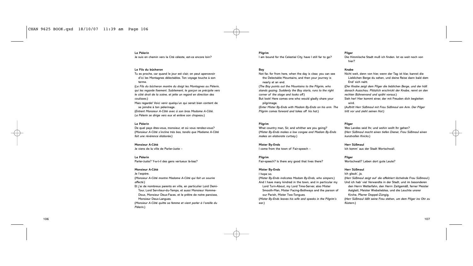# **Le Pèlerin**

Je suis en chemin vers la Cité céleste, est-ce encore loin?

# **Le Fils du bûcheron**

Tu es proche, car quand le jour est clair, on peut apercevoir d'ici les Montagnes délectables. Ton voyage touche à son terme.

(*Le Fils du bûcheron montre du doigt les Montagnes au Pèlerin, qui les regarde fixement. Subitement, le garçon se précipite vers le côté droit de la scène, et jette un regard en direction des coulisses*.) Mais regarde! Voici venir quelqu'un qui serait bien content de

se joindre à ton pèlerinage. (*Entrent Monsieur A-Côté avec à son bras Madame A-Côté. Le Pèlerin se dirige vers eux et enlève son chapeau*.)

# **Le Pèlerin**

De quel pays êtes-vous, monsieur, et où vous rendez-vous? (*Monsieur A-Côté s'incline très bas, tandis que Madame A-Côté fait une révérence élaborée.*)

**Monsieur A-Côté** Je viens de la ville de Parler-Juste –

**Le Pèlerin** Parler-Juste? Y-a-t-il des gens vertueux là-bas?

# **Monsieur A-Côté**

Je l'espère. (*Monsieur A-Côté montre Madame A-Côté qui fait un sourire affecté*.)

Et j'ai de nombreux parents en ville, en particulier Lord Demi-Tour, Lord Serviteur-du-Temps, et aussi Monsieur Homme-Doux, Monsieur Deux-Faces, et le prêtre de notre paroisse, Monsieur Deux-Langues.

(*Monsieur A-Côté quitte sa femme et vient parler à l'oreille du Pèlerin*.)

# **Pilgrim**

I am bound for the Celestial City, have I still far to go?

# **Boy**

Not far, for from here, when the day is clear, you can see the Delectable Mountains, and then your journey is nearly at an end.

(*The Boy points out the Mountains to the Pilgrim, who stands gazing. Suddenly the Boy starts, runs to the right corner of the stage and looks off*.)

But look! Here comes one who would gladly share your pilgrimage.

(*Enter Mister By-Ends with Madam By-Ends on his arm. The Pilgrim comes forward and takes off his hat*.)

# **Pilgrim**

What country man, Sir, and whither are you going? (*Mister By-Ends makes a low congee and Madam By-Ends makes an elaborate curtsey*.)

**Mister By-Ends**

I come from the town of Fair-speech –

# **Pilgrim**

Fair-speech? Is there any good that lives there?

# **Mister By-Ends**

I hope so. (*Mister By-Ends indicates Madam By-Ends, who simpers*.) And I have many kindred in the town, and in particular my Lord Turn-About, my Lord Time-Server, also Mister

Smooth-Man, Mister Facing-Bothways and the parson of our Parish, Mister Two-Tongues.

(*Mister By-Ends leaves his wife and speaks in the Pilgrim's ear*.)

# **Pilger**

Die Himmlische Stadt muß ich finden. Ist es weit noch von hier?

# **Knabe**

Nicht weit, denn von hier, wenn der Tag ist klar, kannst die Lieblichen Berge du sehen, und deine Reise dann bald dem End' sich naht.

(*Der Knabe zeigt dem Pilger die lieblichen Berge, und der hält danach Ausschau. Plötzlich erschrickt der Knabe, rennt an den rechten Bühnenrand und späht voraus*.)

Sieh her! Hier kommt einer, der mit Freuden dich begleiten wird.

(*Auftritt Herr Süßmaul mit Frau Süßmaul am Arm. Der Pilger tritt vor und zieht seinen Hut*.)

# **Pilger**

Wes Landes seid Ihr, und wohin wollt Ihr gehen? (*Herr Süßmaul macht einen tiefen Diener, Frau Süßmaul einen kunstvollen Knicks*.)

**Herr Süßmaul** Ich komm' aus der Stadt Wortschwall.

**Pilger** Wortschwall? Leben dort gute Leute?

# **Herr Süßmaul**

Ich glaub', ja. (*Herr Süßmaul zeigt auf die affektiert lächelnde Frau Süßmaul*.) Und ich hab' viel Verwandte in der Stadt, und im besonderen den Herrn Wetterfahn, den Herrn Zeitgemäß, ferner Meister Aalglatt, Meister Wiebeliebtes, und die Leuchte unsrer Kirche, Pfarrer Doppel-Züngig. (*Herr Süßmaul läßt seine Frau stehen, um dem Pilger ins Ohr zu flüstern*.)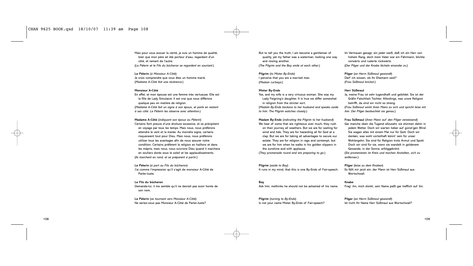Mais pour vous avouer la vérité, je suis un homme de qualité, bien que mon père ait été porteur d'eau, regardant d'un côté, et ramant de l'autre. (*Le Pèlerin et le Fils du bûcheron se regardent en souriant*.)

**Le Pèlerin** (*à Monsieur A-Côté*) Je crois comprendre que vous êtes un homme marié. (*Madame A-Côté fait une révérence*.)

# **Monsieur A-Côté**

En effet, et mon épouse est une femme très vertueuse. Elle est la fille de Lady Simulacre. Il est vrai que nous différons quelque peu en matière de religion. (*Madame A-Côté fait un signe à son époux, et parle en restant à ses côté. Le Pèlerin les observe avec attention*.)

**Madame A-Côté** (*indiquant son époux au Pèlerin*) Certains font preuve d'une droiture excessive, et se précipitent en voyage par tous les temps. Mais nous, nous préférons attendre le vent et la marée. Au moindre signe, certains risqueraient tout pour Dieu. Mais nous, nous préférons utiliser tous les avantages afin de nous assurer notre condition. Certains préfèrent la religion en haillons et dans les mépris, mais nous, nous suivrons Dieu quand il marchera en souliers dorés sous le soleil et les applaudissements. (*Ils marchent en rond, et se préparent à partir*.)

**Le Pèlerin** (*à part au Fils du bûcheron*) J'ai comme l'impression qu'il s'agit de monsieur A-Côté de Parler-Juste.

# **Le Fils du bûcheron**

Demande-lui, il me semble qu'il ne devrait pas avoir honte de son nom.

**Le Pèlerin** (*se tournant vers Monsieur A-Côté*) Ne seriez-vous pas Monsieur A-Côté de Parler-Juste? But to tell you the truth, I am become a gentleman of quality, yet my father was a waterman, looking one way and rowing another. (*The Pilgrim and the Boy smile at each other*.)

**Pilgrim** (*to Mister By-Ends*) I perceive that you are a married man. (*Madam curtseys.*)

# **Mister By-Ends**

Yes, and my wife is a very virtuous woman. She was my Lady Feigning's daughter. It is true we differ somewhat in religion from the stricter sort. (*Madam By-Ends beckons to her husband and speaks aside to him. The Pilgrim watches closely*.)

**Madam By-Ends** (*indicating the Pilgrim to her husband*) We hear of some that are righteous over much, they rush on their journey all weathers. But we are for waiting for wind and tide. They are for hazarding all for God at a clap. But we are for taking all advantages to secure our estate. They are for religion in rags and contempt, but we are for him when he walks in his golden slippers in the sunshine and with applause.

(*They promenade round and are preparing to go*.)

**Pilgrim** (*aside to Boy*) It runs in my mind, that this is one By-Ends of Fair-speech.

**Boy** Ask him, methinks he should not be ashamed of his name.

**Pilgrim** (*turning to By-Ends*) Is not your name Mister By-Ends of Fair-speech? Im Vertrauen gesagt, ein jeder weiß, daß ich ein Herr von hohem Rang, doch mein Vater war ein Fährmann, blickte vorwärts und ruderte rückwärts. (*Der Pilger und der Knabe lächeln einander zu*.)

**Pilger** (*an Herrn Süßmaul gewandt*) Darf ich wissen, ob Ihr Ehemann seid? (*Frau Süßmaul knickst.*)

# **Herr Süßmaul**

Ja, meine Frau ist sehr tugendhaft und gebildet. Sie ist der Gräfin Falschheit Tochter. Allerdings, was unsre Religion betrifft, da sind wir nicht so streng. (*Frau Süßmaul winkt ihren Mann zu sich und spricht leise mit ihm. Der Pilger beobachtet sie genau*.)

**Frau Süßmaul** (*ihren Mann auf den Pilger verweisend*) Gar manche üben die Tugend allzusehr, sie stürmen dahin in jedem Wetter. Doch wir warten lieber auf günst'gen Wind. Sie wagen alles mit einem Mal nur für Gott. Doch wir denken, was wohl vorteilhaft könnt' sein für unser Wohlergehn. Sie sind für Religion trotz Armut und Spott. Doch wir sind für sie, wenn sie wandelt in goldenem Gewande, in der Sonne, erfolggekrönt. (*Sie promenieren im Kreis und machen Anstalten, sich zu entfernen.*)

**Pilger** (*leise zu dem Knaben*) Es fällt mir jerzt ein, der Mann ist Herr Süßmaul aus **Wortschwall** 

**Knabe** Frag' ihn, mich dünkt, sein Name paßt gar trefflich auf ihn.

**Pilger** (*an Herrn Süßmaul gewandt*) Ist nicht Ihr Name Herr Süßmaul aus Wortschwall?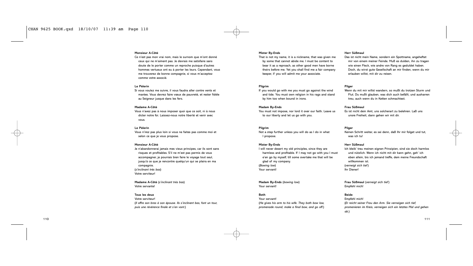# **Monsieur A-Côté**

Ce n'est pas mon vrai nom, mais le surnom que m'ont donné ceux qui ne m'aiment pas. Je devrais me satisfaire sans doute de le porter comme un reproche puisque d'autres hommes vertueux ont eu à porter les leurs. Cependant, vous me trouverez de bonne compagnie, si vous m'acceptez comme votre associé.

# **Le Pèlerin**

Si vous voulez me suivre, il vous faudra aller contre vents et marées. Vous devrez faire vœux de pauvreté, et rester fidèle au Seigneur jusque dans les fers.

### **Madame A-Côté**

Vous n'avez pas à nous imposer quoi que ce soit, ni à nous dicter notre foi. Laissez-nous notre liberté et venir avec vous.

# **Le Pèlerin**

Vous n'irez pas plus loin si vous ne faites pas comme moi et selon ce que je vous propose.

# **Monsieur A-Côté**

Je n'abandonnerai jamais mes vieux principes, car ils sont sans risques et profitables. S'il ne m'est pas permis de vous accompagner, je pourrais bien faire le voyage tout seul, jusqu'à ce que je rencontre quelqu'un qui se plaira en ma compagnie. (*s'inclinant très bas*) Votre serviteur!

**Madame A-Côté** (*s'inclinant très bas*) Votre servante!

# **Tous les deux**

Votre serviteur! (*Il offre son bras à son épouse. Ils s'inclinent bas, font un tour, puis une révérence finale et s'en vont*.)

### **Mister By-Ends**

That is not my name, it is a nickname, that was given me by some that cannot abide me. I must be content to bear it as a reproach, as other good men have borne theirs before me. Yet you shall find me a fair company keeper, if you will admit me your associate.

# **Pilgrim**

If you would go with me you must go against the wind and tide. You must own religion in his rags and stand by him too when bound in irons.

# **Madam By-Ends**

You must not impose, nor lord it over our faith. Leave us to our liberty and let us go with you.

# **Pilgrim**

Not a step further unless you will do as I do in what I propose.

# **Mister By-Ends**

I will never desert my old principles, since they are harmless and profitable. If I may not go with you I must e'en go by myself, till some overtake me that will be glad of my company. (*Bowing low*) Your servant!

# **Madam By-Ends** (*bowing low*)

Your servant!

# **Both**

Your servant! (*He gives his arm to his wife. They both bow low, promenade round, make a final bow, and go off*.)

# **Herr Süßmaul**

Das ist nicht mein Name, sondern ein Spottname, angeheftet mir von einem meiner Feinde. Muß es dulden, ihn zu tragen wie einen Fleck, wie andre von Rang es geduldet haben. Doch, du wirst gute Gesellschaft an mir finden, wenn du mir erlauben willst, mit dir zu reisen.

# **Pilger**

Wenn du mit mir willst wandern, so mußt du trotzen Sturm und Flut. Du mußt glauben, was dich auch befällt, und ausharren treu, auch wenn du in Ketten schmachtest.

# **Frau Süßmaul**

Es ist nicht dein Amt, uns solcherart zu belehren. Laß uns unsre Freiheit, dann gehen wir mit dir.

# **Pilger**

Keinen Schritt weiter, es sei denn, daß Ihr mir folget und tut, was ich tu!

# **Herr Süßmaul**

Ich bleib' treu meinen eignen Prinzipien, sind sie doch harmlos und nützlich. Wenn ich nicht mit dir kann gehn, geh' ich eben allein, bis ich jemand treffe, dem meine Freundschaft willkommen ist. (*verneigt sich tief* ) Ihr Diener!

**Frau Süßmaul** (*verneigt sich tief* ) Empfehl mich!

# **Beide**

Empfehl mich! (*Er reicht seiner Frau den Arm. Sie verneigen sich tief, promenieren im Kreis, verneigen sich ein letztes Mal und gehen ab*.)

111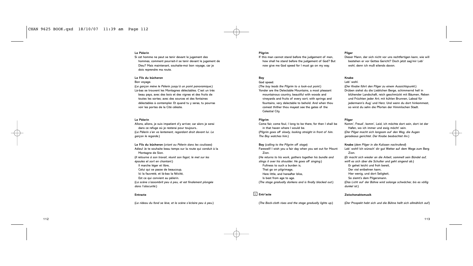# **Le Pèlerin**

Si cet homme ne peut se tenir devant le jugement des hommes, comment pourrait-il se tenir devant le jugement de Dieu? Mais maintenant, souhaite-moi bon voyage, car je dois reprendre ma route.

# **Le Fils du bûcheron**

### Bon voyage.

(*Le garçon mène le Pèlerin jusqu'à un point panoramique*.) Là-bas se trouvent les Montagnes délectables. C'est un très beau pays, avec des bois et des vignes et des fruits de toutes les sortes; avec des sources et des fontaines délectables à contempler. Et quand tu y seras, tu pourras voir les portes de la Cité céleste.

# **Le Pèlerin**

Allons, allons, je suis impatient d'y arriver, car alors je serai dans ce refuge où je resterai pour toujours.. (*Le Pèlerin s'en va lentement, regardant droit devant lui. Le garçon le regarde*.)

**Le Fils du bûcheron** (*criant au Pèlerin dans les coulisses*) Adieu! Je te souhaite beau temps sur la route qui conduit à la Montagne de Sion. (*Il retourne à son travail, réunit son fagot, le met sur les épaules et sort en chantant*.) Il marche léger et libre, Celui qui se passe de beaucoup, Ici la fauvreté, et là-bas la félicité, Est ce qui convient au pèlerin. (*La scène s'assombrit peu à peu, et est finalement plongée dans l'obscurité*.)

### **Entracte**

(*Le rideau du fond se lève, et la scène s'éclaire peu à peu*.)

# **Pilgrim**

If this man cannot stand before the judgement of men, how shall he stand before the judgement of God? But now give me God speed for I must go on my way.

# **Boy**

God speed. (*The boy leads the Pilgrim to a look-out point*.) Yonder are the Delectable Mountains, a most pleasant mountainous country, beautiful with woods and vineyards and fruits of every sort; with springs and fountains, very delectable to behold. And when thou comest thither thou mayest see the gates of the Celestial City.

# **Pilgrim**

Come fair, come foul, I long to be there, for then I shall be in that haven where I would be. (*Pilgrim goes off slowly, looking straight in front of him. The Boy watches him*.)

**Boy** (*calling to the Pilgrim off stage*) Farewell! I wish you a fair day when you set out for Mount Zion. (*He returns to his work, gathers together his bundle and slings it over his shoulder. He goes off singing*.) Fullness to such a burden is, That go on pilgrimage, Here little, and hereafter bliss, Is best from age to age. (*The stage gradually darkens and is finally blacked out.*)

# **Entr'acte** 5

(*The Back-cloth rises and the stage gradually lights up.*)

# **Pilger**

Dieser Mann, der sich nicht vor uns rechtfertigen kann, wie will bestehen er vor Gottes Gericht? Doch jetzt sag'mir Leb' wohl, denn ich muß eilends davon.

### **Knabe** Leb' wohl.

(*Der Knabe führt den Pilger zu einem Aussichtspunkt*.) Drüben siehst du die Lieblichen Berge, schimmernd hell in blühender Landschaft, reich geschmückt mit Bäumen, Reben

und Früchten jeder Art; mit kühlen Brunnen, Labsal für jedermann's Aug' und Herz. Und wenn du dort hinkommest, so wirst du sehn die Pforten der Himmlischen Stadt.

# **Pilger**

Komm', Freud', komm', Leid, ich möchte dort sein, dort ist der Hafen, wo ich immer und ewig möcht' sein. (*Der Pilger macht sich langsam auf den Weg, die Augen geradeaus gerichtet. Der Knabe beobachtet ihn*.)

**Knabe** (*dem Pilger in die Kulissen nachrufend*) Leb' wohl! Ich wünsch' dir gut Wetter auf dem Wege zum Berg Zion. (*Er macht sich wieder an die Arbeit, sammelt sein Bündel auf, wirft es sich über die Schulter und geht singend ab*.) Er gehet leicht und froh bereit, Der viel entbehren kann, Hier wenig, und dort Seligkeit, So ziemt's dem Pilgersmann. (*Das Licht auf der Bühne wird solange schwächer, bis es völlig dunkel ist*.)

# **Zwischenaktsmusik**

(*Der Prospekt hebt sich und die Bühne hellt sich allmählich auf.*)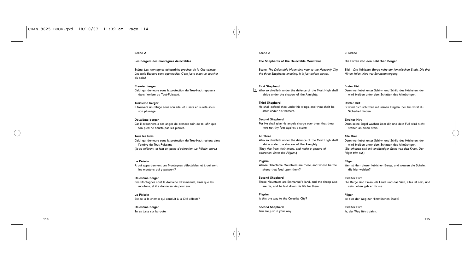# **Scène 2**

# **Les Bergers des montagnes délectables**

Scène: *Les montagnes délectables proches de la Cité céleste. Les trois Bergers sont agenouillés. C'est juste avant le coucher du soleil.*

# **Premier berger**

Celui qui demeure sous la protection du Très-Haut reposera dans l'ombre du Tout-Puissant.

# **Troisième berger**

Il trouvera un refuge sous son aile, et il sera en sureté sous son plumage.

### **Deuxième berger**

Car il ordonnera à ses anges de prendre soin de toi afin que ton pied ne heurte pas les pierres.

### **Tous les trois**

Celui qui demeure sous la protection du Très-Haut restera dans l'ombre du Tout-Puissant. (*Ils se relèvent, et font un geste d'adoration. Le Pèlerin entre*.)

### **Le Pèlerin**

A qui appartiennent ces Montagnes délectables, et à qui sont les moutons qui y paissent?

# **Deuxième berger**

Ces Montagnes sont le domaine d'Emmanuel, ainsi que les moutons, et il a donné sa vie pour eux.

**Le Pèlerin** Est-ce là le chemin qui conduit à la Cité céleste?

# **Deuxième berger** Tu es juste sur la route.

# **Scene 2**

# **The Shepherds of the Delectable Mountains**

Scene: *The Delectable Mountains near to the Heavenly City, the three Shepherds kneeling. It is just before sunset.*

### **First Shepherd**

 $6$  Who so dwelleth under the defence of the Most High shall abide under the shadow of the Almighty.

# **Third Shepherd**

He shall defend thee under his wings, and thou shalt be safer under his feathers.

# **Second Shepherd**

For He shall give his angels charge over thee, that thou hurt not thy foot against a stone.

# **All Three**

Who so dwelleth under the defence of the Most High shall abide under the shadow of the Almighty. (*They rise from their knees, and make a gesture of adoration. Enter the Pilgrim*.)

# **Pilgrim**

Whose Delectable Mountains are these, and whose be the sheep that feed upon them?

# **Second Shepherd** These Mountains are Emmanuel's land, and the sheep also are his, and he laid down his life for them.

**Pilgrim** Is this the way to the Celestial City?

**Second Shepherd** You are just in your way.

### **2. Szene**

# **Die Hirten von den lieblichen Bergen**

Bild – *Die lieblichen Berge nahe der himmlischen Stadt. Die drei Hirten knien. Kurz vor Sonnenuntergang*.

# **Erster Hirt**

Denn wer lebet unter Schirm und Schild des Höchsten, der wird bleiben unter dem Schatten des Allmächtgen.

# **Dritter Hirt**

Er wind dich schützen mit seinen Flügeln, bei Ihm wirst du Sicherheit finden.

# **Zweiter Hirt**

Denn seine Engel wachen über dir, und dein Fuß wird nicht stoßen an einen Stein.

### **Alle Drei**

Denn wer lebet unter Schirm und Schild des Höchsten, der wird bleiben unter dem Schatten des Allmächtgen. (*Sie erheben sich mit andächtiger Geste von den Knien. Der Pilger tritt auf*.)

# **Pilger**

Wer ist Herr dieser lieblichen Berge, und wessen die Schafe, die hier weiden?

# **Zweiter Hirt** Die Berge sind Emanuels Land, und das Vieh, alles ist sein, und sein Leben gab er für sie.

**Pilger** Ist dies der Weg zur Himmlischen Stadt?

**Zweiter Hirt** Ja, der Weg führt dahin.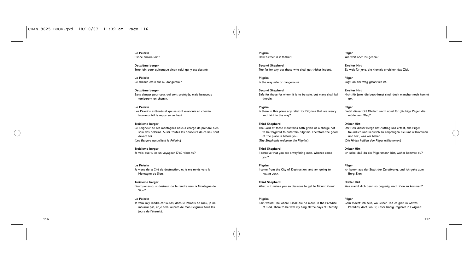**Le Pèlerin** Est-ce encore loin?

**Deuxième berger** Trop loin pour quiconque sinon celui qui y est destiné.

**Le Pèlerin** Le chemin est-il sûr ou dangereux?

**Deuxième berger** Sans danger pour ceux qui sont protégés, mais beaucoup tomberont en chemin.

**Le Pèlerin** Les Pèlerins exténués et qui se sont évanouis en chemin trouveront-il le repos en ce lieu?

**Troisième berger** Le Seigneur de ces montagnes nous a chargé de prendre bien soin des pèlerins. Aussi, toutes les douceurs de ce lieu sont devant toi. (*Les Bergers accueillent le Pèlerin*.)

**Troisième berger** Je vois que tu es un voyageur. D'où viens-tu?

**Le Pèlerin** Je viens de la Cité de destruction, et je me rends vers la Montagne de Sion.

**Troisième berger** Pourquoi es-tu si désireux de te rendre vers la Montagne de Sion?

# **Le Pèlerin**

Je veux m'y rendre car là-bas, dans le Paradis de Dieu, je ne mourrai pas, et je serai auprès de mon Seigneur tous les jours de l'éternité.

**Pilgrim** How further is it thither?

**Second Shepherd** Too far for any but those who shall get thither indeed.

**Pilgrim** Is the way safe or dangerous?

**Second Shepherd** Safe for those for whom it is to be safe, but many shall fall therein.

**Pilgrim** Is there in this place any relief for Pilgrims that are weary and faint in the way?

**Third Shepherd** The Lord of these mountains hath given us a charge not to be forgetful to entertain pilgrims. Therefore the good of the place is before you. (*The Shepherds welcome the Pilgrim*.)

**Third Shepherd** I perceive that you are a wayfaring man. Whence come

**Pilgrim** I come from the City of Destruction, and am going to Mount Zion.

**Third Shepherd** What is it makes you so desirous to get to Mount Zion?

# **Pilgrim**

you?

Fain would I be where I shall die no more, in the Paradise of God, There to be with my King all the days of Eternity.

**Pilger** Wie weit noch zu gehen?

**Zweiter Hirt** Zu weit für jene, die niemals erreichen das Ziel.

**Pilger** Sagt, ob der Weg gefährlich ist.

**Zweiter Hirt** Nicht für jene, die beschirmet sind, doch mancher noch kommt um.

**Pilger** Bietet dieser Ort Obdach und Labsal für gläubige Pilger, die müde vom Weg?

### **Dritter Hirt**

Der Herr dieser Berge hat Auftrag uns erteilt, alle Pilger freundlich und liebreich zu empfangen. Sei uns willkommen und teil', was wir haben. (*Die Hirten heißen den Pilger willkommen*.)

**Dritter Hirt** Ich sehe, daß du ein Pilgersmann bist, woher kommst du?

**Pilger**

Ich komm aus der Stadt der Zerstörung, und ich gehe zum Berg Zion.

**Dritter Hirt** Was macht dich denn so begierig, nach Zion zu kommen?

# **Pilger**

Gern möcht' ich sein, wo keinen Tod es gibt, in Gottes Paradies, dort, wo Er, unser König, regieret in Ewigkeit.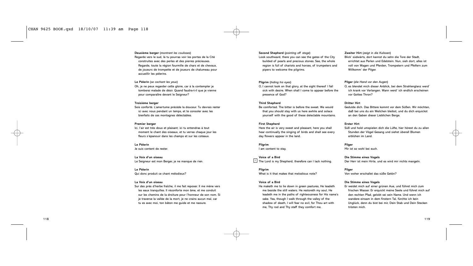**Deuxième berger** (*montrant les coulisses*) Regarde vers le sud, là tu pourras voir les portes de la Cité construites avec des perles et des pierres précieuses. Regarde, toute la région fourmille de chars et de chevaux, de joueurs de trompette et de joueurs de chalumeau pour accueillir les pèlerins.

# **Le Pèlerin** (*se cachant les yeux*)

Oh, je ne peux regarder cette gloire, car à la contempler je tomberai malade de désir. Quand faudra-t-il que je vienne pour comparaître devant le Seigneur?

# **Troisième berger**

Sois conforté. L'amertume précède la douceur. Tu devrais rester ici avec nous pendant un temps, et te consoler avec les bienfaits de ces montagnes délectables.

# **Premier berger**

Ici, l'air est très doux et plaisant; ici tu entendras à tout moment le chant des oiseaux, et tu verras chaque jour les fleurs s'épanouir dans les champs et sur les coteaux.

**Le Pèlerin** Je suis content de rester.

**La Voix d'un oiseau** Le Seigneur est mon Berger, je ne manque de rien.

# **Le Pèlerin**

Qui donc produit ce chant mélodieux?

# **La Voix d'un oiseau**

Sur des près d'herbe fraîche, il me fait reposer. Il me mène vers les eaux tranquilles. Il réconforte mon âme, et me conduit sur les chemins de la droiture pour l'honneur de son nom. Si je traverse la vallée de la mort, je ne crains aucun mal, car tu es avec moi, ton bâton me guide et me rassure.

**Second Shepherd** (*pointing off stage*) Look southward, there you can see the gates of the City builded of pearls and precious stones. See, the whole region is full of chariots and horses, of trumpeters and pipers to welcome the pilgrims.

# **Pilgrim** (*hiding his eyes*)

O, I cannot look on that glory, at the sight thereof I fall sick with desire. When shall I come to appear before the presence of God?

# **Third Shepherd**

Be comforted. The bitter is before the sweet. We would that you should stay with us here awhile and solace yourself with the good of these delectable mountains.

# **First Shepherd**

Here the air is very sweet and pleasant, here you shall hear continually the singing of birds and shall see every day flowers appear in the land.

# **Pilgrim** I am content to stay.

**Voice of a Bird**  $7$  The Lord is my Shepherd, therefore can I lack nothing.

**Pilgrim** What is it that makes that melodious note?

# **Voice of a Bird**

He maketh me to lie down in green pastures, He leadeth me beside the still waters. He restoreth my soul, He leadeth me in the paths of righteousness for His name's sake. Yea, though I walk through the valley of the shadow of death, I will fear no evil, for Thou art with me, Thy rod and Thy staff they comfort me.

# **Zweiter Hirt** (*zeigt in die Kulissen*)

Blick' südwärts, dort kannst du sehn die Tore der Stadt, errichtet aus Perlen und Edelstein. Nun, sieh dort, alles ist voll von Wagen und Pferden, Trompetern und Pfeifern zum Willkomm' der Pilger.

# **Pilger** (*die Hand vor den Augen*)

O, es blendet mich dieser Anblick, bei dem Strahlenglanz werd' ich krank vor Verlangen. Wann werd' ich endlich erscheinen vor Gottes Thron?

# **Dritter Hirt**

Gedulde dich. Das Bittere kommt vor dem Süßen. Wir möchten, daß bei uns du ein Weilchen bleibst, und du dich erquickst an den Gaben dieser Lieblichen Berge.

# **Erster Hirt**

Süß und hold umspielen dich die Lüfte, hier hörest du zu allen Stunden der Vögel Gesang und siehst überall Blumen erblühen im Land.

**Pilger** Mir ist so wohl bei euch.

**Die Stimme eines Vogels** Der Herr ist mein Hirte, und es wird mir nichts mangeln.

# **Pilger**

Von woher erschallet das süße Getön?

# **Die Stimme eines Vogels**

Er weidet mich auf einer grünen Aue, und führet mich zum frischen Wasser. Er erquickt meine Seele und führet mich auf den rechten Pfad, gelobt sei sein Name. Und wenn ich wandere einsam in dem finstern Tal, fürchte ich kein Unglück, denn du bist bei mir, Dein Stab und Dein Stecken trösten mich.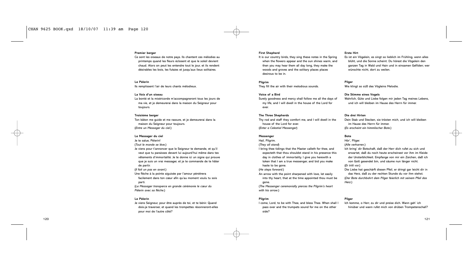# **Premier berger**

Ce sont les oiseaux de notre pays. Ils chantent ces mélodies au printemps quand les fleurs éclosent et que le soleil devient chaud. Alors on peut les entendre tout le jour, et ils rendent désirables les bois, les futaies et jusqu'aux lieux solitaires.

# **Le Pèlerin**

Ils remplissent l'air de leurs chants mélodieux.

# **La Voix d'un oiseau**

La bonté et la miséricorde m'accompagneront tous les jours de ma vie, et je demeurerai dans la maison du Seigneur pour toujours.

# **Troisième berger**

Ton bâton me guide et me rassure, et je demeurerai dans la maison du Seigneur pour toujours. (*Entre un Messager du ciel*.)

### **Le Messager du ciel**

Je te salue, Pèlerin! (*Tout le monde se lève*.) Je viens pour t'annoncer que le Seigneur te demande, et qu'il veut que tu paraisses devant lui aujourd'hui même dans tes vêtements d'immortalité. Je te donne ici un signe qui prouve que je suis un vrai messager, et je te commande de te hâter de partir.

(*Il fait un pas en avant*.)

Une flèche à la pointe aiguisée par l'amour pénètrera facilement dans ton cœur afin qu'au moment voulu tu sois parti.

(*Le Messager transperce en grande cérémonie le cœur du Pèlerin avec sa flèche*.)

# **Le Pèlerin**

Je viens Seigneur, pour être auprès de toi, et te bénir. Quand dois-je traverser, et quand les trompettes résonneront-elles pour moi de l'autre côté?

# **First Shepherd**

It is our country birds, they sing these notes in the Spring when the flowers appear and the sun shines warm, and then you may hear them all day long, they make the woods and groves and the solitary places places desirous to be in.

# **Pilgrim**

They fill the air with their melodious sounds.

# **Voice of a Bird**

Surely goodness and mercy shall follow me all the days of my life, and I will dwell in the house of the Lord for ever.

# **The Three Shepherds**

Thy rod and staff they comfort me, and I will dwell in the house of the Lord for ever. (*Enter a Celestial Messenger*)

# **Messenger**

Hail, Pilgrim. (*They all stand*) I bring thee tidings that the Master calleth for thee, and expecteth that thou shouldst stand in his presence this day in clothes of immortality. I give you herewith a token that I am a true messenger, and bid you make haste to be gone. (*He steps forward.*) An arrow with the point sharpened with love, let easily

into thy heart, that at the time appointed thou must be gone.

(*The Messenger ceremonially pierces the Pilgrim's heart with his arrow*.)

# **Pilgrim**

I come, Lord, to be with Thee, and bless Thee. When shall I pass over and the trumpets sound for me on the other side?

# **Erste Hirt**

Es ist ein Vögelein, es singt so lieblich im Frühling, wenn alles blüht, und die Sonne scheint. Du hörest die Vögelein den ganzen Tag in Wald und Hain und in einsamen Gefilden; wer wünschte nicht, dort zu weilen.

# **Pilger**

Wie klingt so süß des Vögleins Melodie.

# **Die Stimme eines Vogels**

Wahrlich, Güte und Liebe folgen mir jeden Tag meines Lebens, und ich will bleiben im Hause des Herrn für immer.

# **Die drei Hirten**

Dein Stab und Stecken, sie trösten mich, und ich will bleiben im Hause des Herrn für immer. (*Es erscheint ein himmlischer Bote.*)

# **Bote**

Hör', Pilger. (*Alle verharren.*) Ich bring' dir Botschaft, daß der Herr dich rufet zu sich und erwartet, daß du noch heute erscheinest vor ihm im Kleide der Unsterblichkeit. Empfange von mir ein Zeichen, daß ich von Gott gesendet bin, und säume nun länger nicht. (*Er tritt vor.*) Die Liebe hat geschärft diesen Pfeil, er dringt gar leicht dir in das Herz, daß zu der rechten Stunde du vor ihm stehst. (*Der Bote durchbohrt dem Pilger feierlich mit seinem Pfeil das Herz.*)

# **Pilger**

Ich komme, o Herr, zu dir und preise dich. Wann geh' ich hinüber und wann rufet mich von drüben Trompetenschall?

121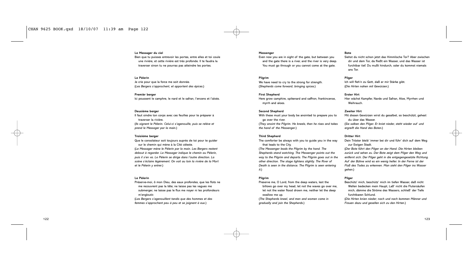### **Le Messager du ciel**

Bien que tu puisses entrevoir les portes, entre elles et toi coule une rivière, et cette rivière est très profonde. Il te faudra la traverser sinon tu ne pourras pas atteindre les portes.

# **Le Pèlerin**

Je crie pour que la force me soit donnée. (*Les Bergers s'approchent, et apportent des épices*.)

**Premièr berger** Ici poussent le camphre, le nard et le safran, l'encens et l'aloès.

# **Deuxième berger**

Il faut oindre ton corps avec ces feuilles pour te préparer à traverser la rivière. (*Ils oignent le Pèlerin. Celui-ci s'agenouille, puis se relève et prend le Messager par la main*.)

### **Troisième berger**

Que le consolateur soit toujours auprès de toi pour te guider sur le chemin qui mène à la Cité céleste. (*Le Messager mène le Pèlerin par la main. Les Bergers restent debout à regarder. Le Messager indique le chemin au Pèlerin, puis il s'en va. Le Pèlerin se dirige dans l'autre direction. La scène s'éclaire légèrement. On voit au loin la rivière de la Mort et le Pèlerin y entrer*.)

# **Le Pèlerin**

Préserve-moi, ô mon Dieu, des eaux profondes, que les flots ne me recouvrent pas la tête; ne laisse pas les vagues me submerger, ne laisse pas le flux me noyer ni les profondeurs m'engloutir.

(*Les Bergers s'agenouillent tandis que des hommes et des femmes s'approchent peu à peu et se joignent à eux*.)

### **Messenger**

Even now you are in sight of the gate, but between you and the gate there is a river, and the river is very deep. You must go through or you cannot come at the gate.

# **Pilgrim**

We have need to cry to the strong for strength. (*Shepherds come forward, bringing spices.*)

# **First Shepherd**

Here grow camphire, spikenard and saffron, frankincense, myrrh and aloes.

# **Second Shepherd**

With these must your body be anointed to prepare you to go over the river.

(*They anoint the Pilgrim. He kneels, then he rises and takes the hand of the Messenger*.)

### **Third Shepherd**

The comforter be always with you to guide you in the way that leads to the City.

(*The Messenger leads the Pilgrim by the hand. The Shepherds stand watching. The Messenger points out the way to the Pilgrim and departs. The Pilgrim goes out in the other direction. The stage lightens slightly. The River of Death is seen in the distance. The Pilgrim is seen entering it*.)

# **Pilgrim**

Preserve me, O Lord, from the deep waters, lest the billows go over my head, let not the waves go over me, let not the water flood drown me, neither let the deep swallow me up. (*The Shepherds kneel, and men and women come in*

*gradually and join the Shepherds*.)

# **Bote**

Siehst du nicht schon jetzt das Himmlische Tor? Aber zwischen dir und dem Tor, da fließt ein Wasser, und das Wasser ist furchtbar tief. Du mußt hindurch, oder du kommst niemals ans Tor.

# **Pilger**

Ich will fleh'n zu Gott, daß er mir Stärke gibt. (*Die Hirten nahen mit Gewürzen.*)

# **Erster Hirt**

Hier wächst Kampfer, Narde und Safran, Aloe, Myrrhen und Weihrauch.

# **Zweiter Hirt**

Mit diesen Gewürzen wirst du gesalbet, so beschützt, gehest du über das Wasser. (*Sie salben den Pilger. Er kniet nieder, steht wieder auf und ergreift die Hand des Boten*.)

### **Dritter Hirt**

Dein Tröster bleib' immer bei dir und führ' dich auf dem Weg zur Ewigen Stadt.

(*Der Bote führt den Pilger an der Hand. Die Hirten bleiben zurück und sehen zu. Der Bote zeigt dem Pilger den Weg und entfernt sich. Der Pilger geht in die entgegengesetzte Richtung. Auf der Bühne wird es ein wenig heller. In der Ferne ist der Fluß des Todes zu erkennen. Man sieht den Pilger ins Wasser gehen*.)

# **Pilger**

Beschütz' mich, beschütz' mich im tiefen Wasser, daß nicht Wellen bedecken mein Haupt, Laß' nicht die Flutersäufen mich, dämme die Ströme des Wassers, schließ' der Tiefe furchtbaren Schlund.

(*Die Hirten knien nieder; nach und nach kommen Männer und Frauen dazu und gesellen sich zu den Hirten*.)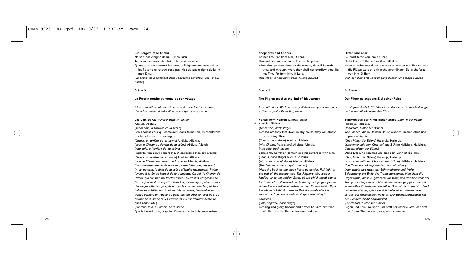# **Les Bergers et le Chœur**

Ne sois pas éloigné de lui, – mon Dieu. Tu es son secours, hâte-toi de lui venir en aide. Quand tu auras traversé les eaux, le Seigneur sera avec toi, et les flots ne te recouvrirons pas. Ne sois pas éloigné de lui, ô mon Dieu. (*La scène est maintenant dans l'obscurité complète. Une longue pause*.)

# **Scène 3**

# **Le Pèlerin touche au terme de son voyage**

*Il fait complètement noir. On entend dans le lointain le son d'une trompette, et celui d'un chœur qui se rapproche.*

**Les Voix du Ciel** (*Chœur dans le lointain*) Alléluia, Alléluia. (*Ténor solo, à l'arrière de la scène*) Bénis soient ceux qui demeurent dans ta maison, ils chanterons éternellement tes louanges. (*Chœur, à l'arrière de la scène*) Alléluia, Alléluia. (*avec le Chœur au devant de la scène*) Alléluia, Alléluia (*Alto solo, à l'arrière de la scène*) Regarde: ton Salut s'approche, et sa récompense est avec lui. (*Chœur, à l'arrière de la scène*) Alléluia, Alléluia. (*avec le Chœur, au devant de la scène*) Alléluia, Alléluia. (*La trompette retentit de nouveau, cette fois-ci de plus près*.) (*A ce moment, le fond de la scène s'éclaire rapidement. Pleine lumière à la fin de l'appel de la trompette. On voit le Chemin du Pèlerin qui conduit aux Portes dorées au-dessus desquelles se tient le joueur de trompette. Tous les personnages présents sont des anges célestes groupés en cercle comme dans les peintures italiennes médiévales. Quoique très lumineux, l'ensemble se trouve derrière un rideau de gaze afin de créer un effet flou. Le devant de la scène et les chanteurs qui s'y trouvent demeure dans l'obscurité*.)

(*Soprano solo, à l'arrière de la scène*) Que la bénédiction, la gloire, l'honneur et la puissance soient

# **Shepherds and Chorus**

Be not Thou far from him, O Lord. Thou art his succour, haste Thee to help him. When thou passest through the waters. He will be with thee, and through rivers they shall not overflow thee. Be not Thou far from him, O Lord. (*The stage is now quite dark. A long pause*.)

# **Scene 3**

### **The Pilgrim reaches the End of his Journey**

*It is quite dark. We hear a very distant trumpet sound, and a Chorus gradually getting nearer.*

# **Voices from Heaven** (*Chorus, distant*)

8 Alleluia, Alleluia. (*Tenor solo, back stage*) Blessed are they that dwell in Thy house, they will always be praising Thee. (*Chorus, back stage*) Alleluia, Alleluia. (*with Chorus, front stage*) Alleluia, Alleluia. (*Alto solo, back stage*) Behold thy Salvation cometh and his reward is with him. (*Chorus, back stage*) Alleluia, Alleluia. (*with chorus, front stage*) Alleluia, Alleluia. (*The Trumpet sounds again, nearer*.) (*Here the back of the stage lights up quickly. Full light at the end of the trumpet call. The Pilgrim's Way is seen leading up to the golden Gates, above which stand stands the Trumpeter. All around are heavenly beings grouped in circles like a mediaeval Italian picture. Though brilliantly lit, the whole is behind gauze so that the whole effect is vague, the front stage with its singers remaining in darkness*.)

# (*Solo, soprano, back stage*) Blessing and glory, honour and power be unto him that

sitteth upon the throne, for ever and ever.

# **Hirten und Chor**

Sei nicht ferne von ihm, O Herr, Du bist sein Retter, eil' zu ihm, hilf ihm. Wenn du schreitest durch die Wasser, wird er mit dir sein, und die Flüsse werden dich nicht verschlingen. Sei nicht ferne von ihm, O Herr. (*Auf der Bühne ist es jetzt ganz dunkel. Eine lange Pause*.)

# **3. Szene**

### **Der Pilger gelangt ans Ziel seiner Reise**

*Es ist ganz dunkel. Wir hören in weiter Ferne Trompetenklänge und einen näherkommenden Chor*.

**Stimmen aus der Himmlischen Stadt** (*Chor, in der Ferne*) Halleluja, Halleluja. (*Tenorsolo, hinter der Bühne*) Wohl denen, die in Deinem Hause wohnen, immer loben und preisen sie dich. (*Chor, hinter der Bühne*) Halleluja, Halleluja. (*zusammen mit dem Chor auf der Bühne*) Halleluja, Halleluja. (*Altsolo, hinter der Bühne*) Deine Erlösung kommet und sieh sein Lohn ist bei ihm. (*Chor, hinter der Bühne*) Halleluja, Halleluja. (*zusammen mit dem Chor auf der Bühne*) Halleluja, Halleluja. (*Die Trompete erklingt wieder, diesmal näher*.) (*Hier erhellt sich rasch der Bühnenhintergrund. Volle Beleuchtung am Ende des Trompetensignals. Man sieht die Pilgerstraße, die zum goldenen Tor führt, und darüber steht der Trompeter. Ringsum sind himmlische Wesen gruppiert wie auf einem alten italienischen Gemälde. Obwohl die Szene strahlend hell erleuchtet ist, spielt sie sich hinter einem Gazeschleier ab, so daß der Gesamteffekt vage ist. Der Bühnenvordergund mit den Sängern bleibt abgedunkelt*.) (*Sopransolo, hinter der Bühne*) Segen und Ehre, Weisheit und Kraft sei unserm Gott, der sitzt auf dem Throne ewig, ewig und immerdar.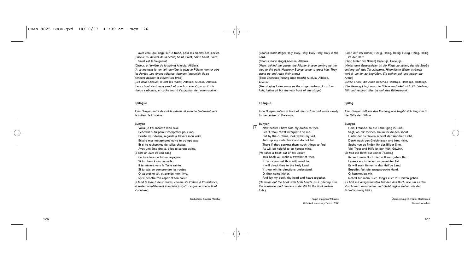avec celui qui siège sur le trône, pour les siècles des siècles. (*Chœur, au devant de la scène*) Saint, Saint, Saint, Saint, Saint, Saint est le Seigneur! (*Chœur, à l'arrière de la scène*) Alléluia, Alléluia. (*A ce moment-là, on voit derrière la gaze le Pèlerin monter vers les Portes. Les Anges célestes viennent l'accueillir. Ils se tiennent debout et élèvent les bras.*) (*Les deux Chœurs, levant les mains*) Alléluia, Alléluia, Alléluia. (*Leur chant s'estompe pendant que la scène s'obscurcit. Un*

**Epilogue**

*John Bunyan entre devant le rideau, et marche lentement vers le milieu de la scène.*

*rideau s'abaisse, et cache tout à l'exception de l'avant-scène*.)

### **Bunyan**

Voilà, je t'ai raconté mon rêve. Réfléchis si tu peux l'interpréter pour moi. Ecarte les rideaux, regarde à travers mon voile, Eclaire mes métaphores et ne te trompe pas. Et si tu recherches de telles choses Avec une âme droite, elles te seront utiles. (*Il sort un livre de son sac*.) Ce livre fera de toi un voyageur, Si tu obéis à ses conseils. Il te mènera vers la Terre sainte, Si tu sais en comprendre les routes. O, approche-toi, et prends mon livre. Qu'il pénètre ton esprit et ton cœur. (*Il tend le livre à deux mains, comme s'il l'offrait à l'assistance, et reste complètement immobile jusqu'à ce que le rideau final s'abaisse.*)

Traduction: Francis Marchal

(*Chorus, front stage*) Holy, Holy, Holy, Holy, Holy, Holy is the Lord.

(*Chorus, back stage*) Alleluia, Alleluia.

(*Here, behind the gauze, the Pilgrim is seen coming up the way to the gate. Heavenly Beings come to greet him. They stand up and raise their arms.*) (*Both Choruses, raising their hands*) Alleluia, Alleluia,

Alleluia.

(*The singing fades away as the stage darkens. A curtain falls, hiding all but the very front of the stage*.)

# **Epilogue**

*John Bunyan enters in front of the curtain and walks slowly to the centre of the stage.*

### **Bunyan**

<sup>9</sup> Now hearer, I have told my dream to thee. See if thou can'st interpret it to me. Put by the curtains, look within my veil, Turn up my metaphors and do not fail. There if thou seekest them, such things to find As will be helpful to an honest mind. (*He takes a book out of his wallet*) This book will make a traveller of thee, If by its counsel thou wilt ruled be. It will direct thee to the Holy Land. If thou wilt its directions understand. O, then come hither, And lay my book, thy head and heart together. (*He holds out the book with both hands, as if offering it to the audience, and remains quite still till the final curtain falls*.)

> Ralph Vaughan Williams © Oxford University Press 1952

(*Chor, auf der Bühne*) Heilig, Heilig, Heilig, Heilig, Heilig, Heilig ist der Herr.

(*Chor, hinter der Bühne*) Halleluja, Halleluja. (*Hinter dem Gazeschleier ist der Pilger zu sehen, der die Straße entlang auf das Tor zukommt. Himmlische Wesen strömen herbei, um ihn zu begrüßen. Sie stehen auf und heben die Arme.*)

(*Beide Chöre, die Arme hebend*.) Halleluja, Halleluja, Halleluja. (*Der Gesang klingt aus, die Bühne verdunkelt sich. Ein Vorhang fällt und verbirgt alles bis auf den Bühnenrand*.)

# **Epilog**

*John Bunyan tritt vor den Vorhang und begibt sich langsam in die Mitte der Bühne.*

### **Bunyan**

Hört, Freunde, so die Fabel ging zu End'. Sagt, ob mir meinen Traum ihr deuten könnt. Hinter den Schleiern scheint der Wahrheit Licht, Denkt nach den Gleichnissen und irret nicht, Sucht nun zu finden ihr der Bilder Sinn, Viel Trost und Hilfe ist der Müh' Gewinn. (*Er holt ein Buch aus seiner Tasche.*) Ihr seht mein Buch hier, voll von gutem Rat, Lassets euch dienen zu geweihter Tat. Es will euch führen in das Heil'ge Land, Ergreifet fest die ausgestreckte Hand. O, kommet zu mir, Nehmt hin mein Buch. Mög's euch zu Herzen gehen.

(*Er hält mit ausgestreckten Händen das Buch, wie um es den Zuschauern anzubieten, und bleibt reglos stehen, bis der Schlußvorhang fällt*.)

> Übersetzung: R. Müller Hartman & Genia Hornstein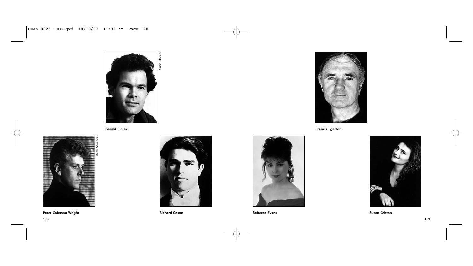

**Gerald Finley**



**Peter Coleman-Wright**



**Richard Coxon**



**Francis Egerton**



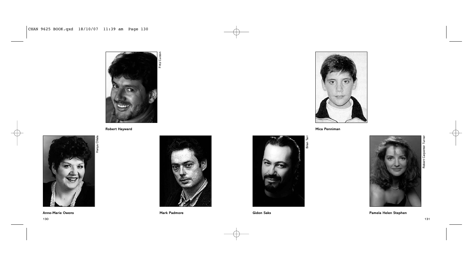

**Robert Hayward**



**Anne-Marie Owens**



**Mark Padmore**



**Mica Penniman**



**Gidon Saks**



**Pamela Helen Stephen**

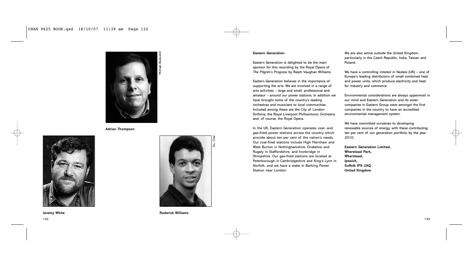

Michael Boesveld

**Adrian Thompson**





S.L. Chai

**Jeremy White Roderick Williams**

# **Eastern Generation**

Eastern Generation is delighted to be the main sponsor for this recording by the Royal Opera of *The Pilgrim's Progress* by Ralph Vaughan Williams.

Eastern Generation believes in the importance of supporting the arts. We are involved in a range of arts activities – large and small, professional and amateur – around our power stations. In addition we have brought some of the country's leading orchestras and musicians to local communities. Included among these are the City of London Sinfonia, the Royal Liverpool Philharmonic Orchestra and, of course, the Royal Opera.

In the UK, Eastern Generation operates coal- and gas-fired power stations across the country which provide about ten per cent of the nation's needs. Our coal-fired stations include High Marnham and West Burton in Nottinghamshire, Drakelow and Rugely in Staffordshire, and Ironbridge in Shropshire. Our gas-fired stations are located at Peterborough in Cambridgeshire and King's Lynn in Norfolk, and we have a stake in Barking Power Station near London.

We are also active outside the United Kingdom, particularly in the Czech Republic, India, Taiwan and Poland.

We have a controlling interest in Nedalo (UK) – one of Europe's leading distributors of small combined heat and power units, which produce electricity and heat for industry and commerce.

Environmental considerations are always uppermost in our mind and Eastern Generation and its sister companies in Eastern Group were amongst the first companies in the country to have an accredited environmental management system.

We have committed ourselves to developing renewable sources of energy, with these contributing ten per cent of our generation portfolio by the year 2010.

**Eastern Generation Limited, Wherstead Park, Wherstead, Ipswich, Suffolk IP9 2AQ United Kingdom**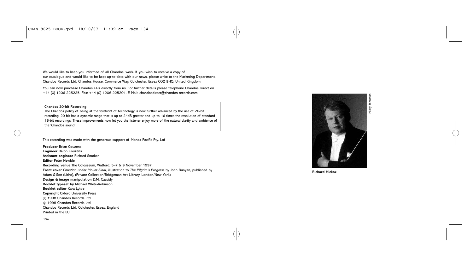We would like to keep you informed of all Chandos' work. If you wish to receive a copy of our catalogue and would like to be kept up-to-date with our news, please write to the Marketing Department, Chandos Records Ltd, Chandos House, Commerce Way, Colchester, Essex CO2 8HQ, United Kingdom.

You can now purchase Chandos CDs directly from us. For further details please telephone Chandos Direct on +44 (0) 1206 225225. Fax: +44 (0) 1206 225201. E-Mail: chandosdirect@chandos-records.com

# **Chandos 20-bit Recording**

The Chandos policy of being at the forefront of technology is now further advanced by the use of 20-bit recording. 20-bit has a dynamic range that is up to 24dB greater and up to 16 times the resolution of standard 16-bit recordings. These improvements now let you the listener enjoy more of the natural clarity and ambience of the 'Chandos sound'.

This recording was made with the generous support of Monex Pacific Pty. Ltd

**Producer** Brian Couzens **Engineer** Ralph Couzens **Assistant engineer** Richard Smoker **Editor** Peter Newble **Recording venue** The Colosseum, Watford; 5–7 & 9 November 1997 **Front cover** *Christian under Mount Sinai*, illustration to *The Pilgrim's Progress* by John Bunyan, published by Adam & Son (Litho), (Private Collection/Bridgeman Art Library, London/New York) **Design & image manipulation** D.M. Cassidy **Booklet typeset by** Michael White-Robinson **Booklet editor** Kara Lyttle **Copyright** Oxford University Press  $\odot$  1998 Chandos Records Ltd  $© 1998$  Chandos Records Ltd Chandos Records Ltd, Colchester, Essex, England Printed in the EU



**Richard Hickox**

134